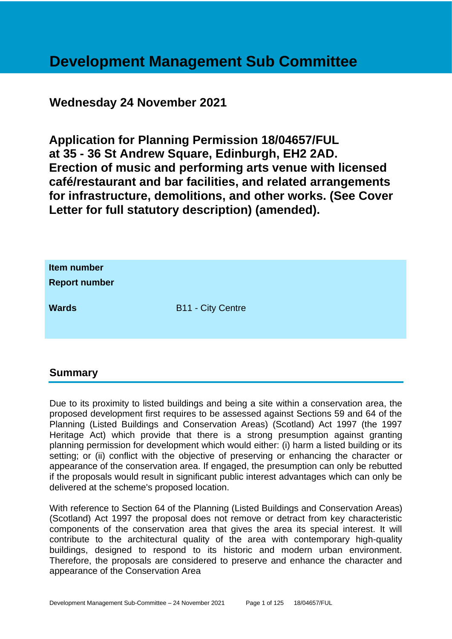# **Development Management Sub Committee**

# **Wednesday 24 November 2021**

**Application for Planning Permission 18/04657/FUL at 35 - 36 St Andrew Square, Edinburgh, EH2 2AD. Erection of music and performing arts venue with licensed café/restaurant and bar facilities, and related arrangements for infrastructure, demolitions, and other works. (See Cover Letter for full statutory description) (amended).**

| Item number<br><b>Report number</b> |                          |
|-------------------------------------|--------------------------|
| <b>Wards</b>                        | <b>B11 - City Centre</b> |

# **Summary**

Due to its proximity to listed buildings and being a site within a conservation area, the proposed development first requires to be assessed against Sections 59 and 64 of the Planning (Listed Buildings and Conservation Areas) (Scotland) Act 1997 (the 1997 Heritage Act) which provide that there is a strong presumption against granting planning permission for development which would either: (i) harm a listed building or its setting; or (ii) conflict with the objective of preserving or enhancing the character or appearance of the conservation area. If engaged, the presumption can only be rebutted if the proposals would result in significant public interest advantages which can only be delivered at the scheme's proposed location.

With reference to Section 64 of the Planning (Listed Buildings and Conservation Areas) (Scotland) Act 1997 the proposal does not remove or detract from key characteristic components of the conservation area that gives the area its special interest. It will contribute to the architectural quality of the area with contemporary high-quality buildings, designed to respond to its historic and modern urban environment. Therefore, the proposals are considered to preserve and enhance the character and appearance of the Conservation Area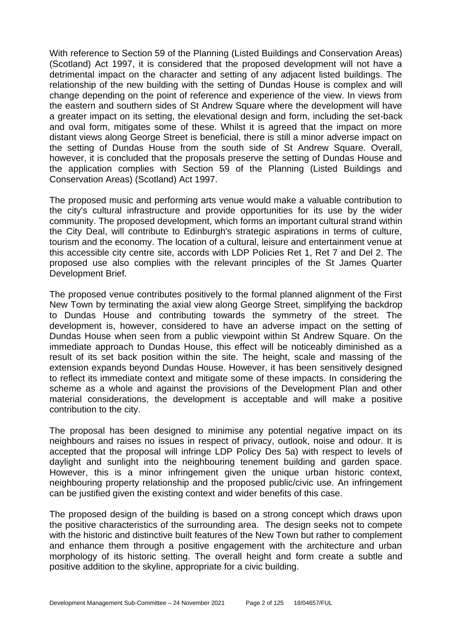With reference to Section 59 of the Planning (Listed Buildings and Conservation Areas) (Scotland) Act 1997, it is considered that the proposed development will not have a detrimental impact on the character and setting of any adjacent listed buildings. The relationship of the new building with the setting of Dundas House is complex and will change depending on the point of reference and experience of the view. In views from the eastern and southern sides of St Andrew Square where the development will have a greater impact on its setting, the elevational design and form, including the set-back and oval form, mitigates some of these. Whilst it is agreed that the impact on more distant views along George Street is beneficial, there is still a minor adverse impact on the setting of Dundas House from the south side of St Andrew Square. Overall, however, it is concluded that the proposals preserve the setting of Dundas House and the application complies with Section 59 of the Planning (Listed Buildings and Conservation Areas) (Scotland) Act 1997.

The proposed music and performing arts venue would make a valuable contribution to the city's cultural infrastructure and provide opportunities for its use by the wider community. The proposed development, which forms an important cultural strand within the City Deal, will contribute to Edinburgh's strategic aspirations in terms of culture, tourism and the economy. The location of a cultural, leisure and entertainment venue at this accessible city centre site, accords with LDP Policies Ret 1, Ret 7 and Del 2. The proposed use also complies with the relevant principles of the St James Quarter Development Brief.

The proposed venue contributes positively to the formal planned alignment of the First New Town by terminating the axial view along George Street, simplifying the backdrop to Dundas House and contributing towards the symmetry of the street. The development is, however, considered to have an adverse impact on the setting of Dundas House when seen from a public viewpoint within St Andrew Square. On the immediate approach to Dundas House, this effect will be noticeably diminished as a result of its set back position within the site. The height, scale and massing of the extension expands beyond Dundas House. However, it has been sensitively designed to reflect its immediate context and mitigate some of these impacts. In considering the scheme as a whole and against the provisions of the Development Plan and other material considerations, the development is acceptable and will make a positive contribution to the city.

The proposal has been designed to minimise any potential negative impact on its neighbours and raises no issues in respect of privacy, outlook, noise and odour. It is accepted that the proposal will infringe LDP Policy Des 5a) with respect to levels of daylight and sunlight into the neighbouring tenement building and garden space. However, this is a minor infringement given the unique urban historic context, neighbouring property relationship and the proposed public/civic use. An infringement can be justified given the existing context and wider benefits of this case.

The proposed design of the building is based on a strong concept which draws upon the positive characteristics of the surrounding area. The design seeks not to compete with the historic and distinctive built features of the New Town but rather to complement and enhance them through a positive engagement with the architecture and urban morphology of its historic setting. The overall height and form create a subtle and positive addition to the skyline, appropriate for a civic building.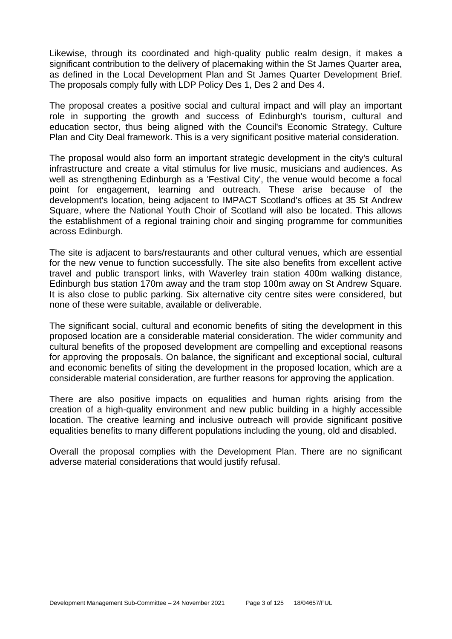Likewise, through its coordinated and high-quality public realm design, it makes a significant contribution to the delivery of placemaking within the St James Quarter area, as defined in the Local Development Plan and St James Quarter Development Brief. The proposals comply fully with LDP Policy Des 1, Des 2 and Des 4.

The proposal creates a positive social and cultural impact and will play an important role in supporting the growth and success of Edinburgh's tourism, cultural and education sector, thus being aligned with the Council's Economic Strategy, Culture Plan and City Deal framework. This is a very significant positive material consideration.

The proposal would also form an important strategic development in the city's cultural infrastructure and create a vital stimulus for live music, musicians and audiences. As well as strengthening Edinburgh as a 'Festival City', the venue would become a focal point for engagement, learning and outreach. These arise because of the development's location, being adjacent to IMPACT Scotland's offices at 35 St Andrew Square, where the National Youth Choir of Scotland will also be located. This allows the establishment of a regional training choir and singing programme for communities across Edinburgh.

The site is adjacent to bars/restaurants and other cultural venues, which are essential for the new venue to function successfully. The site also benefits from excellent active travel and public transport links, with Waverley train station 400m walking distance, Edinburgh bus station 170m away and the tram stop 100m away on St Andrew Square. It is also close to public parking. Six alternative city centre sites were considered, but none of these were suitable, available or deliverable.

The significant social, cultural and economic benefits of siting the development in this proposed location are a considerable material consideration. The wider community and cultural benefits of the proposed development are compelling and exceptional reasons for approving the proposals. On balance, the significant and exceptional social, cultural and economic benefits of siting the development in the proposed location, which are a considerable material consideration, are further reasons for approving the application.

There are also positive impacts on equalities and human rights arising from the creation of a high-quality environment and new public building in a highly accessible location. The creative learning and inclusive outreach will provide significant positive equalities benefits to many different populations including the young, old and disabled.

Overall the proposal complies with the Development Plan. There are no significant adverse material considerations that would justify refusal.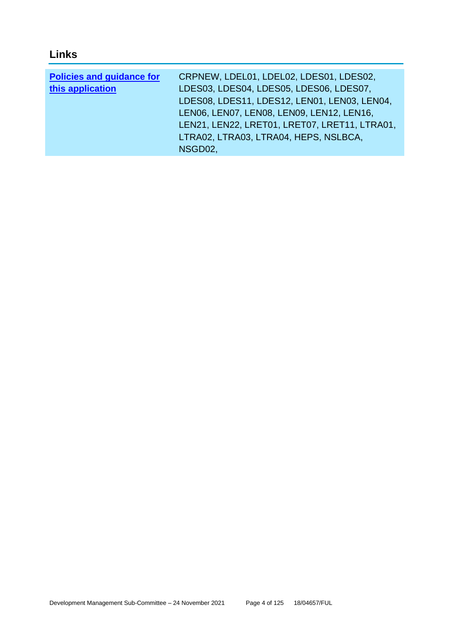# **Links**

| <b>Policies and guidance for</b> | CRPNEW, LDEL01, LDEL02, LDES01, LDES02,       |
|----------------------------------|-----------------------------------------------|
| this application                 | LDES03, LDES04, LDES05, LDES06, LDES07,       |
|                                  | LDES08, LDES11, LDES12, LEN01, LEN03, LEN04,  |
|                                  | LENO6, LENO7, LENO8, LENO9, LEN12, LEN16,     |
|                                  | LEN21, LEN22, LRET01, LRET07, LRET11, LTRA01, |
|                                  | LTRA02, LTRA03, LTRA04, HEPS, NSLBCA,         |
|                                  | NSGD02,                                       |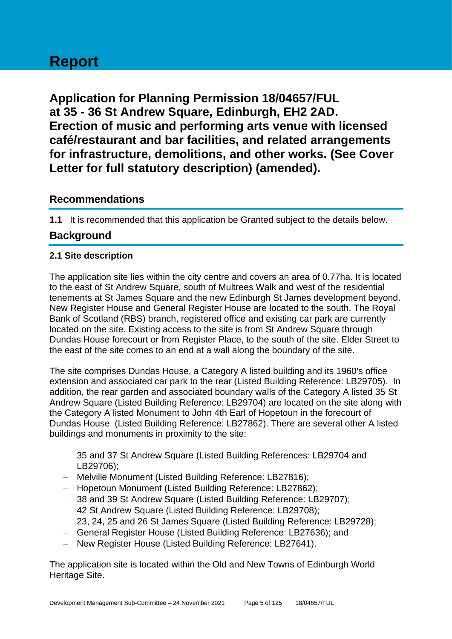# **Report**

**Application for Planning Permission 18/04657/FUL at 35 - 36 St Andrew Square, Edinburgh, EH2 2AD. Erection of music and performing arts venue with licensed café/restaurant and bar facilities, and related arrangements for infrastructure, demolitions, and other works. (See Cover Letter for full statutory description) (amended).**

# **Recommendations**

**1.1** It is recommended that this application be Granted subject to the details below.

# **Background**

# **2.1 Site description**

The application site lies within the city centre and covers an area of 0.77ha. It is located to the east of St Andrew Square, south of Multrees Walk and west of the residential tenements at St James Square and the new Edinburgh St James development beyond. New Register House and General Register House are located to the south. The Royal Bank of Scotland (RBS) branch, registered office and existing car park are currently located on the site. Existing access to the site is from St Andrew Square through Dundas House forecourt or from Register Place, to the south of the site. Elder Street to the east of the site comes to an end at a wall along the boundary of the site.

The site comprises Dundas House, a Category A listed building and its 1960's office extension and associated car park to the rear (Listed Building Reference: LB29705). In addition, the rear garden and associated boundary walls of the Category A listed 35 St Andrew Square (Listed Building Reference: LB29704) are located on the site along with the Category A listed Monument to John 4th Earl of Hopetoun in the forecourt of Dundas House (Listed Building Reference: LB27862). There are several other A listed buildings and monuments in proximity to the site:

- − 35 and 37 St Andrew Square (Listed Building References: LB29704 and LB29706);
- − Melville Monument (Listed Building Reference: LB27816);
- − Hopetoun Monument (Listed Building Reference: LB27862);
- − 38 and 39 St Andrew Square (Listed Building Reference: LB29707);
- − 42 St Andrew Square (Listed Building Reference: LB29708);
- − 23, 24, 25 and 26 St James Square (Listed Building Reference: LB29728);
- − General Register House (Listed Building Reference: LB27636); and
- − New Register House (Listed Building Reference: LB27641).

The application site is located within the Old and New Towns of Edinburgh World Heritage Site.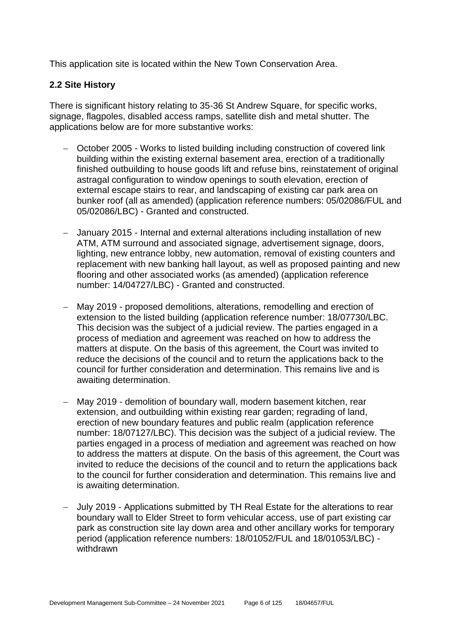This application site is located within the New Town Conservation Area.

#### **2.2 Site History**

There is significant history relating to 35-36 St Andrew Square, for specific works, signage, flagpoles, disabled access ramps, satellite dish and metal shutter. The applications below are for more substantive works:

- − October 2005 Works to listed building including construction of covered link building within the existing external basement area, erection of a traditionally finished outbuilding to house goods lift and refuse bins, reinstatement of original astragal configuration to window openings to south elevation, erection of external escape stairs to rear, and landscaping of existing car park area on bunker roof (all as amended) (application reference numbers: 05/02086/FUL and 05/02086/LBC) - Granted and constructed.
- − January 2015 Internal and external alterations including installation of new ATM, ATM surround and associated signage, advertisement signage, doors, lighting, new entrance lobby, new automation, removal of existing counters and replacement with new banking hall layout, as well as proposed painting and new flooring and other associated works (as amended) (application reference number: 14/04727/LBC) - Granted and constructed.
- − May 2019 proposed demolitions, alterations, remodelling and erection of extension to the listed building (application reference number: 18/07730/LBC. This decision was the subject of a judicial review. The parties engaged in a process of mediation and agreement was reached on how to address the matters at dispute. On the basis of this agreement, the Court was invited to reduce the decisions of the council and to return the applications back to the council for further consideration and determination. This remains live and is awaiting determination.
- − May 2019 demolition of boundary wall, modern basement kitchen, rear extension, and outbuilding within existing rear garden; regrading of land, erection of new boundary features and public realm (application reference number: 18/07127/LBC). This decision was the subject of a judicial review. The parties engaged in a process of mediation and agreement was reached on how to address the matters at dispute. On the basis of this agreement, the Court was invited to reduce the decisions of the council and to return the applications back to the council for further consideration and determination. This remains live and is awaiting determination.
- − July 2019 Applications submitted by TH Real Estate for the alterations to rear boundary wall to Elder Street to form vehicular access, use of part existing car park as construction site lay down area and other ancillary works for temporary period (application reference numbers: 18/01052/FUL and 18/01053/LBC) withdrawn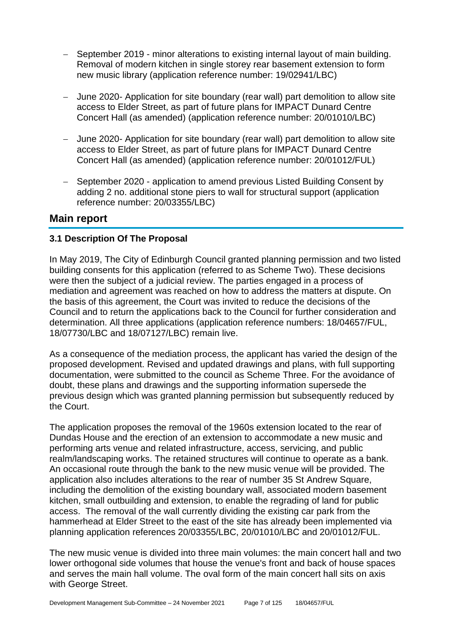- − September 2019 minor alterations to existing internal layout of main building. Removal of modern kitchen in single storey rear basement extension to form new music library (application reference number: 19/02941/LBC)
- − June 2020- Application for site boundary (rear wall) part demolition to allow site access to Elder Street, as part of future plans for IMPACT Dunard Centre Concert Hall (as amended) (application reference number: 20/01010/LBC)
- − June 2020- Application for site boundary (rear wall) part demolition to allow site access to Elder Street, as part of future plans for IMPACT Dunard Centre Concert Hall (as amended) (application reference number: 20/01012/FUL)
- − September 2020 application to amend previous Listed Building Consent by adding 2 no. additional stone piers to wall for structural support (application reference number: 20/03355/LBC)

# **Main report**

# **3.1 Description Of The Proposal**

In May 2019, The City of Edinburgh Council granted planning permission and two listed building consents for this application (referred to as Scheme Two). These decisions were then the subject of a judicial review. The parties engaged in a process of mediation and agreement was reached on how to address the matters at dispute. On the basis of this agreement, the Court was invited to reduce the decisions of the Council and to return the applications back to the Council for further consideration and determination. All three applications (application reference numbers: 18/04657/FUL, 18/07730/LBC and 18/07127/LBC) remain live.

As a consequence of the mediation process, the applicant has varied the design of the proposed development. Revised and updated drawings and plans, with full supporting documentation, were submitted to the council as Scheme Three. For the avoidance of doubt, these plans and drawings and the supporting information supersede the previous design which was granted planning permission but subsequently reduced by the Court.

The application proposes the removal of the 1960s extension located to the rear of Dundas House and the erection of an extension to accommodate a new music and performing arts venue and related infrastructure, access, servicing, and public realm/landscaping works. The retained structures will continue to operate as a bank. An occasional route through the bank to the new music venue will be provided. The application also includes alterations to the rear of number 35 St Andrew Square, including the demolition of the existing boundary wall, associated modern basement kitchen, small outbuilding and extension, to enable the regrading of land for public access. The removal of the wall currently dividing the existing car park from the hammerhead at Elder Street to the east of the site has already been implemented via planning application references 20/03355/LBC, 20/01010/LBC and 20/01012/FUL.

The new music venue is divided into three main volumes: the main concert hall and two lower orthogonal side volumes that house the venue's front and back of house spaces and serves the main hall volume. The oval form of the main concert hall sits on axis with George Street.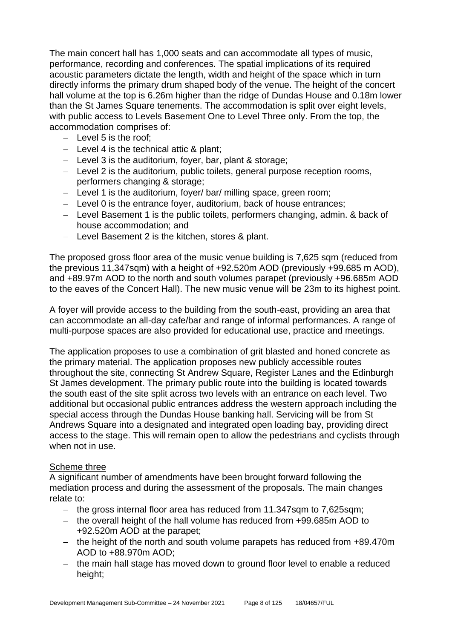The main concert hall has 1,000 seats and can accommodate all types of music, performance, recording and conferences. The spatial implications of its required acoustic parameters dictate the length, width and height of the space which in turn directly informs the primary drum shaped body of the venue. The height of the concert hall volume at the top is 6.26m higher than the ridge of Dundas House and 0.18m lower than the St James Square tenements. The accommodation is split over eight levels, with public access to Levels Basement One to Level Three only. From the top, the accommodation comprises of:

- − Level 5 is the roof;
- − Level 4 is the technical attic & plant;
- − Level 3 is the auditorium, foyer, bar, plant & storage;
- − Level 2 is the auditorium, public toilets, general purpose reception rooms, performers changing & storage;
- − Level 1 is the auditorium, foyer/ bar/ milling space, green room;
- − Level 0 is the entrance foyer, auditorium, back of house entrances;
- − Level Basement 1 is the public toilets, performers changing, admin. & back of house accommodation; and
- − Level Basement 2 is the kitchen, stores & plant.

The proposed gross floor area of the music venue building is 7,625 sqm (reduced from the previous 11,347sqm) with a height of +92.520m AOD (previously +99.685 m AOD), and +89.97m AOD to the north and south volumes parapet (previously +96.685m AOD to the eaves of the Concert Hall). The new music venue will be 23m to its highest point.

A foyer will provide access to the building from the south-east, providing an area that can accommodate an all-day cafe/bar and range of informal performances. A range of multi-purpose spaces are also provided for educational use, practice and meetings.

The application proposes to use a combination of grit blasted and honed concrete as the primary material. The application proposes new publicly accessible routes throughout the site, connecting St Andrew Square, Register Lanes and the Edinburgh St James development. The primary public route into the building is located towards the south east of the site split across two levels with an entrance on each level. Two additional but occasional public entrances address the western approach including the special access through the Dundas House banking hall. Servicing will be from St Andrews Square into a designated and integrated open loading bay, providing direct access to the stage. This will remain open to allow the pedestrians and cyclists through when not in use.

#### Scheme three

A significant number of amendments have been brought forward following the mediation process and during the assessment of the proposals. The main changes relate to:

- − the gross internal floor area has reduced from 11.347sqm to 7,625sqm;
- − the overall height of the hall volume has reduced from +99.685m AOD to +92.520m AOD at the parapet;
- − the height of the north and south volume parapets has reduced from +89.470m AOD to +88.970m AOD;
- − the main hall stage has moved down to ground floor level to enable a reduced height;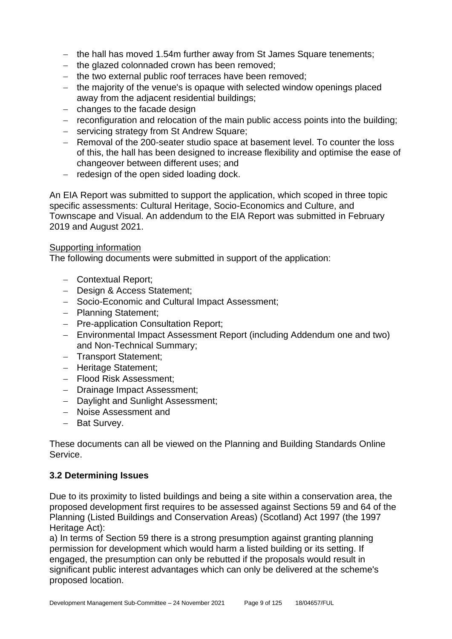- − the hall has moved 1.54m further away from St James Square tenements;
- − the glazed colonnaded crown has been removed;
- − the two external public roof terraces have been removed;
- − the majority of the venue's is opaque with selected window openings placed away from the adjacent residential buildings;
- − changes to the facade design
- − reconfiguration and relocation of the main public access points into the building;
- − servicing strategy from St Andrew Square;
- − Removal of the 200-seater studio space at basement level. To counter the loss of this, the hall has been designed to increase flexibility and optimise the ease of changeover between different uses; and
- − redesign of the open sided loading dock.

An EIA Report was submitted to support the application, which scoped in three topic specific assessments: Cultural Heritage, Socio-Economics and Culture, and Townscape and Visual. An addendum to the EIA Report was submitted in February 2019 and August 2021.

# Supporting information

The following documents were submitted in support of the application:

- − Contextual Report;
- − Design & Access Statement;
- − Socio-Economic and Cultural Impact Assessment;
- − Planning Statement;
- − Pre-application Consultation Report;
- − Environmental Impact Assessment Report (including Addendum one and two) and Non-Technical Summary;
- − Transport Statement;
- − Heritage Statement;
- − Flood Risk Assessment;
- − Drainage Impact Assessment;
- − Daylight and Sunlight Assessment;
- − Noise Assessment and
- − Bat Survey.

These documents can all be viewed on the Planning and Building Standards Online Service.

# **3.2 Determining Issues**

Due to its proximity to listed buildings and being a site within a conservation area, the proposed development first requires to be assessed against Sections 59 and 64 of the Planning (Listed Buildings and Conservation Areas) (Scotland) Act 1997 (the 1997 Heritage Act):

a) In terms of Section 59 there is a strong presumption against granting planning permission for development which would harm a listed building or its setting. If engaged, the presumption can only be rebutted if the proposals would result in significant public interest advantages which can only be delivered at the scheme's proposed location.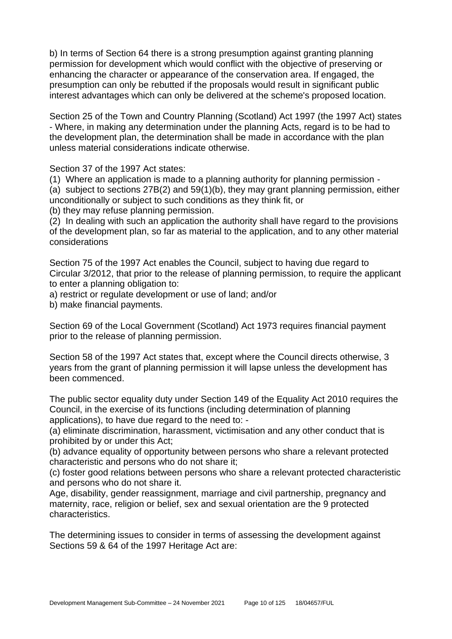b) In terms of Section 64 there is a strong presumption against granting planning permission for development which would conflict with the objective of preserving or enhancing the character or appearance of the conservation area. If engaged, the presumption can only be rebutted if the proposals would result in significant public interest advantages which can only be delivered at the scheme's proposed location.

Section 25 of the Town and Country Planning (Scotland) Act 1997 (the 1997 Act) states - Where, in making any determination under the planning Acts, regard is to be had to the development plan, the determination shall be made in accordance with the plan unless material considerations indicate otherwise.

Section 37 of the 1997 Act states:

(1) Where an application is made to a planning authority for planning permission -

(a) subject to sections 27B(2) and 59(1)(b), they may grant planning permission, either unconditionally or subject to such conditions as they think fit, or

(b) they may refuse planning permission.

(2) In dealing with such an application the authority shall have regard to the provisions of the development plan, so far as material to the application, and to any other material considerations

Section 75 of the 1997 Act enables the Council, subject to having due regard to Circular 3/2012, that prior to the release of planning permission, to require the applicant to enter a planning obligation to:

a) restrict or regulate development or use of land; and/or

b) make financial payments.

Section 69 of the Local Government (Scotland) Act 1973 requires financial payment prior to the release of planning permission.

Section 58 of the 1997 Act states that, except where the Council directs otherwise, 3 years from the grant of planning permission it will lapse unless the development has been commenced.

The public sector equality duty under Section 149 of the Equality Act 2010 requires the Council, in the exercise of its functions (including determination of planning applications), to have due regard to the need to: -

(a) eliminate discrimination, harassment, victimisation and any other conduct that is prohibited by or under this Act;

(b) advance equality of opportunity between persons who share a relevant protected characteristic and persons who do not share it;

(c) foster good relations between persons who share a relevant protected characteristic and persons who do not share it.

Age, disability, gender reassignment, marriage and civil partnership, pregnancy and maternity, race, religion or belief, sex and sexual orientation are the 9 protected characteristics.

The determining issues to consider in terms of assessing the development against Sections 59 & 64 of the 1997 Heritage Act are: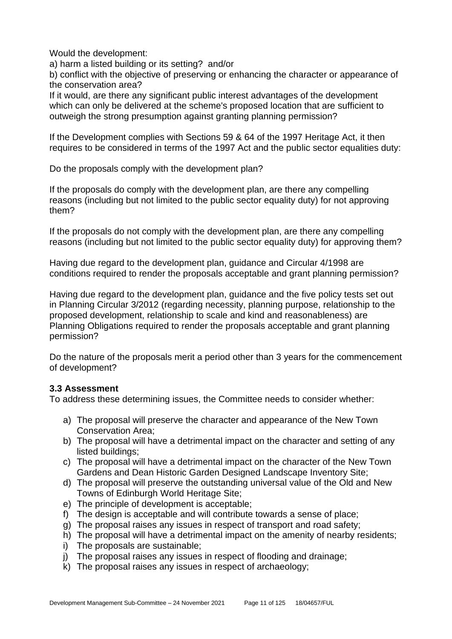Would the development:

a) harm a listed building or its setting? and/or

b) conflict with the objective of preserving or enhancing the character or appearance of the conservation area?

If it would, are there any significant public interest advantages of the development which can only be delivered at the scheme's proposed location that are sufficient to outweigh the strong presumption against granting planning permission?

If the Development complies with Sections 59 & 64 of the 1997 Heritage Act, it then requires to be considered in terms of the 1997 Act and the public sector equalities duty:

Do the proposals comply with the development plan?

If the proposals do comply with the development plan, are there any compelling reasons (including but not limited to the public sector equality duty) for not approving them?

If the proposals do not comply with the development plan, are there any compelling reasons (including but not limited to the public sector equality duty) for approving them?

Having due regard to the development plan, guidance and Circular 4/1998 are conditions required to render the proposals acceptable and grant planning permission?

Having due regard to the development plan, guidance and the five policy tests set out in Planning Circular 3/2012 (regarding necessity, planning purpose, relationship to the proposed development, relationship to scale and kind and reasonableness) are Planning Obligations required to render the proposals acceptable and grant planning permission?

Do the nature of the proposals merit a period other than 3 years for the commencement of development?

# **3.3 Assessment**

To address these determining issues, the Committee needs to consider whether:

- a) The proposal will preserve the character and appearance of the New Town Conservation Area;
- b) The proposal will have a detrimental impact on the character and setting of any listed buildings;
- c) The proposal will have a detrimental impact on the character of the New Town Gardens and Dean Historic Garden Designed Landscape Inventory Site;
- d) The proposal will preserve the outstanding universal value of the Old and New Towns of Edinburgh World Heritage Site;
- e) The principle of development is acceptable;
- f) The design is acceptable and will contribute towards a sense of place;
- g) The proposal raises any issues in respect of transport and road safety;
- h) The proposal will have a detrimental impact on the amenity of nearby residents;
- i) The proposals are sustainable;
- j) The proposal raises any issues in respect of flooding and drainage;
- k) The proposal raises any issues in respect of archaeology;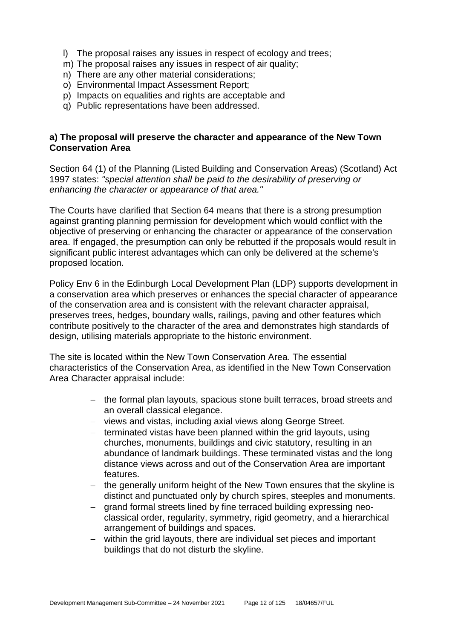- l) The proposal raises any issues in respect of ecology and trees;
- m) The proposal raises any issues in respect of air quality;
- n) There are any other material considerations;
- o) Environmental Impact Assessment Report;
- p) Impacts on equalities and rights are acceptable and
- q) Public representations have been addressed.

#### **a) The proposal will preserve the character and appearance of the New Town Conservation Area**

Section 64 (1) of the Planning (Listed Building and Conservation Areas) (Scotland) Act 1997 states: *"special attention shall be paid to the desirability of preserving or enhancing the character or appearance of that area."*

The Courts have clarified that Section 64 means that there is a strong presumption against granting planning permission for development which would conflict with the objective of preserving or enhancing the character or appearance of the conservation area. If engaged, the presumption can only be rebutted if the proposals would result in significant public interest advantages which can only be delivered at the scheme's proposed location.

Policy Env 6 in the Edinburgh Local Development Plan (LDP) supports development in a conservation area which preserves or enhances the special character of appearance of the conservation area and is consistent with the relevant character appraisal, preserves trees, hedges, boundary walls, railings, paving and other features which contribute positively to the character of the area and demonstrates high standards of design, utilising materials appropriate to the historic environment.

The site is located within the New Town Conservation Area. The essential characteristics of the Conservation Area, as identified in the New Town Conservation Area Character appraisal include:

- − the formal plan layouts, spacious stone built terraces, broad streets and an overall classical elegance.
- − views and vistas, including axial views along George Street.
- − terminated vistas have been planned within the grid layouts, using churches, monuments, buildings and civic statutory, resulting in an abundance of landmark buildings. These terminated vistas and the long distance views across and out of the Conservation Area are important features.
- − the generally uniform height of the New Town ensures that the skyline is distinct and punctuated only by church spires, steeples and monuments.
- − grand formal streets lined by fine terraced building expressing neoclassical order, regularity, symmetry, rigid geometry, and a hierarchical arrangement of buildings and spaces.
- − within the grid layouts, there are individual set pieces and important buildings that do not disturb the skyline.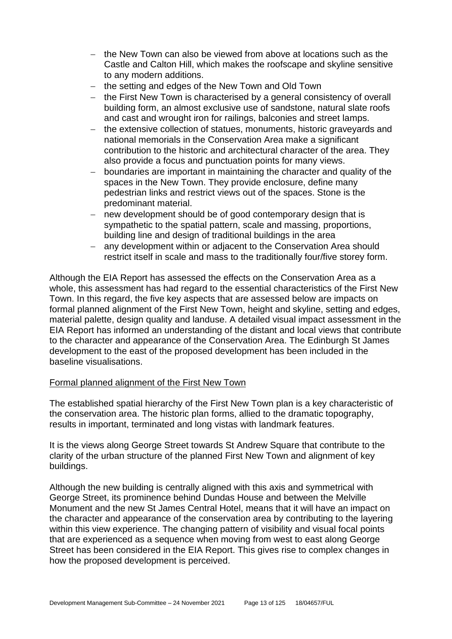- − the New Town can also be viewed from above at locations such as the Castle and Calton Hill, which makes the roofscape and skyline sensitive to any modern additions.
- − the setting and edges of the New Town and Old Town
- − the First New Town is characterised by a general consistency of overall building form, an almost exclusive use of sandstone, natural slate roofs and cast and wrought iron for railings, balconies and street lamps.
- − the extensive collection of statues, monuments, historic graveyards and national memorials in the Conservation Area make a significant contribution to the historic and architectural character of the area. They also provide a focus and punctuation points for many views.
- − boundaries are important in maintaining the character and quality of the spaces in the New Town. They provide enclosure, define many pedestrian links and restrict views out of the spaces. Stone is the predominant material.
- − new development should be of good contemporary design that is sympathetic to the spatial pattern, scale and massing, proportions, building line and design of traditional buildings in the area
- − any development within or adjacent to the Conservation Area should restrict itself in scale and mass to the traditionally four/five storey form.

Although the EIA Report has assessed the effects on the Conservation Area as a whole, this assessment has had regard to the essential characteristics of the First New Town. In this regard, the five key aspects that are assessed below are impacts on formal planned alignment of the First New Town, height and skyline, setting and edges, material palette, design quality and landuse. A detailed visual impact assessment in the EIA Report has informed an understanding of the distant and local views that contribute to the character and appearance of the Conservation Area. The Edinburgh St James development to the east of the proposed development has been included in the baseline visualisations.

# Formal planned alignment of the First New Town

The established spatial hierarchy of the First New Town plan is a key characteristic of the conservation area. The historic plan forms, allied to the dramatic topography, results in important, terminated and long vistas with landmark features.

It is the views along George Street towards St Andrew Square that contribute to the clarity of the urban structure of the planned First New Town and alignment of key buildings.

Although the new building is centrally aligned with this axis and symmetrical with George Street, its prominence behind Dundas House and between the Melville Monument and the new St James Central Hotel, means that it will have an impact on the character and appearance of the conservation area by contributing to the layering within this view experience. The changing pattern of visibility and visual focal points that are experienced as a sequence when moving from west to east along George Street has been considered in the EIA Report. This gives rise to complex changes in how the proposed development is perceived.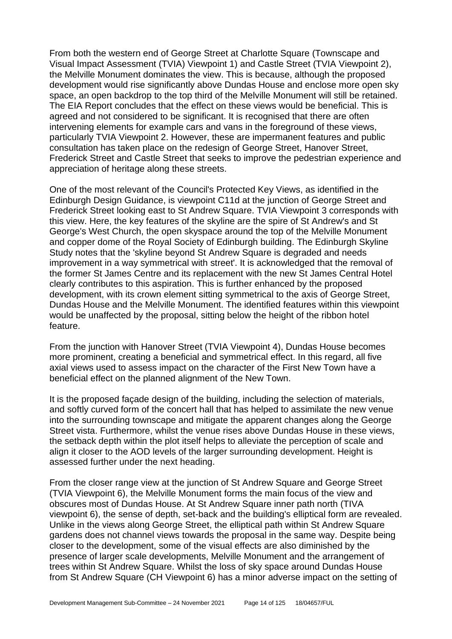From both the western end of George Street at Charlotte Square (Townscape and Visual Impact Assessment (TVIA) Viewpoint 1) and Castle Street (TVIA Viewpoint 2), the Melville Monument dominates the view. This is because, although the proposed development would rise significantly above Dundas House and enclose more open sky space, an open backdrop to the top third of the Melville Monument will still be retained. The EIA Report concludes that the effect on these views would be beneficial. This is agreed and not considered to be significant. It is recognised that there are often intervening elements for example cars and vans in the foreground of these views, particularly TVIA Viewpoint 2. However, these are impermanent features and public consultation has taken place on the redesign of George Street, Hanover Street, Frederick Street and Castle Street that seeks to improve the pedestrian experience and appreciation of heritage along these streets.

One of the most relevant of the Council's Protected Key Views, as identified in the Edinburgh Design Guidance, is viewpoint C11d at the junction of George Street and Frederick Street looking east to St Andrew Square. TVIA Viewpoint 3 corresponds with this view. Here, the key features of the skyline are the spire of St Andrew's and St George's West Church, the open skyspace around the top of the Melville Monument and copper dome of the Royal Society of Edinburgh building. The Edinburgh Skyline Study notes that the 'skyline beyond St Andrew Square is degraded and needs improvement in a way symmetrical with street'. It is acknowledged that the removal of the former St James Centre and its replacement with the new St James Central Hotel clearly contributes to this aspiration. This is further enhanced by the proposed development, with its crown element sitting symmetrical to the axis of George Street, Dundas House and the Melville Monument. The identified features within this viewpoint would be unaffected by the proposal, sitting below the height of the ribbon hotel feature.

From the junction with Hanover Street (TVIA Viewpoint 4), Dundas House becomes more prominent, creating a beneficial and symmetrical effect. In this regard, all five axial views used to assess impact on the character of the First New Town have a beneficial effect on the planned alignment of the New Town.

It is the proposed façade design of the building, including the selection of materials, and softly curved form of the concert hall that has helped to assimilate the new venue into the surrounding townscape and mitigate the apparent changes along the George Street vista. Furthermore, whilst the venue rises above Dundas House in these views, the setback depth within the plot itself helps to alleviate the perception of scale and align it closer to the AOD levels of the larger surrounding development. Height is assessed further under the next heading.

From the closer range view at the junction of St Andrew Square and George Street (TVIA Viewpoint 6), the Melville Monument forms the main focus of the view and obscures most of Dundas House. At St Andrew Square inner path north (TIVA viewpoint 6), the sense of depth, set-back and the building's elliptical form are revealed. Unlike in the views along George Street, the elliptical path within St Andrew Square gardens does not channel views towards the proposal in the same way. Despite being closer to the development, some of the visual effects are also diminished by the presence of larger scale developments, Melville Monument and the arrangement of trees within St Andrew Square. Whilst the loss of sky space around Dundas House from St Andrew Square (CH Viewpoint 6) has a minor adverse impact on the setting of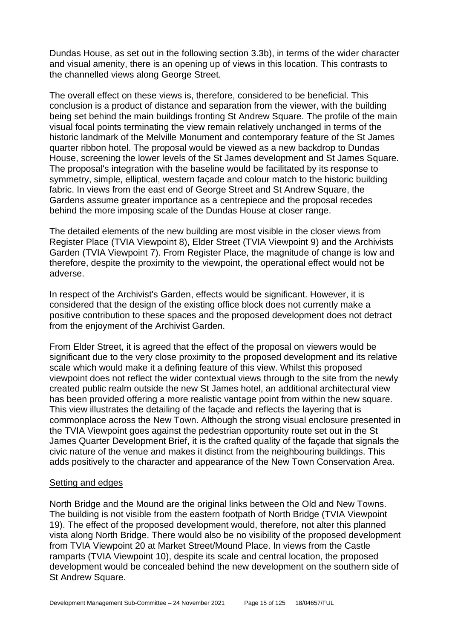Dundas House, as set out in the following section 3.3b), in terms of the wider character and visual amenity, there is an opening up of views in this location. This contrasts to the channelled views along George Street.

The overall effect on these views is, therefore, considered to be beneficial. This conclusion is a product of distance and separation from the viewer, with the building being set behind the main buildings fronting St Andrew Square. The profile of the main visual focal points terminating the view remain relatively unchanged in terms of the historic landmark of the Melville Monument and contemporary feature of the St James quarter ribbon hotel. The proposal would be viewed as a new backdrop to Dundas House, screening the lower levels of the St James development and St James Square. The proposal's integration with the baseline would be facilitated by its response to symmetry, simple, elliptical, western façade and colour match to the historic building fabric. In views from the east end of George Street and St Andrew Square, the Gardens assume greater importance as a centrepiece and the proposal recedes behind the more imposing scale of the Dundas House at closer range.

The detailed elements of the new building are most visible in the closer views from Register Place (TVIA Viewpoint 8), Elder Street (TVIA Viewpoint 9) and the Archivists Garden (TVIA Viewpoint 7). From Register Place, the magnitude of change is low and therefore, despite the proximity to the viewpoint, the operational effect would not be adverse.

In respect of the Archivist's Garden, effects would be significant. However, it is considered that the design of the existing office block does not currently make a positive contribution to these spaces and the proposed development does not detract from the enjoyment of the Archivist Garden.

From Elder Street, it is agreed that the effect of the proposal on viewers would be significant due to the very close proximity to the proposed development and its relative scale which would make it a defining feature of this view. Whilst this proposed viewpoint does not reflect the wider contextual views through to the site from the newly created public realm outside the new St James hotel, an additional architectural view has been provided offering a more realistic vantage point from within the new square. This view illustrates the detailing of the façade and reflects the layering that is commonplace across the New Town. Although the strong visual enclosure presented in the TVIA Viewpoint goes against the pedestrian opportunity route set out in the St James Quarter Development Brief, it is the crafted quality of the façade that signals the civic nature of the venue and makes it distinct from the neighbouring buildings. This adds positively to the character and appearance of the New Town Conservation Area.

#### Setting and edges

North Bridge and the Mound are the original links between the Old and New Towns. The building is not visible from the eastern footpath of North Bridge (TVIA Viewpoint 19). The effect of the proposed development would, therefore, not alter this planned vista along North Bridge. There would also be no visibility of the proposed development from TVIA Viewpoint 20 at Market Street/Mound Place. In views from the Castle ramparts (TVIA Viewpoint 10), despite its scale and central location, the proposed development would be concealed behind the new development on the southern side of St Andrew Square.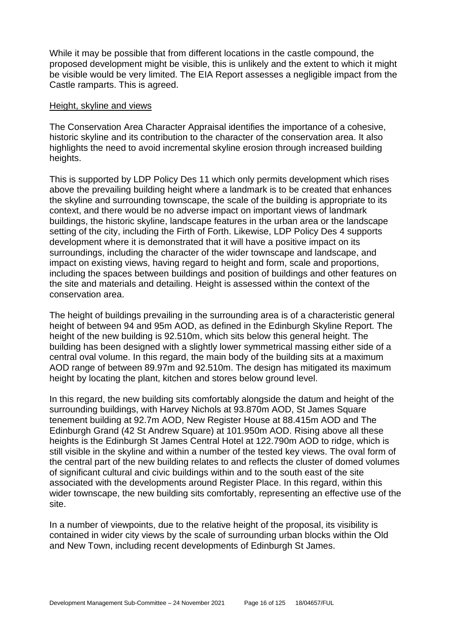While it may be possible that from different locations in the castle compound, the proposed development might be visible, this is unlikely and the extent to which it might be visible would be very limited. The EIA Report assesses a negligible impact from the Castle ramparts. This is agreed.

#### Height, skyline and views

The Conservation Area Character Appraisal identifies the importance of a cohesive, historic skyline and its contribution to the character of the conservation area. It also highlights the need to avoid incremental skyline erosion through increased building heights.

This is supported by LDP Policy Des 11 which only permits development which rises above the prevailing building height where a landmark is to be created that enhances the skyline and surrounding townscape, the scale of the building is appropriate to its context, and there would be no adverse impact on important views of landmark buildings, the historic skyline, landscape features in the urban area or the landscape setting of the city, including the Firth of Forth. Likewise, LDP Policy Des 4 supports development where it is demonstrated that it will have a positive impact on its surroundings, including the character of the wider townscape and landscape, and impact on existing views, having regard to height and form, scale and proportions, including the spaces between buildings and position of buildings and other features on the site and materials and detailing. Height is assessed within the context of the conservation area.

The height of buildings prevailing in the surrounding area is of a characteristic general height of between 94 and 95m AOD, as defined in the Edinburgh Skyline Report. The height of the new building is 92.510m, which sits below this general height. The building has been designed with a slightly lower symmetrical massing either side of a central oval volume. In this regard, the main body of the building sits at a maximum AOD range of between 89.97m and 92.510m. The design has mitigated its maximum height by locating the plant, kitchen and stores below ground level.

In this regard, the new building sits comfortably alongside the datum and height of the surrounding buildings, with Harvey Nichols at 93.870m AOD, St James Square tenement building at 92.7m AOD, New Register House at 88.415m AOD and The Edinburgh Grand (42 St Andrew Square) at 101.950m AOD. Rising above all these heights is the Edinburgh St James Central Hotel at 122.790m AOD to ridge, which is still visible in the skyline and within a number of the tested key views. The oval form of the central part of the new building relates to and reflects the cluster of domed volumes of significant cultural and civic buildings within and to the south east of the site associated with the developments around Register Place. In this regard, within this wider townscape, the new building sits comfortably, representing an effective use of the site.

In a number of viewpoints, due to the relative height of the proposal, its visibility is contained in wider city views by the scale of surrounding urban blocks within the Old and New Town, including recent developments of Edinburgh St James.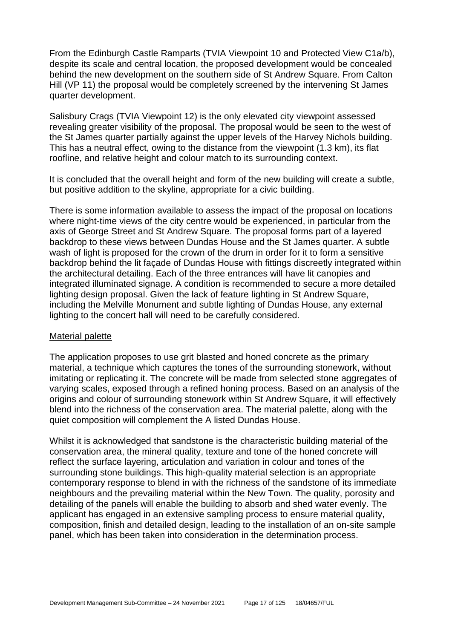From the Edinburgh Castle Ramparts (TVIA Viewpoint 10 and Protected View C1a/b), despite its scale and central location, the proposed development would be concealed behind the new development on the southern side of St Andrew Square. From Calton Hill (VP 11) the proposal would be completely screened by the intervening St James quarter development.

Salisbury Crags (TVIA Viewpoint 12) is the only elevated city viewpoint assessed revealing greater visibility of the proposal. The proposal would be seen to the west of the St James quarter partially against the upper levels of the Harvey Nichols building. This has a neutral effect, owing to the distance from the viewpoint (1.3 km), its flat roofline, and relative height and colour match to its surrounding context.

It is concluded that the overall height and form of the new building will create a subtle, but positive addition to the skyline, appropriate for a civic building.

There is some information available to assess the impact of the proposal on locations where night-time views of the city centre would be experienced, in particular from the axis of George Street and St Andrew Square. The proposal forms part of a layered backdrop to these views between Dundas House and the St James quarter. A subtle wash of light is proposed for the crown of the drum in order for it to form a sensitive backdrop behind the lit façade of Dundas House with fittings discreetly integrated within the architectural detailing. Each of the three entrances will have lit canopies and integrated illuminated signage. A condition is recommended to secure a more detailed lighting design proposal. Given the lack of feature lighting in St Andrew Square, including the Melville Monument and subtle lighting of Dundas House, any external lighting to the concert hall will need to be carefully considered.

#### Material palette

The application proposes to use grit blasted and honed concrete as the primary material, a technique which captures the tones of the surrounding stonework, without imitating or replicating it. The concrete will be made from selected stone aggregates of varying scales, exposed through a refined honing process. Based on an analysis of the origins and colour of surrounding stonework within St Andrew Square, it will effectively blend into the richness of the conservation area. The material palette, along with the quiet composition will complement the A listed Dundas House.

Whilst it is acknowledged that sandstone is the characteristic building material of the conservation area, the mineral quality, texture and tone of the honed concrete will reflect the surface layering, articulation and variation in colour and tones of the surrounding stone buildings. This high-quality material selection is an appropriate contemporary response to blend in with the richness of the sandstone of its immediate neighbours and the prevailing material within the New Town. The quality, porosity and detailing of the panels will enable the building to absorb and shed water evenly. The applicant has engaged in an extensive sampling process to ensure material quality, composition, finish and detailed design, leading to the installation of an on-site sample panel, which has been taken into consideration in the determination process.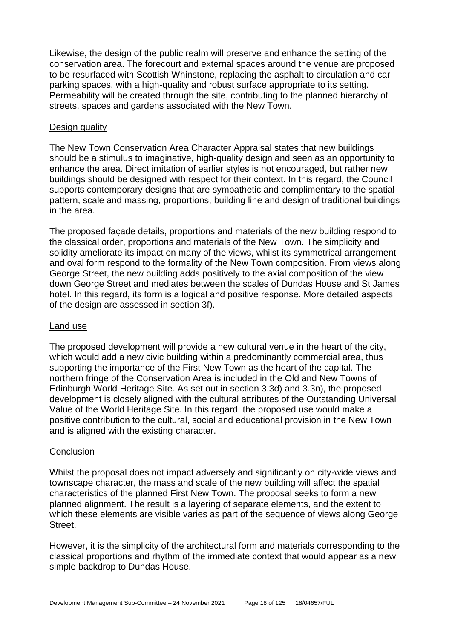Likewise, the design of the public realm will preserve and enhance the setting of the conservation area. The forecourt and external spaces around the venue are proposed to be resurfaced with Scottish Whinstone, replacing the asphalt to circulation and car parking spaces, with a high-quality and robust surface appropriate to its setting. Permeability will be created through the site, contributing to the planned hierarchy of streets, spaces and gardens associated with the New Town.

#### Design quality

The New Town Conservation Area Character Appraisal states that new buildings should be a stimulus to imaginative, high-quality design and seen as an opportunity to enhance the area. Direct imitation of earlier styles is not encouraged, but rather new buildings should be designed with respect for their context. In this regard, the Council supports contemporary designs that are sympathetic and complimentary to the spatial pattern, scale and massing, proportions, building line and design of traditional buildings in the area.

The proposed façade details, proportions and materials of the new building respond to the classical order, proportions and materials of the New Town. The simplicity and solidity ameliorate its impact on many of the views, whilst its symmetrical arrangement and oval form respond to the formality of the New Town composition. From views along George Street, the new building adds positively to the axial composition of the view down George Street and mediates between the scales of Dundas House and St James hotel. In this regard, its form is a logical and positive response. More detailed aspects of the design are assessed in section 3f).

#### Land use

The proposed development will provide a new cultural venue in the heart of the city, which would add a new civic building within a predominantly commercial area, thus supporting the importance of the First New Town as the heart of the capital. The northern fringe of the Conservation Area is included in the Old and New Towns of Edinburgh World Heritage Site. As set out in section 3.3d) and 3.3n), the proposed development is closely aligned with the cultural attributes of the Outstanding Universal Value of the World Heritage Site. In this regard, the proposed use would make a positive contribution to the cultural, social and educational provision in the New Town and is aligned with the existing character.

# **Conclusion**

Whilst the proposal does not impact adversely and significantly on city-wide views and townscape character, the mass and scale of the new building will affect the spatial characteristics of the planned First New Town. The proposal seeks to form a new planned alignment. The result is a layering of separate elements, and the extent to which these elements are visible varies as part of the sequence of views along George Street.

However, it is the simplicity of the architectural form and materials corresponding to the classical proportions and rhythm of the immediate context that would appear as a new simple backdrop to Dundas House.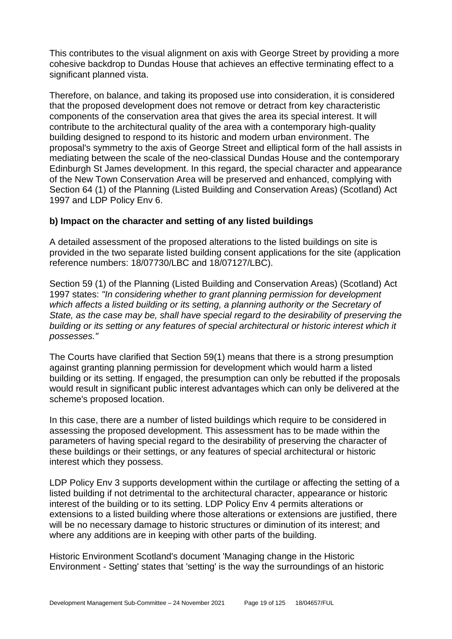This contributes to the visual alignment on axis with George Street by providing a more cohesive backdrop to Dundas House that achieves an effective terminating effect to a significant planned vista.

Therefore, on balance, and taking its proposed use into consideration, it is considered that the proposed development does not remove or detract from key characteristic components of the conservation area that gives the area its special interest. It will contribute to the architectural quality of the area with a contemporary high-quality building designed to respond to its historic and modern urban environment. The proposal's symmetry to the axis of George Street and elliptical form of the hall assists in mediating between the scale of the neo-classical Dundas House and the contemporary Edinburgh St James development. In this regard, the special character and appearance of the New Town Conservation Area will be preserved and enhanced, complying with Section 64 (1) of the Planning (Listed Building and Conservation Areas) (Scotland) Act 1997 and LDP Policy Env 6.

# **b) Impact on the character and setting of any listed buildings**

A detailed assessment of the proposed alterations to the listed buildings on site is provided in the two separate listed building consent applications for the site (application reference numbers: 18/07730/LBC and 18/07127/LBC).

Section 59 (1) of the Planning (Listed Building and Conservation Areas) (Scotland) Act 1997 states: *"In considering whether to grant planning permission for development which affects a listed building or its setting, a planning authority or the Secretary of State, as the case may be, shall have special regard to the desirability of preserving the building or its setting or any features of special architectural or historic interest which it possesses."*

The Courts have clarified that Section 59(1) means that there is a strong presumption against granting planning permission for development which would harm a listed building or its setting. If engaged, the presumption can only be rebutted if the proposals would result in significant public interest advantages which can only be delivered at the scheme's proposed location.

In this case, there are a number of listed buildings which require to be considered in assessing the proposed development. This assessment has to be made within the parameters of having special regard to the desirability of preserving the character of these buildings or their settings, or any features of special architectural or historic interest which they possess.

LDP Policy Env 3 supports development within the curtilage or affecting the setting of a listed building if not detrimental to the architectural character, appearance or historic interest of the building or to its setting. LDP Policy Env 4 permits alterations or extensions to a listed building where those alterations or extensions are justified, there will be no necessary damage to historic structures or diminution of its interest; and where any additions are in keeping with other parts of the building.

Historic Environment Scotland's document 'Managing change in the Historic Environment - Setting' states that 'setting' is the way the surroundings of an historic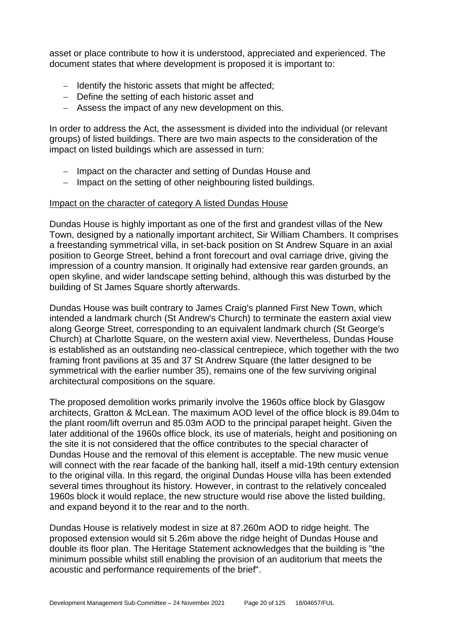asset or place contribute to how it is understood, appreciated and experienced. The document states that where development is proposed it is important to:

- − Identify the historic assets that might be affected;
- − Define the setting of each historic asset and
- − Assess the impact of any new development on this.

In order to address the Act, the assessment is divided into the individual (or relevant groups) of listed buildings. There are two main aspects to the consideration of the impact on listed buildings which are assessed in turn:

- − Impact on the character and setting of Dundas House and
- − Impact on the setting of other neighbouring listed buildings.

#### Impact on the character of category A listed Dundas House

Dundas House is highly important as one of the first and grandest villas of the New Town, designed by a nationally important architect, Sir William Chambers. It comprises a freestanding symmetrical villa, in set-back position on St Andrew Square in an axial position to George Street, behind a front forecourt and oval carriage drive, giving the impression of a country mansion. It originally had extensive rear garden grounds, an open skyline, and wider landscape setting behind, although this was disturbed by the building of St James Square shortly afterwards.

Dundas House was built contrary to James Craig's planned First New Town, which intended a landmark church (St Andrew's Church) to terminate the eastern axial view along George Street, corresponding to an equivalent landmark church (St George's Church) at Charlotte Square, on the western axial view. Nevertheless, Dundas House is established as an outstanding neo-classical centrepiece, which together with the two framing front pavilions at 35 and 37 St Andrew Square (the latter designed to be symmetrical with the earlier number 35), remains one of the few surviving original architectural compositions on the square.

The proposed demolition works primarily involve the 1960s office block by Glasgow architects, Gratton & McLean. The maximum AOD level of the office block is 89.04m to the plant room/lift overrun and 85.03m AOD to the principal parapet height. Given the later additional of the 1960s office block, its use of materials, height and positioning on the site it is not considered that the office contributes to the special character of Dundas House and the removal of this element is acceptable. The new music venue will connect with the rear facade of the banking hall, itself a mid-19th century extension to the original villa. In this regard, the original Dundas House villa has been extended several times throughout its history. However, in contrast to the relatively concealed 1960s block it would replace, the new structure would rise above the listed building, and expand beyond it to the rear and to the north.

Dundas House is relatively modest in size at 87.260m AOD to ridge height. The proposed extension would sit 5.26m above the ridge height of Dundas House and double its floor plan. The Heritage Statement acknowledges that the building is "the minimum possible whilst still enabling the provision of an auditorium that meets the acoustic and performance requirements of the brief".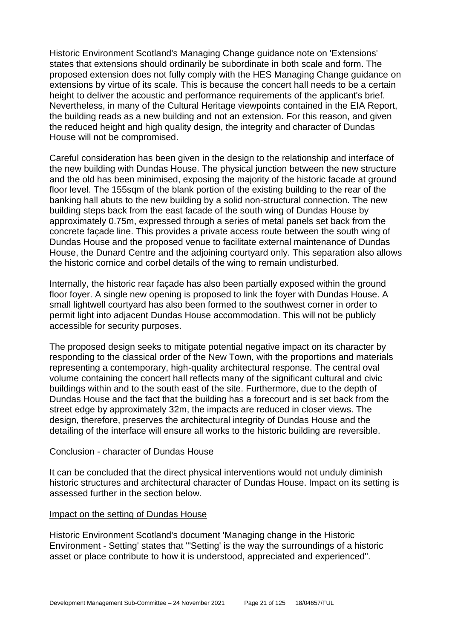Historic Environment Scotland's Managing Change guidance note on 'Extensions' states that extensions should ordinarily be subordinate in both scale and form. The proposed extension does not fully comply with the HES Managing Change guidance on extensions by virtue of its scale. This is because the concert hall needs to be a certain height to deliver the acoustic and performance requirements of the applicant's brief. Nevertheless, in many of the Cultural Heritage viewpoints contained in the EIA Report, the building reads as a new building and not an extension. For this reason, and given the reduced height and high quality design, the integrity and character of Dundas House will not be compromised.

Careful consideration has been given in the design to the relationship and interface of the new building with Dundas House. The physical junction between the new structure and the old has been minimised, exposing the majority of the historic facade at ground floor level. The 155sqm of the blank portion of the existing building to the rear of the banking hall abuts to the new building by a solid non-structural connection. The new building steps back from the east facade of the south wing of Dundas House by approximately 0.75m, expressed through a series of metal panels set back from the concrete façade line. This provides a private access route between the south wing of Dundas House and the proposed venue to facilitate external maintenance of Dundas House, the Dunard Centre and the adjoining courtyard only. This separation also allows the historic cornice and corbel details of the wing to remain undisturbed.

Internally, the historic rear façade has also been partially exposed within the ground floor foyer. A single new opening is proposed to link the foyer with Dundas House. A small lightwell courtyard has also been formed to the southwest corner in order to permit light into adjacent Dundas House accommodation. This will not be publicly accessible for security purposes.

The proposed design seeks to mitigate potential negative impact on its character by responding to the classical order of the New Town, with the proportions and materials representing a contemporary, high-quality architectural response. The central oval volume containing the concert hall reflects many of the significant cultural and civic buildings within and to the south east of the site. Furthermore, due to the depth of Dundas House and the fact that the building has a forecourt and is set back from the street edge by approximately 32m, the impacts are reduced in closer views. The design, therefore, preserves the architectural integrity of Dundas House and the detailing of the interface will ensure all works to the historic building are reversible.

#### Conclusion - character of Dundas House

It can be concluded that the direct physical interventions would not unduly diminish historic structures and architectural character of Dundas House. Impact on its setting is assessed further in the section below.

# Impact on the setting of Dundas House

Historic Environment Scotland's document 'Managing change in the Historic Environment - Setting' states that "'Setting' is the way the surroundings of a historic asset or place contribute to how it is understood, appreciated and experienced".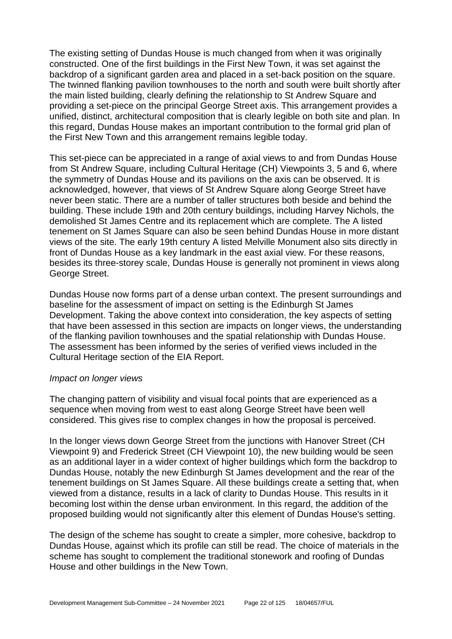The existing setting of Dundas House is much changed from when it was originally constructed. One of the first buildings in the First New Town, it was set against the backdrop of a significant garden area and placed in a set-back position on the square. The twinned flanking pavilion townhouses to the north and south were built shortly after the main listed building, clearly defining the relationship to St Andrew Square and providing a set-piece on the principal George Street axis. This arrangement provides a unified, distinct, architectural composition that is clearly legible on both site and plan. In this regard, Dundas House makes an important contribution to the formal grid plan of the First New Town and this arrangement remains legible today.

This set-piece can be appreciated in a range of axial views to and from Dundas House from St Andrew Square, including Cultural Heritage (CH) Viewpoints 3, 5 and 6, where the symmetry of Dundas House and its pavilions on the axis can be observed. It is acknowledged, however, that views of St Andrew Square along George Street have never been static. There are a number of taller structures both beside and behind the building. These include 19th and 20th century buildings, including Harvey Nichols, the demolished St James Centre and its replacement which are complete. The A listed tenement on St James Square can also be seen behind Dundas House in more distant views of the site. The early 19th century A listed Melville Monument also sits directly in front of Dundas House as a key landmark in the east axial view. For these reasons, besides its three-storey scale, Dundas House is generally not prominent in views along George Street.

Dundas House now forms part of a dense urban context. The present surroundings and baseline for the assessment of impact on setting is the Edinburgh St James Development. Taking the above context into consideration, the key aspects of setting that have been assessed in this section are impacts on longer views, the understanding of the flanking pavilion townhouses and the spatial relationship with Dundas House. The assessment has been informed by the series of verified views included in the Cultural Heritage section of the EIA Report.

#### *Impact on longer views*

The changing pattern of visibility and visual focal points that are experienced as a sequence when moving from west to east along George Street have been well considered. This gives rise to complex changes in how the proposal is perceived.

In the longer views down George Street from the junctions with Hanover Street (CH Viewpoint 9) and Frederick Street (CH Viewpoint 10), the new building would be seen as an additional layer in a wider context of higher buildings which form the backdrop to Dundas House, notably the new Edinburgh St James development and the rear of the tenement buildings on St James Square. All these buildings create a setting that, when viewed from a distance, results in a lack of clarity to Dundas House. This results in it becoming lost within the dense urban environment. In this regard, the addition of the proposed building would not significantly alter this element of Dundas House's setting.

The design of the scheme has sought to create a simpler, more cohesive, backdrop to Dundas House, against which its profile can still be read. The choice of materials in the scheme has sought to complement the traditional stonework and roofing of Dundas House and other buildings in the New Town.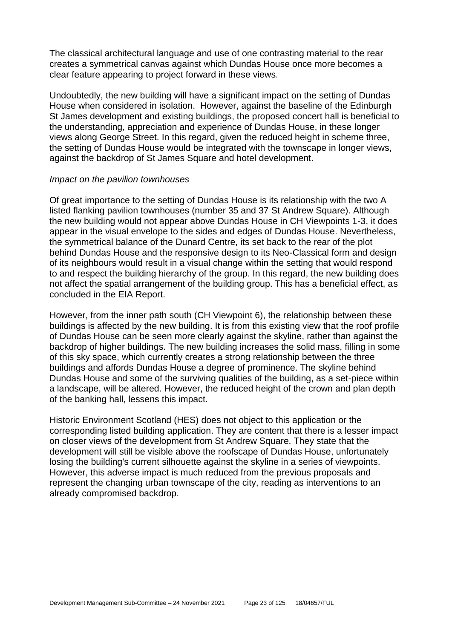The classical architectural language and use of one contrasting material to the rear creates a symmetrical canvas against which Dundas House once more becomes a clear feature appearing to project forward in these views.

Undoubtedly, the new building will have a significant impact on the setting of Dundas House when considered in isolation. However, against the baseline of the Edinburgh St James development and existing buildings, the proposed concert hall is beneficial to the understanding, appreciation and experience of Dundas House, in these longer views along George Street. In this regard, given the reduced height in scheme three, the setting of Dundas House would be integrated with the townscape in longer views, against the backdrop of St James Square and hotel development.

#### *Impact on the pavilion townhouses*

Of great importance to the setting of Dundas House is its relationship with the two A listed flanking pavilion townhouses (number 35 and 37 St Andrew Square). Although the new building would not appear above Dundas House in CH Viewpoints 1-3, it does appear in the visual envelope to the sides and edges of Dundas House. Nevertheless, the symmetrical balance of the Dunard Centre, its set back to the rear of the plot behind Dundas House and the responsive design to its Neo-Classical form and design of its neighbours would result in a visual change within the setting that would respond to and respect the building hierarchy of the group. In this regard, the new building does not affect the spatial arrangement of the building group. This has a beneficial effect, as concluded in the EIA Report.

However, from the inner path south (CH Viewpoint 6), the relationship between these buildings is affected by the new building. It is from this existing view that the roof profile of Dundas House can be seen more clearly against the skyline, rather than against the backdrop of higher buildings. The new building increases the solid mass, filling in some of this sky space, which currently creates a strong relationship between the three buildings and affords Dundas House a degree of prominence. The skyline behind Dundas House and some of the surviving qualities of the building, as a set-piece within a landscape, will be altered. However, the reduced height of the crown and plan depth of the banking hall, lessens this impact.

Historic Environment Scotland (HES) does not object to this application or the corresponding listed building application. They are content that there is a lesser impact on closer views of the development from St Andrew Square. They state that the development will still be visible above the roofscape of Dundas House, unfortunately losing the building's current silhouette against the skyline in a series of viewpoints. However, this adverse impact is much reduced from the previous proposals and represent the changing urban townscape of the city, reading as interventions to an already compromised backdrop.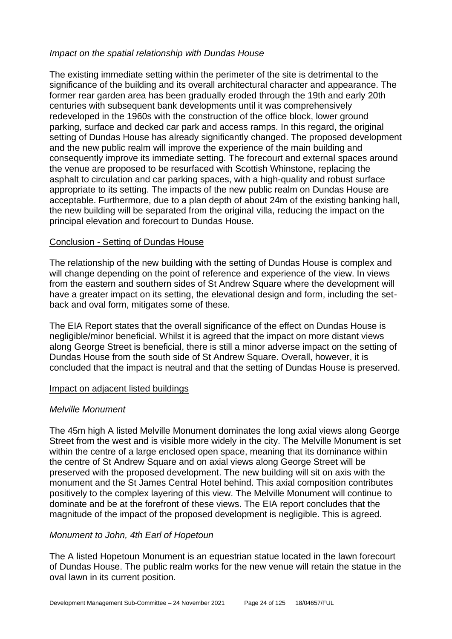#### *Impact on the spatial relationship with Dundas House*

The existing immediate setting within the perimeter of the site is detrimental to the significance of the building and its overall architectural character and appearance. The former rear garden area has been gradually eroded through the 19th and early 20th centuries with subsequent bank developments until it was comprehensively redeveloped in the 1960s with the construction of the office block, lower ground parking, surface and decked car park and access ramps. In this regard, the original setting of Dundas House has already significantly changed. The proposed development and the new public realm will improve the experience of the main building and consequently improve its immediate setting. The forecourt and external spaces around the venue are proposed to be resurfaced with Scottish Whinstone, replacing the asphalt to circulation and car parking spaces, with a high-quality and robust surface appropriate to its setting. The impacts of the new public realm on Dundas House are acceptable. Furthermore, due to a plan depth of about 24m of the existing banking hall, the new building will be separated from the original villa, reducing the impact on the principal elevation and forecourt to Dundas House.

#### Conclusion - Setting of Dundas House

The relationship of the new building with the setting of Dundas House is complex and will change depending on the point of reference and experience of the view. In views from the eastern and southern sides of St Andrew Square where the development will have a greater impact on its setting, the elevational design and form, including the setback and oval form, mitigates some of these.

The EIA Report states that the overall significance of the effect on Dundas House is negligible/minor beneficial. Whilst it is agreed that the impact on more distant views along George Street is beneficial, there is still a minor adverse impact on the setting of Dundas House from the south side of St Andrew Square. Overall, however, it is concluded that the impact is neutral and that the setting of Dundas House is preserved.

#### Impact on adjacent listed buildings

# *Melville Monument*

The 45m high A listed Melville Monument dominates the long axial views along George Street from the west and is visible more widely in the city. The Melville Monument is set within the centre of a large enclosed open space, meaning that its dominance within the centre of St Andrew Square and on axial views along George Street will be preserved with the proposed development. The new building will sit on axis with the monument and the St James Central Hotel behind. This axial composition contributes positively to the complex layering of this view. The Melville Monument will continue to dominate and be at the forefront of these views. The EIA report concludes that the magnitude of the impact of the proposed development is negligible. This is agreed.

# *Monument to John, 4th Earl of Hopetoun*

The A listed Hopetoun Monument is an equestrian statue located in the lawn forecourt of Dundas House. The public realm works for the new venue will retain the statue in the oval lawn in its current position.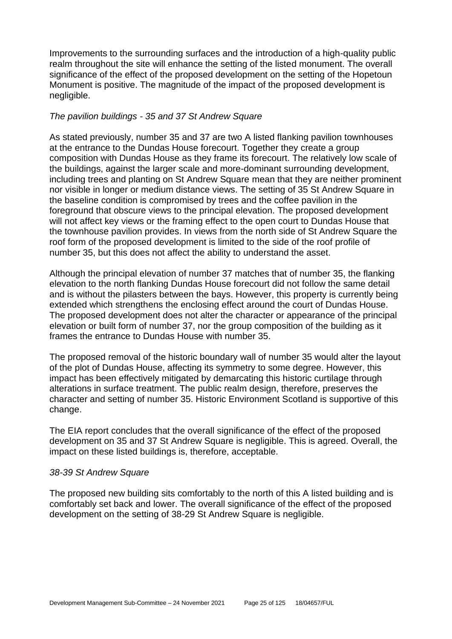Improvements to the surrounding surfaces and the introduction of a high-quality public realm throughout the site will enhance the setting of the listed monument. The overall significance of the effect of the proposed development on the setting of the Hopetoun Monument is positive. The magnitude of the impact of the proposed development is negligible.

# *The pavilion buildings - 35 and 37 St Andrew Square*

As stated previously, number 35 and 37 are two A listed flanking pavilion townhouses at the entrance to the Dundas House forecourt. Together they create a group composition with Dundas House as they frame its forecourt. The relatively low scale of the buildings, against the larger scale and more-dominant surrounding development, including trees and planting on St Andrew Square mean that they are neither prominent nor visible in longer or medium distance views. The setting of 35 St Andrew Square in the baseline condition is compromised by trees and the coffee pavilion in the foreground that obscure views to the principal elevation. The proposed development will not affect key views or the framing effect to the open court to Dundas House that the townhouse pavilion provides. In views from the north side of St Andrew Square the roof form of the proposed development is limited to the side of the roof profile of number 35, but this does not affect the ability to understand the asset.

Although the principal elevation of number 37 matches that of number 35, the flanking elevation to the north flanking Dundas House forecourt did not follow the same detail and is without the pilasters between the bays. However, this property is currently being extended which strengthens the enclosing effect around the court of Dundas House. The proposed development does not alter the character or appearance of the principal elevation or built form of number 37, nor the group composition of the building as it frames the entrance to Dundas House with number 35.

The proposed removal of the historic boundary wall of number 35 would alter the layout of the plot of Dundas House, affecting its symmetry to some degree. However, this impact has been effectively mitigated by demarcating this historic curtilage through alterations in surface treatment. The public realm design, therefore, preserves the character and setting of number 35. Historic Environment Scotland is supportive of this change.

The EIA report concludes that the overall significance of the effect of the proposed development on 35 and 37 St Andrew Square is negligible. This is agreed. Overall, the impact on these listed buildings is, therefore, acceptable.

#### *38-39 St Andrew Square*

The proposed new building sits comfortably to the north of this A listed building and is comfortably set back and lower. The overall significance of the effect of the proposed development on the setting of 38-29 St Andrew Square is negligible.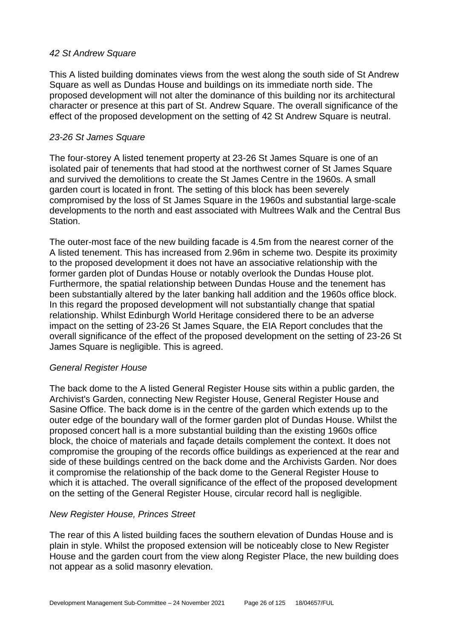# *42 St Andrew Square*

This A listed building dominates views from the west along the south side of St Andrew Square as well as Dundas House and buildings on its immediate north side. The proposed development will not alter the dominance of this building nor its architectural character or presence at this part of St. Andrew Square. The overall significance of the effect of the proposed development on the setting of 42 St Andrew Square is neutral.

#### *23-26 St James Square*

The four-storey A listed tenement property at 23-26 St James Square is one of an isolated pair of tenements that had stood at the northwest corner of St James Square and survived the demolitions to create the St James Centre in the 1960s. A small garden court is located in front. The setting of this block has been severely compromised by the loss of St James Square in the 1960s and substantial large-scale developments to the north and east associated with Multrees Walk and the Central Bus Station.

The outer-most face of the new building facade is 4.5m from the nearest corner of the A listed tenement. This has increased from 2.96m in scheme two. Despite its proximity to the proposed development it does not have an associative relationship with the former garden plot of Dundas House or notably overlook the Dundas House plot. Furthermore, the spatial relationship between Dundas House and the tenement has been substantially altered by the later banking hall addition and the 1960s office block. In this regard the proposed development will not substantially change that spatial relationship. Whilst Edinburgh World Heritage considered there to be an adverse impact on the setting of 23-26 St James Square, the EIA Report concludes that the overall significance of the effect of the proposed development on the setting of 23-26 St James Square is negligible. This is agreed.

# *General Register House*

The back dome to the A listed General Register House sits within a public garden, the Archivist's Garden, connecting New Register House, General Register House and Sasine Office. The back dome is in the centre of the garden which extends up to the outer edge of the boundary wall of the former garden plot of Dundas House. Whilst the proposed concert hall is a more substantial building than the existing 1960s office block, the choice of materials and façade details complement the context. It does not compromise the grouping of the records office buildings as experienced at the rear and side of these buildings centred on the back dome and the Archivists Garden. Nor does it compromise the relationship of the back dome to the General Register House to which it is attached. The overall significance of the effect of the proposed development on the setting of the General Register House, circular record hall is negligible.

# *New Register House, Princes Street*

The rear of this A listed building faces the southern elevation of Dundas House and is plain in style. Whilst the proposed extension will be noticeably close to New Register House and the garden court from the view along Register Place, the new building does not appear as a solid masonry elevation.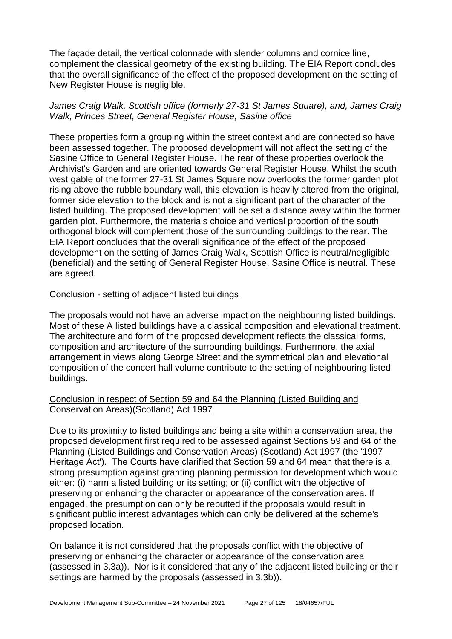The façade detail, the vertical colonnade with slender columns and cornice line, complement the classical geometry of the existing building. The EIA Report concludes that the overall significance of the effect of the proposed development on the setting of New Register House is negligible.

# *James Craig Walk, Scottish office (formerly 27-31 St James Square), and, James Craig Walk, Princes Street, General Register House, Sasine office*

These properties form a grouping within the street context and are connected so have been assessed together. The proposed development will not affect the setting of the Sasine Office to General Register House. The rear of these properties overlook the Archivist's Garden and are oriented towards General Register House. Whilst the south west gable of the former 27-31 St James Square now overlooks the former garden plot rising above the rubble boundary wall, this elevation is heavily altered from the original, former side elevation to the block and is not a significant part of the character of the listed building. The proposed development will be set a distance away within the former garden plot. Furthermore, the materials choice and vertical proportion of the south orthogonal block will complement those of the surrounding buildings to the rear. The EIA Report concludes that the overall significance of the effect of the proposed development on the setting of James Craig Walk, Scottish Office is neutral/negligible (beneficial) and the setting of General Register House, Sasine Office is neutral. These are agreed.

#### Conclusion - setting of adjacent listed buildings

The proposals would not have an adverse impact on the neighbouring listed buildings. Most of these A listed buildings have a classical composition and elevational treatment. The architecture and form of the proposed development reflects the classical forms, composition and architecture of the surrounding buildings. Furthermore, the axial arrangement in views along George Street and the symmetrical plan and elevational composition of the concert hall volume contribute to the setting of neighbouring listed buildings.

# Conclusion in respect of Section 59 and 64 the Planning (Listed Building and Conservation Areas)(Scotland) Act 1997

Due to its proximity to listed buildings and being a site within a conservation area, the proposed development first required to be assessed against Sections 59 and 64 of the Planning (Listed Buildings and Conservation Areas) (Scotland) Act 1997 (the '1997 Heritage Act'). The Courts have clarified that Section 59 and 64 mean that there is a strong presumption against granting planning permission for development which would either: (i) harm a listed building or its setting; or (ii) conflict with the objective of preserving or enhancing the character or appearance of the conservation area. If engaged, the presumption can only be rebutted if the proposals would result in significant public interest advantages which can only be delivered at the scheme's proposed location.

On balance it is not considered that the proposals conflict with the objective of preserving or enhancing the character or appearance of the conservation area (assessed in 3.3a)). Nor is it considered that any of the adjacent listed building or their settings are harmed by the proposals (assessed in 3.3b)).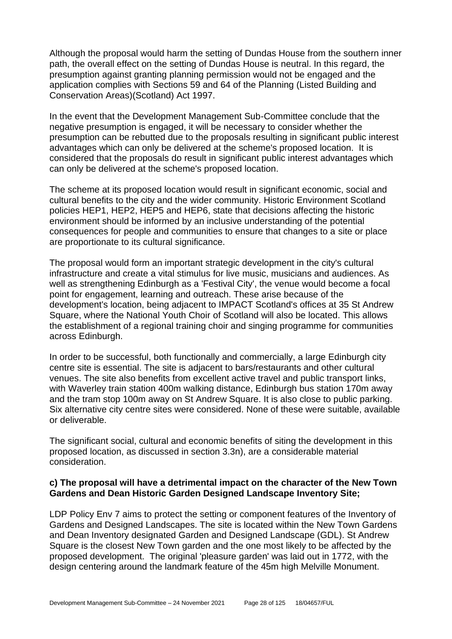Although the proposal would harm the setting of Dundas House from the southern inner path, the overall effect on the setting of Dundas House is neutral. In this regard, the presumption against granting planning permission would not be engaged and the application complies with Sections 59 and 64 of the Planning (Listed Building and Conservation Areas)(Scotland) Act 1997.

In the event that the Development Management Sub-Committee conclude that the negative presumption is engaged, it will be necessary to consider whether the presumption can be rebutted due to the proposals resulting in significant public interest advantages which can only be delivered at the scheme's proposed location. It is considered that the proposals do result in significant public interest advantages which can only be delivered at the scheme's proposed location.

The scheme at its proposed location would result in significant economic, social and cultural benefits to the city and the wider community. Historic Environment Scotland policies HEP1, HEP2, HEP5 and HEP6, state that decisions affecting the historic environment should be informed by an inclusive understanding of the potential consequences for people and communities to ensure that changes to a site or place are proportionate to its cultural significance.

The proposal would form an important strategic development in the city's cultural infrastructure and create a vital stimulus for live music, musicians and audiences. As well as strengthening Edinburgh as a 'Festival City', the venue would become a focal point for engagement, learning and outreach. These arise because of the development's location, being adjacent to IMPACT Scotland's offices at 35 St Andrew Square, where the National Youth Choir of Scotland will also be located. This allows the establishment of a regional training choir and singing programme for communities across Edinburgh.

In order to be successful, both functionally and commercially, a large Edinburgh city centre site is essential. The site is adjacent to bars/restaurants and other cultural venues. The site also benefits from excellent active travel and public transport links, with Waverley train station 400m walking distance, Edinburgh bus station 170m away and the tram stop 100m away on St Andrew Square. It is also close to public parking. Six alternative city centre sites were considered. None of these were suitable, available or deliverable.

The significant social, cultural and economic benefits of siting the development in this proposed location, as discussed in section 3.3n), are a considerable material consideration.

# **c) The proposal will have a detrimental impact on the character of the New Town Gardens and Dean Historic Garden Designed Landscape Inventory Site;**

LDP Policy Env 7 aims to protect the setting or component features of the Inventory of Gardens and Designed Landscapes. The site is located within the New Town Gardens and Dean Inventory designated Garden and Designed Landscape (GDL). St Andrew Square is the closest New Town garden and the one most likely to be affected by the proposed development. The original 'pleasure garden' was laid out in 1772, with the design centering around the landmark feature of the 45m high Melville Monument.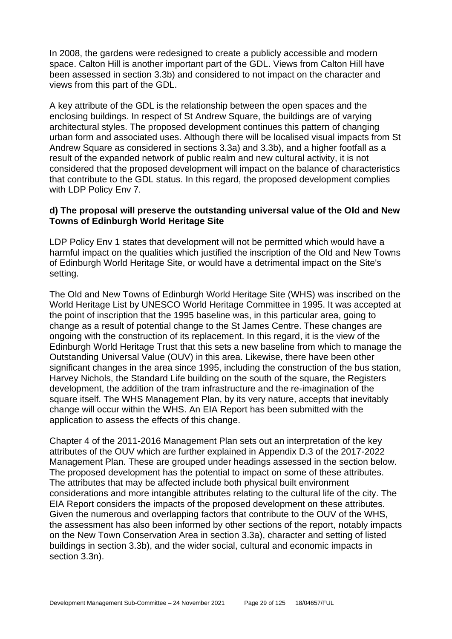In 2008, the gardens were redesigned to create a publicly accessible and modern space. Calton Hill is another important part of the GDL. Views from Calton Hill have been assessed in section 3.3b) and considered to not impact on the character and views from this part of the GDL.

A key attribute of the GDL is the relationship between the open spaces and the enclosing buildings. In respect of St Andrew Square, the buildings are of varying architectural styles. The proposed development continues this pattern of changing urban form and associated uses. Although there will be localised visual impacts from St Andrew Square as considered in sections 3.3a) and 3.3b), and a higher footfall as a result of the expanded network of public realm and new cultural activity, it is not considered that the proposed development will impact on the balance of characteristics that contribute to the GDL status. In this regard, the proposed development complies with LDP Policy Env 7.

#### **d) The proposal will preserve the outstanding universal value of the Old and New Towns of Edinburgh World Heritage Site**

LDP Policy Env 1 states that development will not be permitted which would have a harmful impact on the qualities which justified the inscription of the Old and New Towns of Edinburgh World Heritage Site, or would have a detrimental impact on the Site's setting.

The Old and New Towns of Edinburgh World Heritage Site (WHS) was inscribed on the World Heritage List by UNESCO World Heritage Committee in 1995. It was accepted at the point of inscription that the 1995 baseline was, in this particular area, going to change as a result of potential change to the St James Centre. These changes are ongoing with the construction of its replacement. In this regard, it is the view of the Edinburgh World Heritage Trust that this sets a new baseline from which to manage the Outstanding Universal Value (OUV) in this area. Likewise, there have been other significant changes in the area since 1995, including the construction of the bus station, Harvey Nichols, the Standard Life building on the south of the square, the Registers development, the addition of the tram infrastructure and the re-imagination of the square itself. The WHS Management Plan, by its very nature, accepts that inevitably change will occur within the WHS. An EIA Report has been submitted with the application to assess the effects of this change.

Chapter 4 of the 2011-2016 Management Plan sets out an interpretation of the key attributes of the OUV which are further explained in Appendix D.3 of the 2017-2022 Management Plan. These are grouped under headings assessed in the section below. The proposed development has the potential to impact on some of these attributes. The attributes that may be affected include both physical built environment considerations and more intangible attributes relating to the cultural life of the city. The EIA Report considers the impacts of the proposed development on these attributes. Given the numerous and overlapping factors that contribute to the OUV of the WHS, the assessment has also been informed by other sections of the report, notably impacts on the New Town Conservation Area in section 3.3a), character and setting of listed buildings in section 3.3b), and the wider social, cultural and economic impacts in section 3.3n).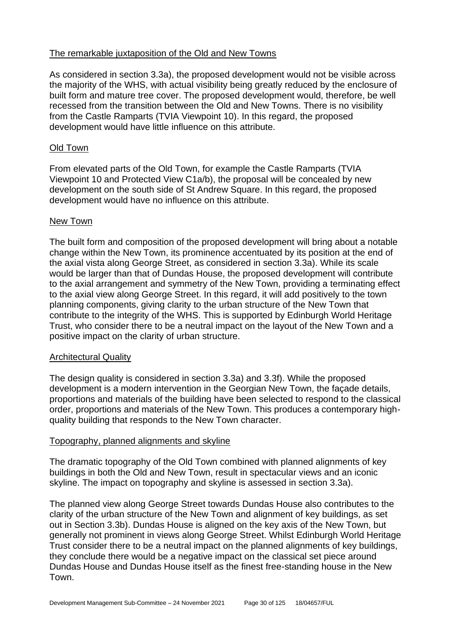# The remarkable juxtaposition of the Old and New Towns

As considered in section 3.3a), the proposed development would not be visible across the majority of the WHS, with actual visibility being greatly reduced by the enclosure of built form and mature tree cover. The proposed development would, therefore, be well recessed from the transition between the Old and New Towns. There is no visibility from the Castle Ramparts (TVIA Viewpoint 10). In this regard, the proposed development would have little influence on this attribute.

#### Old Town

From elevated parts of the Old Town, for example the Castle Ramparts (TVIA Viewpoint 10 and Protected View C1a/b), the proposal will be concealed by new development on the south side of St Andrew Square. In this regard, the proposed development would have no influence on this attribute.

#### New Town

The built form and composition of the proposed development will bring about a notable change within the New Town, its prominence accentuated by its position at the end of the axial vista along George Street, as considered in section 3.3a). While its scale would be larger than that of Dundas House, the proposed development will contribute to the axial arrangement and symmetry of the New Town, providing a terminating effect to the axial view along George Street. In this regard, it will add positively to the town planning components, giving clarity to the urban structure of the New Town that contribute to the integrity of the WHS. This is supported by Edinburgh World Heritage Trust, who consider there to be a neutral impact on the layout of the New Town and a positive impact on the clarity of urban structure.

# Architectural Quality

The design quality is considered in section 3.3a) and 3.3f). While the proposed development is a modern intervention in the Georgian New Town, the façade details, proportions and materials of the building have been selected to respond to the classical order, proportions and materials of the New Town. This produces a contemporary highquality building that responds to the New Town character.

#### Topography, planned alignments and skyline

The dramatic topography of the Old Town combined with planned alignments of key buildings in both the Old and New Town, result in spectacular views and an iconic skyline. The impact on topography and skyline is assessed in section 3.3a).

The planned view along George Street towards Dundas House also contributes to the clarity of the urban structure of the New Town and alignment of key buildings, as set out in Section 3.3b). Dundas House is aligned on the key axis of the New Town, but generally not prominent in views along George Street. Whilst Edinburgh World Heritage Trust consider there to be a neutral impact on the planned alignments of key buildings, they conclude there would be a negative impact on the classical set piece around Dundas House and Dundas House itself as the finest free-standing house in the New Town.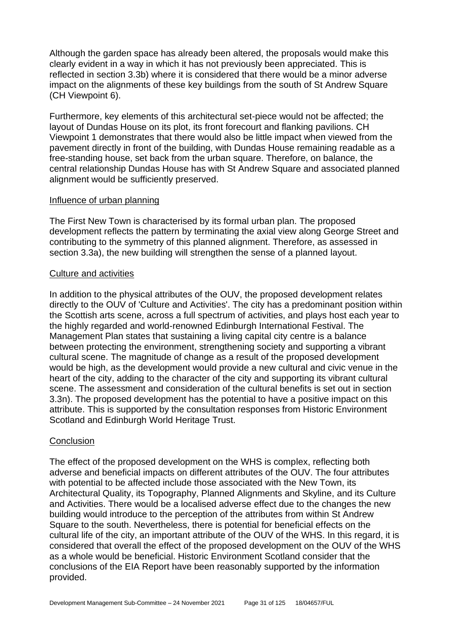Although the garden space has already been altered, the proposals would make this clearly evident in a way in which it has not previously been appreciated. This is reflected in section 3.3b) where it is considered that there would be a minor adverse impact on the alignments of these key buildings from the south of St Andrew Square (CH Viewpoint 6).

Furthermore, key elements of this architectural set-piece would not be affected; the layout of Dundas House on its plot, its front forecourt and flanking pavilions. CH Viewpoint 1 demonstrates that there would also be little impact when viewed from the pavement directly in front of the building, with Dundas House remaining readable as a free-standing house, set back from the urban square. Therefore, on balance, the central relationship Dundas House has with St Andrew Square and associated planned alignment would be sufficiently preserved.

#### Influence of urban planning

The First New Town is characterised by its formal urban plan. The proposed development reflects the pattern by terminating the axial view along George Street and contributing to the symmetry of this planned alignment. Therefore, as assessed in section 3.3a), the new building will strengthen the sense of a planned layout.

#### Culture and activities

In addition to the physical attributes of the OUV, the proposed development relates directly to the OUV of 'Culture and Activities'. The city has a predominant position within the Scottish arts scene, across a full spectrum of activities, and plays host each year to the highly regarded and world-renowned Edinburgh International Festival. The Management Plan states that sustaining a living capital city centre is a balance between protecting the environment, strengthening society and supporting a vibrant cultural scene. The magnitude of change as a result of the proposed development would be high, as the development would provide a new cultural and civic venue in the heart of the city, adding to the character of the city and supporting its vibrant cultural scene. The assessment and consideration of the cultural benefits is set out in section 3.3n). The proposed development has the potential to have a positive impact on this attribute. This is supported by the consultation responses from Historic Environment Scotland and Edinburgh World Heritage Trust.

# **Conclusion**

The effect of the proposed development on the WHS is complex, reflecting both adverse and beneficial impacts on different attributes of the OUV. The four attributes with potential to be affected include those associated with the New Town, its Architectural Quality, its Topography, Planned Alignments and Skyline, and its Culture and Activities. There would be a localised adverse effect due to the changes the new building would introduce to the perception of the attributes from within St Andrew Square to the south. Nevertheless, there is potential for beneficial effects on the cultural life of the city, an important attribute of the OUV of the WHS. In this regard, it is considered that overall the effect of the proposed development on the OUV of the WHS as a whole would be beneficial. Historic Environment Scotland consider that the conclusions of the EIA Report have been reasonably supported by the information provided.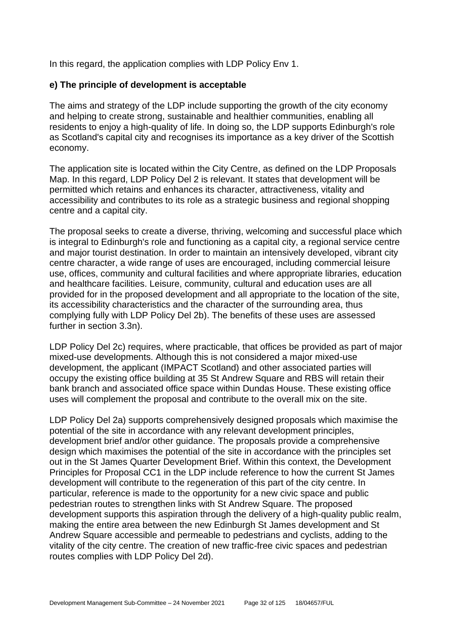In this regard, the application complies with LDP Policy Env 1.

#### **e) The principle of development is acceptable**

The aims and strategy of the LDP include supporting the growth of the city economy and helping to create strong, sustainable and healthier communities, enabling all residents to enjoy a high-quality of life. In doing so, the LDP supports Edinburgh's role as Scotland's capital city and recognises its importance as a key driver of the Scottish economy.

The application site is located within the City Centre, as defined on the LDP Proposals Map. In this regard, LDP Policy Del 2 is relevant. It states that development will be permitted which retains and enhances its character, attractiveness, vitality and accessibility and contributes to its role as a strategic business and regional shopping centre and a capital city.

The proposal seeks to create a diverse, thriving, welcoming and successful place which is integral to Edinburgh's role and functioning as a capital city, a regional service centre and major tourist destination. In order to maintain an intensively developed, vibrant city centre character, a wide range of uses are encouraged, including commercial leisure use, offices, community and cultural facilities and where appropriate libraries, education and healthcare facilities. Leisure, community, cultural and education uses are all provided for in the proposed development and all appropriate to the location of the site, its accessibility characteristics and the character of the surrounding area, thus complying fully with LDP Policy Del 2b). The benefits of these uses are assessed further in section 3.3n).

LDP Policy Del 2c) requires, where practicable, that offices be provided as part of major mixed-use developments. Although this is not considered a major mixed-use development, the applicant (IMPACT Scotland) and other associated parties will occupy the existing office building at 35 St Andrew Square and RBS will retain their bank branch and associated office space within Dundas House. These existing office uses will complement the proposal and contribute to the overall mix on the site.

LDP Policy Del 2a) supports comprehensively designed proposals which maximise the potential of the site in accordance with any relevant development principles, development brief and/or other guidance. The proposals provide a comprehensive design which maximises the potential of the site in accordance with the principles set out in the St James Quarter Development Brief. Within this context, the Development Principles for Proposal CC1 in the LDP include reference to how the current St James development will contribute to the regeneration of this part of the city centre. In particular, reference is made to the opportunity for a new civic space and public pedestrian routes to strengthen links with St Andrew Square. The proposed development supports this aspiration through the delivery of a high-quality public realm, making the entire area between the new Edinburgh St James development and St Andrew Square accessible and permeable to pedestrians and cyclists, adding to the vitality of the city centre. The creation of new traffic-free civic spaces and pedestrian routes complies with LDP Policy Del 2d).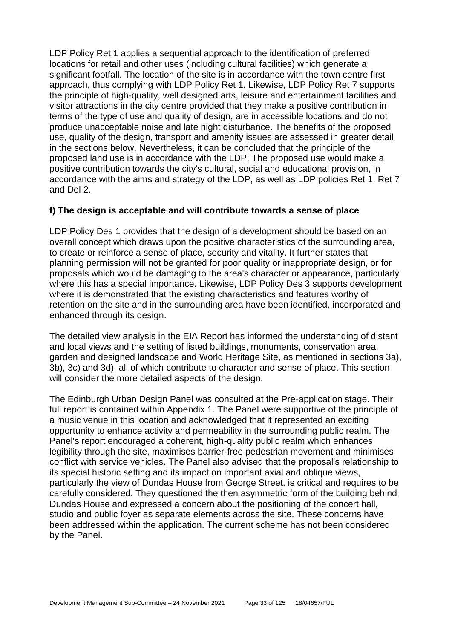LDP Policy Ret 1 applies a sequential approach to the identification of preferred locations for retail and other uses (including cultural facilities) which generate a significant footfall. The location of the site is in accordance with the town centre first approach, thus complying with LDP Policy Ret 1. Likewise, LDP Policy Ret 7 supports the principle of high-quality, well designed arts, leisure and entertainment facilities and visitor attractions in the city centre provided that they make a positive contribution in terms of the type of use and quality of design, are in accessible locations and do not produce unacceptable noise and late night disturbance. The benefits of the proposed use, quality of the design, transport and amenity issues are assessed in greater detail in the sections below. Nevertheless, it can be concluded that the principle of the proposed land use is in accordance with the LDP. The proposed use would make a positive contribution towards the city's cultural, social and educational provision, in accordance with the aims and strategy of the LDP, as well as LDP policies Ret 1, Ret 7 and Del 2.

# **f) The design is acceptable and will contribute towards a sense of place**

LDP Policy Des 1 provides that the design of a development should be based on an overall concept which draws upon the positive characteristics of the surrounding area, to create or reinforce a sense of place, security and vitality. It further states that planning permission will not be granted for poor quality or inappropriate design, or for proposals which would be damaging to the area's character or appearance, particularly where this has a special importance. Likewise, LDP Policy Des 3 supports development where it is demonstrated that the existing characteristics and features worthy of retention on the site and in the surrounding area have been identified, incorporated and enhanced through its design.

The detailed view analysis in the EIA Report has informed the understanding of distant and local views and the setting of listed buildings, monuments, conservation area, garden and designed landscape and World Heritage Site, as mentioned in sections 3a), 3b), 3c) and 3d), all of which contribute to character and sense of place. This section will consider the more detailed aspects of the design.

The Edinburgh Urban Design Panel was consulted at the Pre-application stage. Their full report is contained within Appendix 1. The Panel were supportive of the principle of a music venue in this location and acknowledged that it represented an exciting opportunity to enhance activity and permeability in the surrounding public realm. The Panel's report encouraged a coherent, high-quality public realm which enhances legibility through the site, maximises barrier-free pedestrian movement and minimises conflict with service vehicles. The Panel also advised that the proposal's relationship to its special historic setting and its impact on important axial and oblique views, particularly the view of Dundas House from George Street, is critical and requires to be carefully considered. They questioned the then asymmetric form of the building behind Dundas House and expressed a concern about the positioning of the concert hall, studio and public foyer as separate elements across the site. These concerns have been addressed within the application. The current scheme has not been considered by the Panel.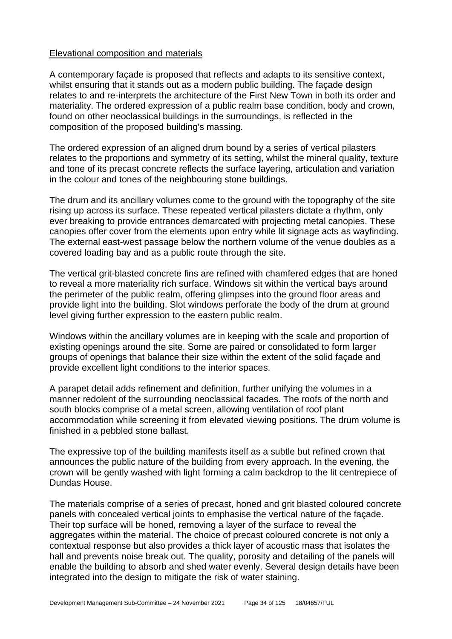#### Elevational composition and materials

A contemporary façade is proposed that reflects and adapts to its sensitive context, whilst ensuring that it stands out as a modern public building. The façade design relates to and re-interprets the architecture of the First New Town in both its order and materiality. The ordered expression of a public realm base condition, body and crown, found on other neoclassical buildings in the surroundings, is reflected in the composition of the proposed building's massing.

The ordered expression of an aligned drum bound by a series of vertical pilasters relates to the proportions and symmetry of its setting, whilst the mineral quality, texture and tone of its precast concrete reflects the surface layering, articulation and variation in the colour and tones of the neighbouring stone buildings.

The drum and its ancillary volumes come to the ground with the topography of the site rising up across its surface. These repeated vertical pilasters dictate a rhythm, only ever breaking to provide entrances demarcated with projecting metal canopies. These canopies offer cover from the elements upon entry while lit signage acts as wayfinding. The external east-west passage below the northern volume of the venue doubles as a covered loading bay and as a public route through the site.

The vertical grit-blasted concrete fins are refined with chamfered edges that are honed to reveal a more materiality rich surface. Windows sit within the vertical bays around the perimeter of the public realm, offering glimpses into the ground floor areas and provide light into the building. Slot windows perforate the body of the drum at ground level giving further expression to the eastern public realm.

Windows within the ancillary volumes are in keeping with the scale and proportion of existing openings around the site. Some are paired or consolidated to form larger groups of openings that balance their size within the extent of the solid façade and provide excellent light conditions to the interior spaces.

A parapet detail adds refinement and definition, further unifying the volumes in a manner redolent of the surrounding neoclassical facades. The roofs of the north and south blocks comprise of a metal screen, allowing ventilation of roof plant accommodation while screening it from elevated viewing positions. The drum volume is finished in a pebbled stone ballast.

The expressive top of the building manifests itself as a subtle but refined crown that announces the public nature of the building from every approach. In the evening, the crown will be gently washed with light forming a calm backdrop to the lit centrepiece of Dundas House.

The materials comprise of a series of precast, honed and grit blasted coloured concrete panels with concealed vertical joints to emphasise the vertical nature of the façade. Their top surface will be honed, removing a layer of the surface to reveal the aggregates within the material. The choice of precast coloured concrete is not only a contextual response but also provides a thick layer of acoustic mass that isolates the hall and prevents noise break out. The quality, porosity and detailing of the panels will enable the building to absorb and shed water evenly. Several design details have been integrated into the design to mitigate the risk of water staining.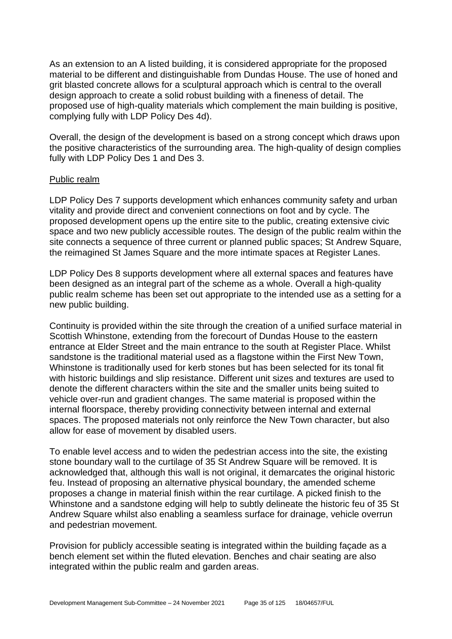As an extension to an A listed building, it is considered appropriate for the proposed material to be different and distinguishable from Dundas House. The use of honed and grit blasted concrete allows for a sculptural approach which is central to the overall design approach to create a solid robust building with a fineness of detail. The proposed use of high-quality materials which complement the main building is positive, complying fully with LDP Policy Des 4d).

Overall, the design of the development is based on a strong concept which draws upon the positive characteristics of the surrounding area. The high-quality of design complies fully with LDP Policy Des 1 and Des 3.

#### Public realm

LDP Policy Des 7 supports development which enhances community safety and urban vitality and provide direct and convenient connections on foot and by cycle. The proposed development opens up the entire site to the public, creating extensive civic space and two new publicly accessible routes. The design of the public realm within the site connects a sequence of three current or planned public spaces; St Andrew Square, the reimagined St James Square and the more intimate spaces at Register Lanes.

LDP Policy Des 8 supports development where all external spaces and features have been designed as an integral part of the scheme as a whole. Overall a high-quality public realm scheme has been set out appropriate to the intended use as a setting for a new public building.

Continuity is provided within the site through the creation of a unified surface material in Scottish Whinstone, extending from the forecourt of Dundas House to the eastern entrance at Elder Street and the main entrance to the south at Register Place. Whilst sandstone is the traditional material used as a flagstone within the First New Town, Whinstone is traditionally used for kerb stones but has been selected for its tonal fit with historic buildings and slip resistance. Different unit sizes and textures are used to denote the different characters within the site and the smaller units being suited to vehicle over-run and gradient changes. The same material is proposed within the internal floorspace, thereby providing connectivity between internal and external spaces. The proposed materials not only reinforce the New Town character, but also allow for ease of movement by disabled users.

To enable level access and to widen the pedestrian access into the site, the existing stone boundary wall to the curtilage of 35 St Andrew Square will be removed. It is acknowledged that, although this wall is not original, it demarcates the original historic feu. Instead of proposing an alternative physical boundary, the amended scheme proposes a change in material finish within the rear curtilage. A picked finish to the Whinstone and a sandstone edging will help to subtly delineate the historic feu of 35 St Andrew Square whilst also enabling a seamless surface for drainage, vehicle overrun and pedestrian movement.

Provision for publicly accessible seating is integrated within the building façade as a bench element set within the fluted elevation. Benches and chair seating are also integrated within the public realm and garden areas.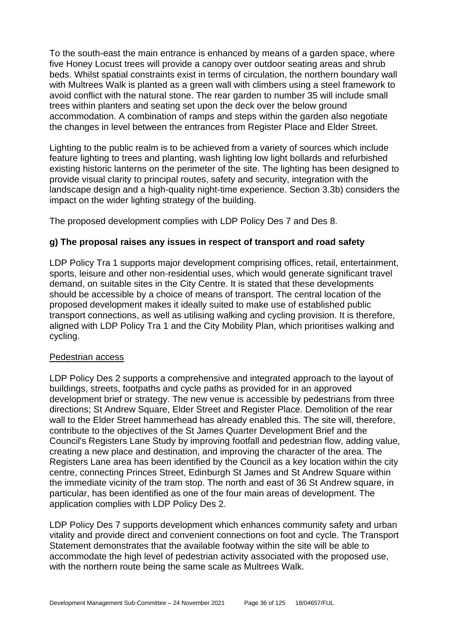To the south-east the main entrance is enhanced by means of a garden space, where five Honey Locust trees will provide a canopy over outdoor seating areas and shrub beds. Whilst spatial constraints exist in terms of circulation, the northern boundary wall with Multrees Walk is planted as a green wall with climbers using a steel framework to avoid conflict with the natural stone. The rear garden to number 35 will include small trees within planters and seating set upon the deck over the below ground accommodation. A combination of ramps and steps within the garden also negotiate the changes in level between the entrances from Register Place and Elder Street.

Lighting to the public realm is to be achieved from a variety of sources which include feature lighting to trees and planting, wash lighting low light bollards and refurbished existing historic lanterns on the perimeter of the site. The lighting has been designed to provide visual clarity to principal routes, safety and security, integration with the landscape design and a high-quality night-time experience. Section 3.3b) considers the impact on the wider lighting strategy of the building.

The proposed development complies with LDP Policy Des 7 and Des 8.

# **g) The proposal raises any issues in respect of transport and road safety**

LDP Policy Tra 1 supports major development comprising offices, retail, entertainment, sports, leisure and other non-residential uses, which would generate significant travel demand, on suitable sites in the City Centre. It is stated that these developments should be accessible by a choice of means of transport. The central location of the proposed development makes it ideally suited to make use of established public transport connections, as well as utilising walking and cycling provision. It is therefore, aligned with LDP Policy Tra 1 and the City Mobility Plan, which prioritises walking and cycling.

# Pedestrian access

LDP Policy Des 2 supports a comprehensive and integrated approach to the layout of buildings, streets, footpaths and cycle paths as provided for in an approved development brief or strategy. The new venue is accessible by pedestrians from three directions; St Andrew Square, Elder Street and Register Place. Demolition of the rear wall to the Elder Street hammerhead has already enabled this. The site will, therefore, contribute to the objectives of the St James Quarter Development Brief and the Council's Registers Lane Study by improving footfall and pedestrian flow, adding value, creating a new place and destination, and improving the character of the area. The Registers Lane area has been identified by the Council as a key location within the city centre, connecting Princes Street, Edinburgh St James and St Andrew Square within the immediate vicinity of the tram stop. The north and east of 36 St Andrew square, in particular, has been identified as one of the four main areas of development. The application complies with LDP Policy Des 2.

LDP Policy Des 7 supports development which enhances community safety and urban vitality and provide direct and convenient connections on foot and cycle. The Transport Statement demonstrates that the available footway within the site will be able to accommodate the high level of pedestrian activity associated with the proposed use, with the northern route being the same scale as Multrees Walk.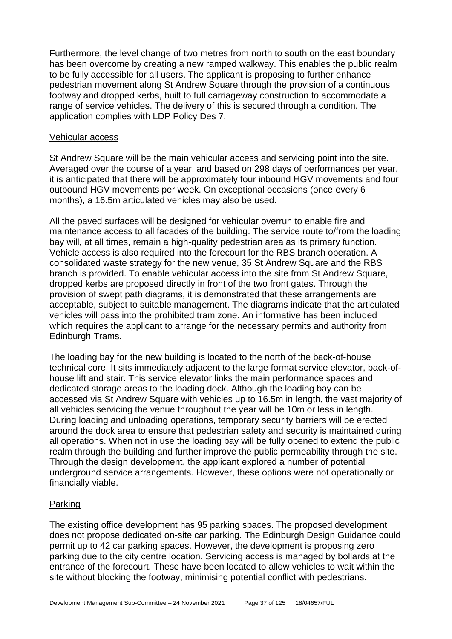Furthermore, the level change of two metres from north to south on the east boundary has been overcome by creating a new ramped walkway. This enables the public realm to be fully accessible for all users. The applicant is proposing to further enhance pedestrian movement along St Andrew Square through the provision of a continuous footway and dropped kerbs, built to full carriageway construction to accommodate a range of service vehicles. The delivery of this is secured through a condition. The application complies with LDP Policy Des 7.

#### Vehicular access

St Andrew Square will be the main vehicular access and servicing point into the site. Averaged over the course of a year, and based on 298 days of performances per year, it is anticipated that there will be approximately four inbound HGV movements and four outbound HGV movements per week. On exceptional occasions (once every 6 months), a 16.5m articulated vehicles may also be used.

All the paved surfaces will be designed for vehicular overrun to enable fire and maintenance access to all facades of the building. The service route to/from the loading bay will, at all times, remain a high-quality pedestrian area as its primary function. Vehicle access is also required into the forecourt for the RBS branch operation. A consolidated waste strategy for the new venue, 35 St Andrew Square and the RBS branch is provided. To enable vehicular access into the site from St Andrew Square, dropped kerbs are proposed directly in front of the two front gates. Through the provision of swept path diagrams, it is demonstrated that these arrangements are acceptable, subject to suitable management. The diagrams indicate that the articulated vehicles will pass into the prohibited tram zone. An informative has been included which requires the applicant to arrange for the necessary permits and authority from Edinburgh Trams.

The loading bay for the new building is located to the north of the back-of-house technical core. It sits immediately adjacent to the large format service elevator, back-ofhouse lift and stair. This service elevator links the main performance spaces and dedicated storage areas to the loading dock. Although the loading bay can be accessed via St Andrew Square with vehicles up to 16.5m in length, the vast majority of all vehicles servicing the venue throughout the year will be 10m or less in length. During loading and unloading operations, temporary security barriers will be erected around the dock area to ensure that pedestrian safety and security is maintained during all operations. When not in use the loading bay will be fully opened to extend the public realm through the building and further improve the public permeability through the site. Through the design development, the applicant explored a number of potential underground service arrangements. However, these options were not operationally or financially viable.

### Parking

The existing office development has 95 parking spaces. The proposed development does not propose dedicated on-site car parking. The Edinburgh Design Guidance could permit up to 42 car parking spaces. However, the development is proposing zero parking due to the city centre location. Servicing access is managed by bollards at the entrance of the forecourt. These have been located to allow vehicles to wait within the site without blocking the footway, minimising potential conflict with pedestrians.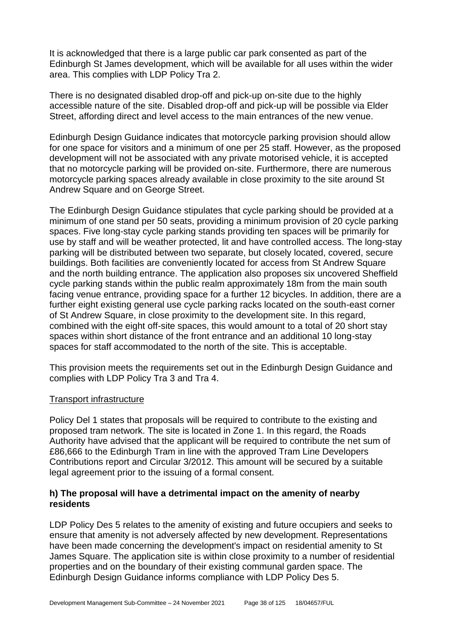It is acknowledged that there is a large public car park consented as part of the Edinburgh St James development, which will be available for all uses within the wider area. This complies with LDP Policy Tra 2.

There is no designated disabled drop-off and pick-up on-site due to the highly accessible nature of the site. Disabled drop-off and pick-up will be possible via Elder Street, affording direct and level access to the main entrances of the new venue.

Edinburgh Design Guidance indicates that motorcycle parking provision should allow for one space for visitors and a minimum of one per 25 staff. However, as the proposed development will not be associated with any private motorised vehicle, it is accepted that no motorcycle parking will be provided on-site. Furthermore, there are numerous motorcycle parking spaces already available in close proximity to the site around St Andrew Square and on George Street.

The Edinburgh Design Guidance stipulates that cycle parking should be provided at a minimum of one stand per 50 seats, providing a minimum provision of 20 cycle parking spaces. Five long-stay cycle parking stands providing ten spaces will be primarily for use by staff and will be weather protected, lit and have controlled access. The long-stay parking will be distributed between two separate, but closely located, covered, secure buildings. Both facilities are conveniently located for access from St Andrew Square and the north building entrance. The application also proposes six uncovered Sheffield cycle parking stands within the public realm approximately 18m from the main south facing venue entrance, providing space for a further 12 bicycles. In addition, there are a further eight existing general use cycle parking racks located on the south-east corner of St Andrew Square, in close proximity to the development site. In this regard, combined with the eight off-site spaces, this would amount to a total of 20 short stay spaces within short distance of the front entrance and an additional 10 long-stay spaces for staff accommodated to the north of the site. This is acceptable.

This provision meets the requirements set out in the Edinburgh Design Guidance and complies with LDP Policy Tra 3 and Tra 4.

#### Transport infrastructure

Policy Del 1 states that proposals will be required to contribute to the existing and proposed tram network. The site is located in Zone 1. In this regard, the Roads Authority have advised that the applicant will be required to contribute the net sum of £86,666 to the Edinburgh Tram in line with the approved Tram Line Developers Contributions report and Circular 3/2012. This amount will be secured by a suitable legal agreement prior to the issuing of a formal consent.

#### **h) The proposal will have a detrimental impact on the amenity of nearby residents**

LDP Policy Des 5 relates to the amenity of existing and future occupiers and seeks to ensure that amenity is not adversely affected by new development. Representations have been made concerning the development's impact on residential amenity to St James Square. The application site is within close proximity to a number of residential properties and on the boundary of their existing communal garden space. The Edinburgh Design Guidance informs compliance with LDP Policy Des 5.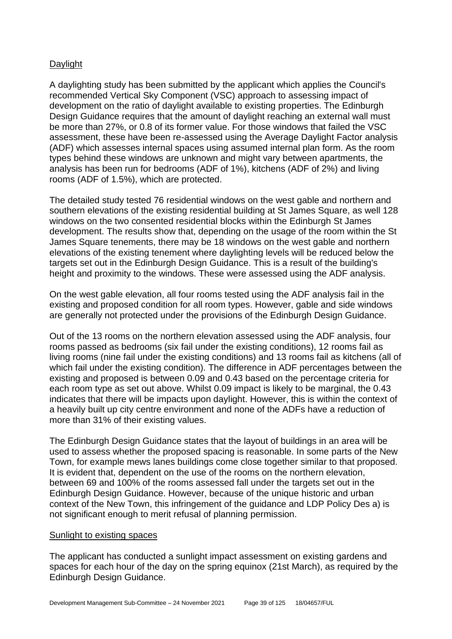## Daylight

A daylighting study has been submitted by the applicant which applies the Council's recommended Vertical Sky Component (VSC) approach to assessing impact of development on the ratio of daylight available to existing properties. The Edinburgh Design Guidance requires that the amount of daylight reaching an external wall must be more than 27%, or 0.8 of its former value. For those windows that failed the VSC assessment, these have been re-assessed using the Average Daylight Factor analysis (ADF) which assesses internal spaces using assumed internal plan form. As the room types behind these windows are unknown and might vary between apartments, the analysis has been run for bedrooms (ADF of 1%), kitchens (ADF of 2%) and living rooms (ADF of 1.5%), which are protected.

The detailed study tested 76 residential windows on the west gable and northern and southern elevations of the existing residential building at St James Square, as well 128 windows on the two consented residential blocks within the Edinburgh St James development. The results show that, depending on the usage of the room within the St James Square tenements, there may be 18 windows on the west gable and northern elevations of the existing tenement where daylighting levels will be reduced below the targets set out in the Edinburgh Design Guidance. This is a result of the building's height and proximity to the windows. These were assessed using the ADF analysis.

On the west gable elevation, all four rooms tested using the ADF analysis fail in the existing and proposed condition for all room types. However, gable and side windows are generally not protected under the provisions of the Edinburgh Design Guidance.

Out of the 13 rooms on the northern elevation assessed using the ADF analysis, four rooms passed as bedrooms (six fail under the existing conditions), 12 rooms fail as living rooms (nine fail under the existing conditions) and 13 rooms fail as kitchens (all of which fail under the existing condition). The difference in ADF percentages between the existing and proposed is between 0.09 and 0.43 based on the percentage criteria for each room type as set out above. Whilst 0.09 impact is likely to be marginal, the 0.43 indicates that there will be impacts upon daylight. However, this is within the context of a heavily built up city centre environment and none of the ADFs have a reduction of more than 31% of their existing values.

The Edinburgh Design Guidance states that the layout of buildings in an area will be used to assess whether the proposed spacing is reasonable. In some parts of the New Town, for example mews lanes buildings come close together similar to that proposed. It is evident that, dependent on the use of the rooms on the northern elevation, between 69 and 100% of the rooms assessed fall under the targets set out in the Edinburgh Design Guidance. However, because of the unique historic and urban context of the New Town, this infringement of the guidance and LDP Policy Des a) is not significant enough to merit refusal of planning permission.

#### Sunlight to existing spaces

The applicant has conducted a sunlight impact assessment on existing gardens and spaces for each hour of the day on the spring equinox (21st March), as required by the Edinburgh Design Guidance.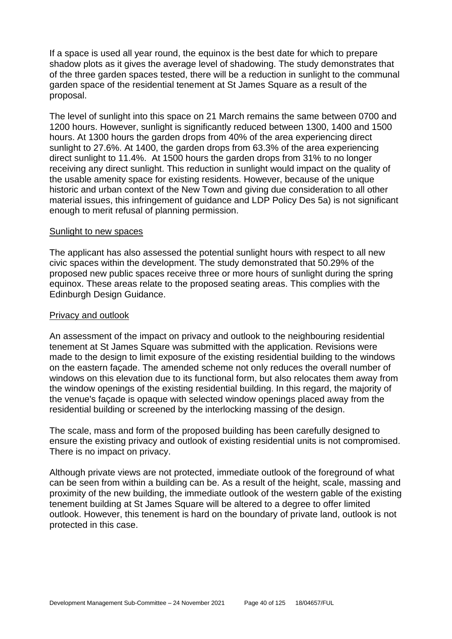If a space is used all year round, the equinox is the best date for which to prepare shadow plots as it gives the average level of shadowing. The study demonstrates that of the three garden spaces tested, there will be a reduction in sunlight to the communal garden space of the residential tenement at St James Square as a result of the proposal.

The level of sunlight into this space on 21 March remains the same between 0700 and 1200 hours. However, sunlight is significantly reduced between 1300, 1400 and 1500 hours. At 1300 hours the garden drops from 40% of the area experiencing direct sunlight to 27.6%. At 1400, the garden drops from 63.3% of the area experiencing direct sunlight to 11.4%. At 1500 hours the garden drops from 31% to no longer receiving any direct sunlight. This reduction in sunlight would impact on the quality of the usable amenity space for existing residents. However, because of the unique historic and urban context of the New Town and giving due consideration to all other material issues, this infringement of guidance and LDP Policy Des 5a) is not significant enough to merit refusal of planning permission.

#### Sunlight to new spaces

The applicant has also assessed the potential sunlight hours with respect to all new civic spaces within the development. The study demonstrated that 50.29% of the proposed new public spaces receive three or more hours of sunlight during the spring equinox. These areas relate to the proposed seating areas. This complies with the Edinburgh Design Guidance.

#### Privacy and outlook

An assessment of the impact on privacy and outlook to the neighbouring residential tenement at St James Square was submitted with the application. Revisions were made to the design to limit exposure of the existing residential building to the windows on the eastern façade. The amended scheme not only reduces the overall number of windows on this elevation due to its functional form, but also relocates them away from the window openings of the existing residential building. In this regard, the majority of the venue's façade is opaque with selected window openings placed away from the residential building or screened by the interlocking massing of the design.

The scale, mass and form of the proposed building has been carefully designed to ensure the existing privacy and outlook of existing residential units is not compromised. There is no impact on privacy.

Although private views are not protected, immediate outlook of the foreground of what can be seen from within a building can be. As a result of the height, scale, massing and proximity of the new building, the immediate outlook of the western gable of the existing tenement building at St James Square will be altered to a degree to offer limited outlook. However, this tenement is hard on the boundary of private land, outlook is not protected in this case.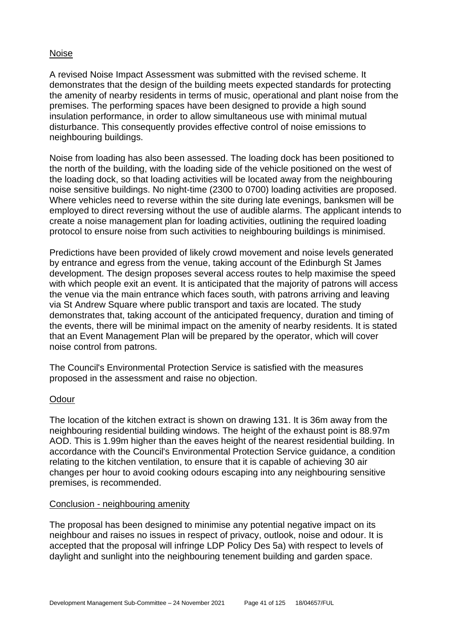#### Noise

A revised Noise Impact Assessment was submitted with the revised scheme. It demonstrates that the design of the building meets expected standards for protecting the amenity of nearby residents in terms of music, operational and plant noise from the premises. The performing spaces have been designed to provide a high sound insulation performance, in order to allow simultaneous use with minimal mutual disturbance. This consequently provides effective control of noise emissions to neighbouring buildings.

Noise from loading has also been assessed. The loading dock has been positioned to the north of the building, with the loading side of the vehicle positioned on the west of the loading dock, so that loading activities will be located away from the neighbouring noise sensitive buildings. No night-time (2300 to 0700) loading activities are proposed. Where vehicles need to reverse within the site during late evenings, banksmen will be employed to direct reversing without the use of audible alarms. The applicant intends to create a noise management plan for loading activities, outlining the required loading protocol to ensure noise from such activities to neighbouring buildings is minimised.

Predictions have been provided of likely crowd movement and noise levels generated by entrance and egress from the venue, taking account of the Edinburgh St James development. The design proposes several access routes to help maximise the speed with which people exit an event. It is anticipated that the majority of patrons will access the venue via the main entrance which faces south, with patrons arriving and leaving via St Andrew Square where public transport and taxis are located. The study demonstrates that, taking account of the anticipated frequency, duration and timing of the events, there will be minimal impact on the amenity of nearby residents. It is stated that an Event Management Plan will be prepared by the operator, which will cover noise control from patrons.

The Council's Environmental Protection Service is satisfied with the measures proposed in the assessment and raise no objection.

#### **Odour**

The location of the kitchen extract is shown on drawing 131. It is 36m away from the neighbouring residential building windows. The height of the exhaust point is 88.97m AOD. This is 1.99m higher than the eaves height of the nearest residential building. In accordance with the Council's Environmental Protection Service guidance, a condition relating to the kitchen ventilation, to ensure that it is capable of achieving 30 air changes per hour to avoid cooking odours escaping into any neighbouring sensitive premises, is recommended.

#### Conclusion - neighbouring amenity

The proposal has been designed to minimise any potential negative impact on its neighbour and raises no issues in respect of privacy, outlook, noise and odour. It is accepted that the proposal will infringe LDP Policy Des 5a) with respect to levels of daylight and sunlight into the neighbouring tenement building and garden space.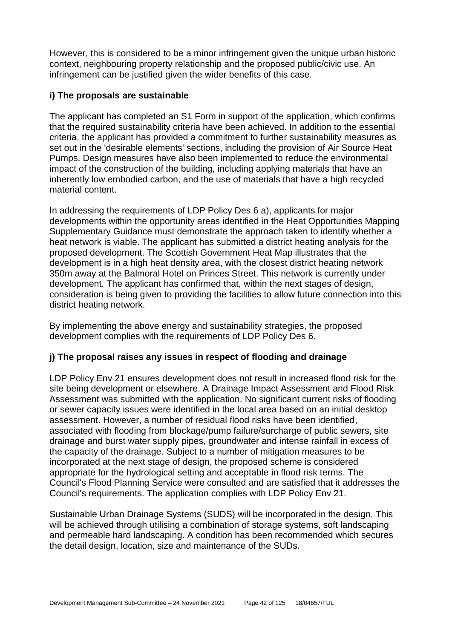However, this is considered to be a minor infringement given the unique urban historic context, neighbouring property relationship and the proposed public/civic use. An infringement can be justified given the wider benefits of this case.

## **i) The proposals are sustainable**

The applicant has completed an S1 Form in support of the application, which confirms that the required sustainability criteria have been achieved. In addition to the essential criteria, the applicant has provided a commitment to further sustainability measures as set out in the 'desirable elements' sections, including the provision of Air Source Heat Pumps. Design measures have also been implemented to reduce the environmental impact of the construction of the building, including applying materials that have an inherently low embodied carbon, and the use of materials that have a high recycled material content.

In addressing the requirements of LDP Policy Des 6 a), applicants for major developments within the opportunity areas identified in the Heat Opportunities Mapping Supplementary Guidance must demonstrate the approach taken to identify whether a heat network is viable. The applicant has submitted a district heating analysis for the proposed development. The Scottish Government Heat Map illustrates that the development is in a high heat density area, with the closest district heating network 350m away at the Balmoral Hotel on Princes Street. This network is currently under development. The applicant has confirmed that, within the next stages of design, consideration is being given to providing the facilities to allow future connection into this district heating network.

By implementing the above energy and sustainability strategies, the proposed development complies with the requirements of LDP Policy Des 6.

## **j) The proposal raises any issues in respect of flooding and drainage**

LDP Policy Env 21 ensures development does not result in increased flood risk for the site being development or elsewhere. A Drainage Impact Assessment and Flood Risk Assessment was submitted with the application. No significant current risks of flooding or sewer capacity issues were identified in the local area based on an initial desktop assessment. However, a number of residual flood risks have been identified, associated with flooding from blockage/pump failure/surcharge of public sewers, site drainage and burst water supply pipes, groundwater and intense rainfall in excess of the capacity of the drainage. Subject to a number of mitigation measures to be incorporated at the next stage of design, the proposed scheme is considered appropriate for the hydrological setting and acceptable in flood risk terms. The Council's Flood Planning Service were consulted and are satisfied that it addresses the Council's requirements. The application complies with LDP Policy Env 21.

Sustainable Urban Drainage Systems (SUDS) will be incorporated in the design. This will be achieved through utilising a combination of storage systems, soft landscaping and permeable hard landscaping. A condition has been recommended which secures the detail design, location, size and maintenance of the SUDs.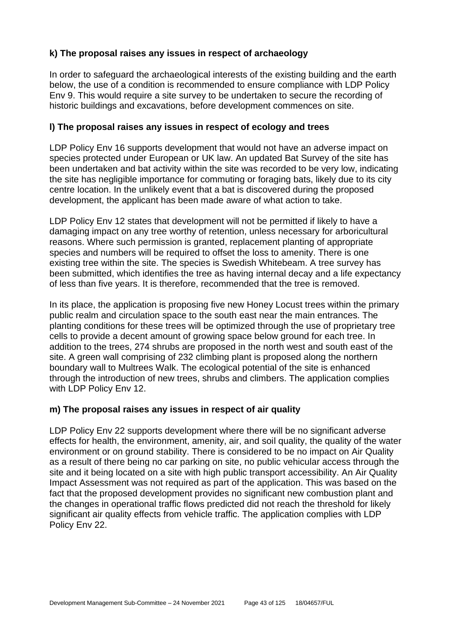## **k) The proposal raises any issues in respect of archaeology**

In order to safeguard the archaeological interests of the existing building and the earth below, the use of a condition is recommended to ensure compliance with LDP Policy Env 9. This would require a site survey to be undertaken to secure the recording of historic buildings and excavations, before development commences on site.

## **l) The proposal raises any issues in respect of ecology and trees**

LDP Policy Env 16 supports development that would not have an adverse impact on species protected under European or UK law. An updated Bat Survey of the site has been undertaken and bat activity within the site was recorded to be very low, indicating the site has negligible importance for commuting or foraging bats, likely due to its city centre location. In the unlikely event that a bat is discovered during the proposed development, the applicant has been made aware of what action to take.

LDP Policy Env 12 states that development will not be permitted if likely to have a damaging impact on any tree worthy of retention, unless necessary for arboricultural reasons. Where such permission is granted, replacement planting of appropriate species and numbers will be required to offset the loss to amenity. There is one existing tree within the site. The species is Swedish Whitebeam. A tree survey has been submitted, which identifies the tree as having internal decay and a life expectancy of less than five years. It is therefore, recommended that the tree is removed.

In its place, the application is proposing five new Honey Locust trees within the primary public realm and circulation space to the south east near the main entrances. The planting conditions for these trees will be optimized through the use of proprietary tree cells to provide a decent amount of growing space below ground for each tree. In addition to the trees, 274 shrubs are proposed in the north west and south east of the site. A green wall comprising of 232 climbing plant is proposed along the northern boundary wall to Multrees Walk. The ecological potential of the site is enhanced through the introduction of new trees, shrubs and climbers. The application complies with LDP Policy Env 12.

## **m) The proposal raises any issues in respect of air quality**

LDP Policy Env 22 supports development where there will be no significant adverse effects for health, the environment, amenity, air, and soil quality, the quality of the water environment or on ground stability. There is considered to be no impact on Air Quality as a result of there being no car parking on site, no public vehicular access through the site and it being located on a site with high public transport accessibility. An Air Quality Impact Assessment was not required as part of the application. This was based on the fact that the proposed development provides no significant new combustion plant and the changes in operational traffic flows predicted did not reach the threshold for likely significant air quality effects from vehicle traffic. The application complies with LDP Policy Env 22.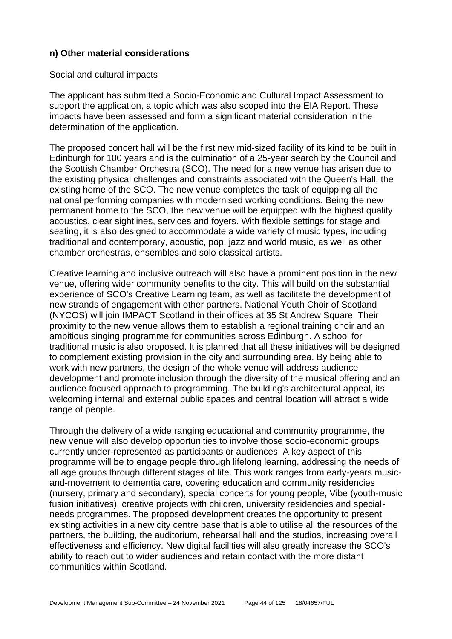## **n) Other material considerations**

#### Social and cultural impacts

The applicant has submitted a Socio-Economic and Cultural Impact Assessment to support the application, a topic which was also scoped into the EIA Report. These impacts have been assessed and form a significant material consideration in the determination of the application.

The proposed concert hall will be the first new mid-sized facility of its kind to be built in Edinburgh for 100 years and is the culmination of a 25-year search by the Council and the Scottish Chamber Orchestra (SCO). The need for a new venue has arisen due to the existing physical challenges and constraints associated with the Queen's Hall, the existing home of the SCO. The new venue completes the task of equipping all the national performing companies with modernised working conditions. Being the new permanent home to the SCO, the new venue will be equipped with the highest quality acoustics, clear sightlines, services and foyers. With flexible settings for stage and seating, it is also designed to accommodate a wide variety of music types, including traditional and contemporary, acoustic, pop, jazz and world music, as well as other chamber orchestras, ensembles and solo classical artists.

Creative learning and inclusive outreach will also have a prominent position in the new venue, offering wider community benefits to the city. This will build on the substantial experience of SCO's Creative Learning team, as well as facilitate the development of new strands of engagement with other partners. National Youth Choir of Scotland (NYCOS) will join IMPACT Scotland in their offices at 35 St Andrew Square. Their proximity to the new venue allows them to establish a regional training choir and an ambitious singing programme for communities across Edinburgh. A school for traditional music is also proposed. It is planned that all these initiatives will be designed to complement existing provision in the city and surrounding area. By being able to work with new partners, the design of the whole venue will address audience development and promote inclusion through the diversity of the musical offering and an audience focused approach to programming. The building's architectural appeal, its welcoming internal and external public spaces and central location will attract a wide range of people.

Through the delivery of a wide ranging educational and community programme, the new venue will also develop opportunities to involve those socio-economic groups currently under-represented as participants or audiences. A key aspect of this programme will be to engage people through lifelong learning, addressing the needs of all age groups through different stages of life. This work ranges from early-years musicand-movement to dementia care, covering education and community residencies (nursery, primary and secondary), special concerts for young people, Vibe (youth-music fusion initiatives), creative projects with children, university residencies and specialneeds programmes. The proposed development creates the opportunity to present existing activities in a new city centre base that is able to utilise all the resources of the partners, the building, the auditorium, rehearsal hall and the studios, increasing overall effectiveness and efficiency. New digital facilities will also greatly increase the SCO's ability to reach out to wider audiences and retain contact with the more distant communities within Scotland.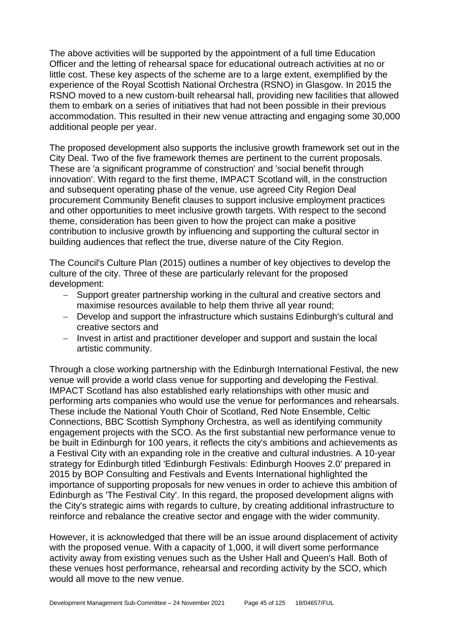The above activities will be supported by the appointment of a full time Education Officer and the letting of rehearsal space for educational outreach activities at no or little cost. These key aspects of the scheme are to a large extent, exemplified by the experience of the Royal Scottish National Orchestra (RSNO) in Glasgow. In 2015 the RSNO moved to a new custom-built rehearsal hall, providing new facilities that allowed them to embark on a series of initiatives that had not been possible in their previous accommodation. This resulted in their new venue attracting and engaging some 30,000 additional people per year.

The proposed development also supports the inclusive growth framework set out in the City Deal. Two of the five framework themes are pertinent to the current proposals. These are 'a significant programme of construction' and 'social benefit through innovation'. With regard to the first theme, IMPACT Scotland will, in the construction and subsequent operating phase of the venue, use agreed City Region Deal procurement Community Benefit clauses to support inclusive employment practices and other opportunities to meet inclusive growth targets. With respect to the second theme, consideration has been given to how the project can make a positive contribution to inclusive growth by influencing and supporting the cultural sector in building audiences that reflect the true, diverse nature of the City Region.

The Council's Culture Plan (2015) outlines a number of key objectives to develop the culture of the city. Three of these are particularly relevant for the proposed development:

- − Support greater partnership working in the cultural and creative sectors and maximise resources available to help them thrive all year round;
- − Develop and support the infrastructure which sustains Edinburgh's cultural and creative sectors and
- − Invest in artist and practitioner developer and support and sustain the local artistic community.

Through a close working partnership with the Edinburgh International Festival, the new venue will provide a world class venue for supporting and developing the Festival. IMPACT Scotland has also established early relationships with other music and performing arts companies who would use the venue for performances and rehearsals. These include the National Youth Choir of Scotland, Red Note Ensemble, Celtic Connections, BBC Scottish Symphony Orchestra, as well as identifying community engagement projects with the SCO. As the first substantial new performance venue to be built in Edinburgh for 100 years, it reflects the city's ambitions and achievements as a Festival City with an expanding role in the creative and cultural industries. A 10-year strategy for Edinburgh titled 'Edinburgh Festivals: Edinburgh Hooves 2.0' prepared in 2015 by BOP Consulting and Festivals and Events International highlighted the importance of supporting proposals for new venues in order to achieve this ambition of Edinburgh as 'The Festival City'. In this regard, the proposed development aligns with the City's strategic aims with regards to culture, by creating additional infrastructure to reinforce and rebalance the creative sector and engage with the wider community.

However, it is acknowledged that there will be an issue around displacement of activity with the proposed venue. With a capacity of 1,000, it will divert some performance activity away from existing venues such as the Usher Hall and Queen's Hall. Both of these venues host performance, rehearsal and recording activity by the SCO, which would all move to the new venue.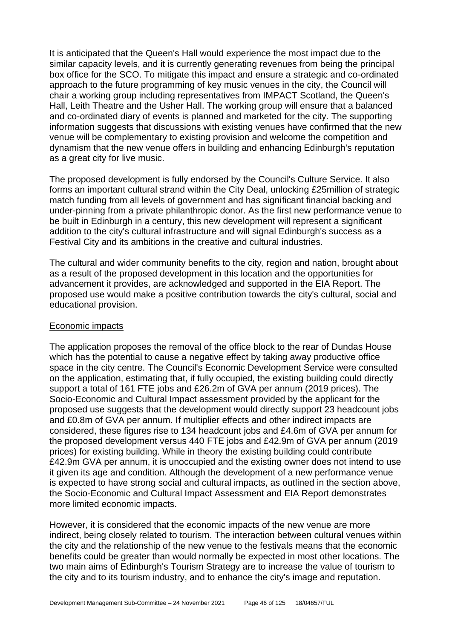It is anticipated that the Queen's Hall would experience the most impact due to the similar capacity levels, and it is currently generating revenues from being the principal box office for the SCO. To mitigate this impact and ensure a strategic and co-ordinated approach to the future programming of key music venues in the city, the Council will chair a working group including representatives from IMPACT Scotland, the Queen's Hall, Leith Theatre and the Usher Hall. The working group will ensure that a balanced and co-ordinated diary of events is planned and marketed for the city. The supporting information suggests that discussions with existing venues have confirmed that the new venue will be complementary to existing provision and welcome the competition and dynamism that the new venue offers in building and enhancing Edinburgh's reputation as a great city for live music.

The proposed development is fully endorsed by the Council's Culture Service. It also forms an important cultural strand within the City Deal, unlocking £25million of strategic match funding from all levels of government and has significant financial backing and under-pinning from a private philanthropic donor. As the first new performance venue to be built in Edinburgh in a century, this new development will represent a significant addition to the city's cultural infrastructure and will signal Edinburgh's success as a Festival City and its ambitions in the creative and cultural industries.

The cultural and wider community benefits to the city, region and nation, brought about as a result of the proposed development in this location and the opportunities for advancement it provides, are acknowledged and supported in the EIA Report. The proposed use would make a positive contribution towards the city's cultural, social and educational provision.

#### Economic impacts

The application proposes the removal of the office block to the rear of Dundas House which has the potential to cause a negative effect by taking away productive office space in the city centre. The Council's Economic Development Service were consulted on the application, estimating that, if fully occupied, the existing building could directly support a total of 161 FTE jobs and £26.2m of GVA per annum (2019 prices). The Socio-Economic and Cultural Impact assessment provided by the applicant for the proposed use suggests that the development would directly support 23 headcount jobs and £0.8m of GVA per annum. If multiplier effects and other indirect impacts are considered, these figures rise to 134 headcount jobs and £4.6m of GVA per annum for the proposed development versus 440 FTE jobs and £42.9m of GVA per annum (2019 prices) for existing building. While in theory the existing building could contribute £42.9m GVA per annum, it is unoccupied and the existing owner does not intend to use it given its age and condition. Although the development of a new performance venue is expected to have strong social and cultural impacts, as outlined in the section above, the Socio-Economic and Cultural Impact Assessment and EIA Report demonstrates more limited economic impacts.

However, it is considered that the economic impacts of the new venue are more indirect, being closely related to tourism. The interaction between cultural venues within the city and the relationship of the new venue to the festivals means that the economic benefits could be greater than would normally be expected in most other locations. The two main aims of Edinburgh's Tourism Strategy are to increase the value of tourism to the city and to its tourism industry, and to enhance the city's image and reputation.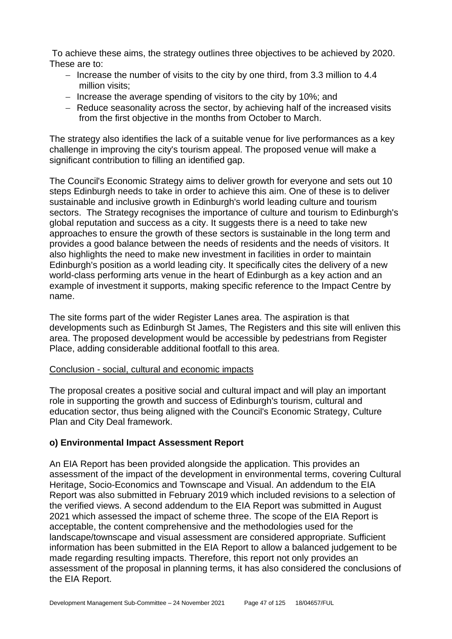To achieve these aims, the strategy outlines three objectives to be achieved by 2020. These are to:

- − Increase the number of visits to the city by one third, from 3.3 million to 4.4 million visits;
- − Increase the average spending of visitors to the city by 10%; and
- − Reduce seasonality across the sector, by achieving half of the increased visits from the first objective in the months from October to March.

The strategy also identifies the lack of a suitable venue for live performances as a key challenge in improving the city's tourism appeal. The proposed venue will make a significant contribution to filling an identified gap.

The Council's Economic Strategy aims to deliver growth for everyone and sets out 10 steps Edinburgh needs to take in order to achieve this aim. One of these is to deliver sustainable and inclusive growth in Edinburgh's world leading culture and tourism sectors. The Strategy recognises the importance of culture and tourism to Edinburgh's global reputation and success as a city. It suggests there is a need to take new approaches to ensure the growth of these sectors is sustainable in the long term and provides a good balance between the needs of residents and the needs of visitors. It also highlights the need to make new investment in facilities in order to maintain Edinburgh's position as a world leading city. It specifically cites the delivery of a new world-class performing arts venue in the heart of Edinburgh as a key action and an example of investment it supports, making specific reference to the Impact Centre by name.

The site forms part of the wider Register Lanes area. The aspiration is that developments such as Edinburgh St James, The Registers and this site will enliven this area. The proposed development would be accessible by pedestrians from Register Place, adding considerable additional footfall to this area.

## Conclusion - social, cultural and economic impacts

The proposal creates a positive social and cultural impact and will play an important role in supporting the growth and success of Edinburgh's tourism, cultural and education sector, thus being aligned with the Council's Economic Strategy, Culture Plan and City Deal framework.

### **o) Environmental Impact Assessment Report**

An EIA Report has been provided alongside the application. This provides an assessment of the impact of the development in environmental terms, covering Cultural Heritage, Socio-Economics and Townscape and Visual. An addendum to the EIA Report was also submitted in February 2019 which included revisions to a selection of the verified views. A second addendum to the EIA Report was submitted in August 2021 which assessed the impact of scheme three. The scope of the EIA Report is acceptable, the content comprehensive and the methodologies used for the landscape/townscape and visual assessment are considered appropriate. Sufficient information has been submitted in the EIA Report to allow a balanced judgement to be made regarding resulting impacts. Therefore, this report not only provides an assessment of the proposal in planning terms, it has also considered the conclusions of the EIA Report.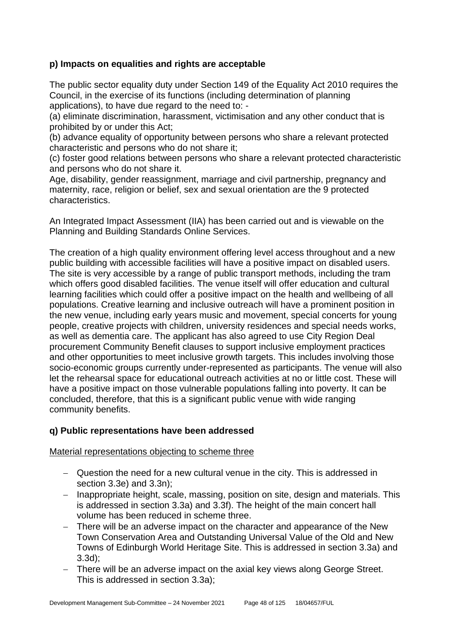## **p) Impacts on equalities and rights are acceptable**

The public sector equality duty under Section 149 of the Equality Act 2010 requires the Council, in the exercise of its functions (including determination of planning applications), to have due regard to the need to: -

(a) eliminate discrimination, harassment, victimisation and any other conduct that is prohibited by or under this Act;

(b) advance equality of opportunity between persons who share a relevant protected characteristic and persons who do not share it;

(c) foster good relations between persons who share a relevant protected characteristic and persons who do not share it.

Age, disability, gender reassignment, marriage and civil partnership, pregnancy and maternity, race, religion or belief, sex and sexual orientation are the 9 protected characteristics.

An Integrated Impact Assessment (IIA) has been carried out and is viewable on the Planning and Building Standards Online Services.

The creation of a high quality environment offering level access throughout and a new public building with accessible facilities will have a positive impact on disabled users. The site is very accessible by a range of public transport methods, including the tram which offers good disabled facilities. The venue itself will offer education and cultural learning facilities which could offer a positive impact on the health and wellbeing of all populations. Creative learning and inclusive outreach will have a prominent position in the new venue, including early years music and movement, special concerts for young people, creative projects with children, university residences and special needs works, as well as dementia care. The applicant has also agreed to use City Region Deal procurement Community Benefit clauses to support inclusive employment practices and other opportunities to meet inclusive growth targets. This includes involving those socio-economic groups currently under-represented as participants. The venue will also let the rehearsal space for educational outreach activities at no or little cost. These will have a positive impact on those vulnerable populations falling into poverty. It can be concluded, therefore, that this is a significant public venue with wide ranging community benefits.

### **q) Public representations have been addressed**

Material representations objecting to scheme three

- − Question the need for a new cultural venue in the city. This is addressed in section 3.3e) and 3.3n);
- − Inappropriate height, scale, massing, position on site, design and materials. This is addressed in section 3.3a) and 3.3f). The height of the main concert hall volume has been reduced in scheme three.
- There will be an adverse impact on the character and appearance of the New Town Conservation Area and Outstanding Universal Value of the Old and New Towns of Edinburgh World Heritage Site. This is addressed in section 3.3a) and 3.3d);
- There will be an adverse impact on the axial key views along George Street. This is addressed in section 3.3a);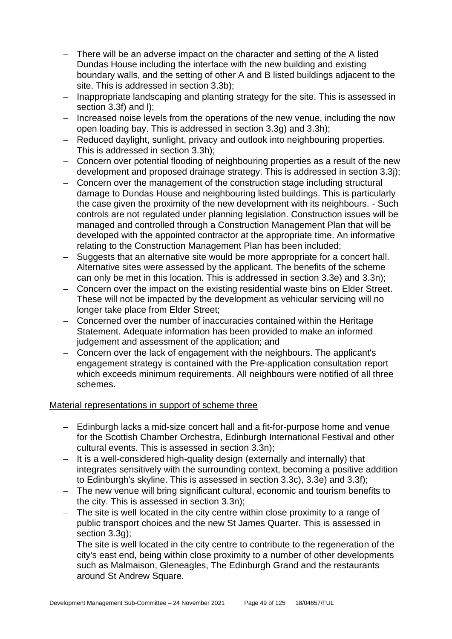- − There will be an adverse impact on the character and setting of the A listed Dundas House including the interface with the new building and existing boundary walls, and the setting of other A and B listed buildings adjacent to the site. This is addressed in section 3.3b);
- − Inappropriate landscaping and planting strategy for the site. This is assessed in section 3.3f) and l);
- − Increased noise levels from the operations of the new venue, including the now open loading bay. This is addressed in section 3.3g) and 3.3h);
- − Reduced daylight, sunlight, privacy and outlook into neighbouring properties. This is addressed in section 3.3h);
- − Concern over potential flooding of neighbouring properties as a result of the new development and proposed drainage strategy. This is addressed in section 3.3j);
- − Concern over the management of the construction stage including structural damage to Dundas House and neighbouring listed buildings. This is particularly the case given the proximity of the new development with its neighbours. - Such controls are not regulated under planning legislation. Construction issues will be managed and controlled through a Construction Management Plan that will be developed with the appointed contractor at the appropriate time. An informative relating to the Construction Management Plan has been included;
- − Suggests that an alternative site would be more appropriate for a concert hall. Alternative sites were assessed by the applicant. The benefits of the scheme can only be met in this location. This is addressed in section 3.3e) and 3.3n);
- − Concern over the impact on the existing residential waste bins on Elder Street. These will not be impacted by the development as vehicular servicing will no longer take place from Elder Street;
- − Concerned over the number of inaccuracies contained within the Heritage Statement. Adequate information has been provided to make an informed judgement and assessment of the application; and
- − Concern over the lack of engagement with the neighbours. The applicant's engagement strategy is contained with the Pre-application consultation report which exceeds minimum requirements. All neighbours were notified of all three schemes.

### Material representations in support of scheme three

- − Edinburgh lacks a mid-size concert hall and a fit-for-purpose home and venue for the Scottish Chamber Orchestra, Edinburgh International Festival and other cultural events. This is assessed in section 3.3n);
- − It is a well-considered high-quality design (externally and internally) that integrates sensitively with the surrounding context, becoming a positive addition to Edinburgh's skyline. This is assessed in section 3.3c), 3.3e) and 3.3f);
- − The new venue will bring significant cultural, economic and tourism benefits to the city. This is assessed in section 3.3n);
- − The site is well located in the city centre within close proximity to a range of public transport choices and the new St James Quarter. This is assessed in section 3.3g);
- The site is well located in the city centre to contribute to the regeneration of the city's east end, being within close proximity to a number of other developments such as Malmaison, Gleneagles, The Edinburgh Grand and the restaurants around St Andrew Square.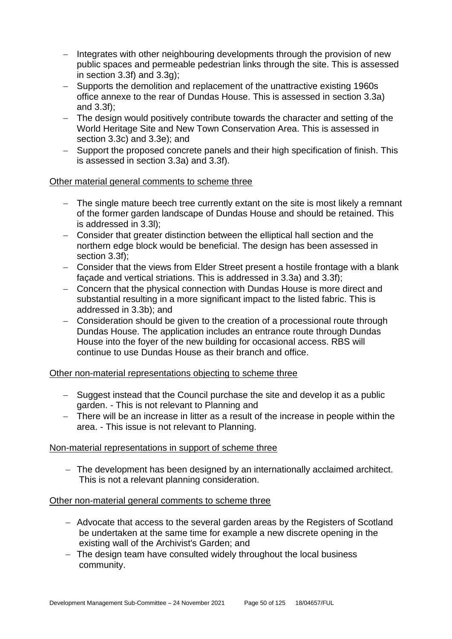- − Integrates with other neighbouring developments through the provision of new public spaces and permeable pedestrian links through the site. This is assessed in section 3.3f) and 3.3g);
- − Supports the demolition and replacement of the unattractive existing 1960s office annexe to the rear of Dundas House. This is assessed in section 3.3a) and 3.3f);
- The design would positively contribute towards the character and setting of the World Heritage Site and New Town Conservation Area. This is assessed in section 3.3c) and 3.3e); and
- − Support the proposed concrete panels and their high specification of finish. This is assessed in section 3.3a) and 3.3f).

### Other material general comments to scheme three

- − The single mature beech tree currently extant on the site is most likely a remnant of the former garden landscape of Dundas House and should be retained. This is addressed in 3.3l);
- − Consider that greater distinction between the elliptical hall section and the northern edge block would be beneficial. The design has been assessed in section 3.3f):
- − Consider that the views from Elder Street present a hostile frontage with a blank façade and vertical striations. This is addressed in 3.3a) and 3.3f);
- − Concern that the physical connection with Dundas House is more direct and substantial resulting in a more significant impact to the listed fabric. This is addressed in 3.3b); and
- − Consideration should be given to the creation of a processional route through Dundas House. The application includes an entrance route through Dundas House into the foyer of the new building for occasional access. RBS will continue to use Dundas House as their branch and office.

### Other non-material representations objecting to scheme three

- − Suggest instead that the Council purchase the site and develop it as a public garden. - This is not relevant to Planning and
- − There will be an increase in litter as a result of the increase in people within the area. - This issue is not relevant to Planning.

### Non-material representations in support of scheme three

− The development has been designed by an internationally acclaimed architect. This is not a relevant planning consideration.

### Other non-material general comments to scheme three

- − Advocate that access to the several garden areas by the Registers of Scotland be undertaken at the same time for example a new discrete opening in the existing wall of the Archivist's Garden; and
- − The design team have consulted widely throughout the local business community.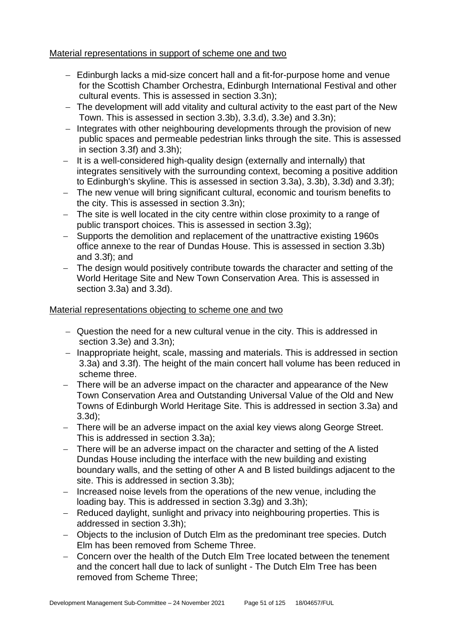### Material representations in support of scheme one and two

- − Edinburgh lacks a mid-size concert hall and a fit-for-purpose home and venue for the Scottish Chamber Orchestra, Edinburgh International Festival and other cultural events. This is assessed in section 3.3n);
- − The development will add vitality and cultural activity to the east part of the New Town. This is assessed in section 3.3b), 3.3.d), 3.3e) and 3.3n);
- − Integrates with other neighbouring developments through the provision of new public spaces and permeable pedestrian links through the site. This is assessed in section 3.3f) and 3.3h);
- − It is a well-considered high-quality design (externally and internally) that integrates sensitively with the surrounding context, becoming a positive addition to Edinburgh's skyline. This is assessed in section 3.3a), 3.3b), 3.3d) and 3.3f);
- − The new venue will bring significant cultural, economic and tourism benefits to the city. This is assessed in section 3.3n);
- − The site is well located in the city centre within close proximity to a range of public transport choices. This is assessed in section 3.3g);
- − Supports the demolition and replacement of the unattractive existing 1960s office annexe to the rear of Dundas House. This is assessed in section 3.3b) and 3.3f); and
- − The design would positively contribute towards the character and setting of the World Heritage Site and New Town Conservation Area. This is assessed in section 3.3a) and 3.3d).

## Material representations objecting to scheme one and two

- − Question the need for a new cultural venue in the city. This is addressed in section 3.3e) and 3.3n);
- − Inappropriate height, scale, massing and materials. This is addressed in section 3.3a) and 3.3f). The height of the main concert hall volume has been reduced in scheme three.
- − There will be an adverse impact on the character and appearance of the New Town Conservation Area and Outstanding Universal Value of the Old and New Towns of Edinburgh World Heritage Site. This is addressed in section 3.3a) and 3.3d);
- − There will be an adverse impact on the axial key views along George Street. This is addressed in section 3.3a);
- − There will be an adverse impact on the character and setting of the A listed Dundas House including the interface with the new building and existing boundary walls, and the setting of other A and B listed buildings adjacent to the site. This is addressed in section 3.3b);
- − Increased noise levels from the operations of the new venue, including the loading bay. This is addressed in section 3.3g) and 3.3h);
- − Reduced daylight, sunlight and privacy into neighbouring properties. This is addressed in section 3.3h);
- − Objects to the inclusion of Dutch Elm as the predominant tree species. Dutch Elm has been removed from Scheme Three.
- − Concern over the health of the Dutch Elm Tree located between the tenement and the concert hall due to lack of sunlight - The Dutch Elm Tree has been removed from Scheme Three;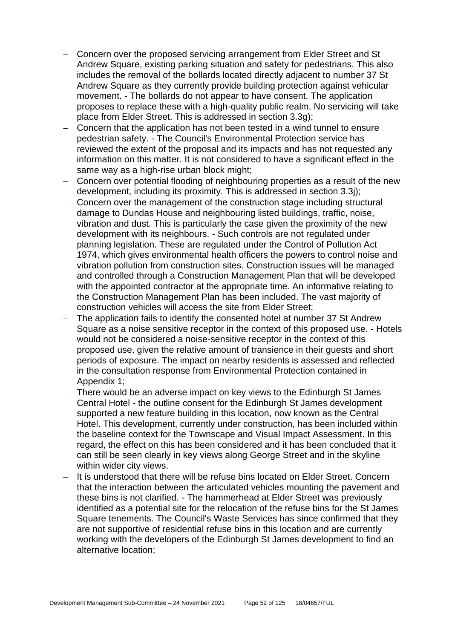- − Concern over the proposed servicing arrangement from Elder Street and St Andrew Square, existing parking situation and safety for pedestrians. This also includes the removal of the bollards located directly adjacent to number 37 St Andrew Square as they currently provide building protection against vehicular movement. - The bollards do not appear to have consent. The application proposes to replace these with a high-quality public realm. No servicing will take place from Elder Street. This is addressed in section 3.3g);
- − Concern that the application has not been tested in a wind tunnel to ensure pedestrian safety. - The Council's Environmental Protection service has reviewed the extent of the proposal and its impacts and has not requested any information on this matter. It is not considered to have a significant effect in the same way as a high-rise urban block might;
- − Concern over potential flooding of neighbouring properties as a result of the new development, including its proximity. This is addressed in section 3.3j);
- − Concern over the management of the construction stage including structural damage to Dundas House and neighbouring listed buildings, traffic, noise, vibration and dust. This is particularly the case given the proximity of the new development with its neighbours. - Such controls are not regulated under planning legislation. These are regulated under the Control of Pollution Act 1974, which gives environmental health officers the powers to control noise and vibration pollution from construction sites. Construction issues will be managed and controlled through a Construction Management Plan that will be developed with the appointed contractor at the appropriate time. An informative relating to the Construction Management Plan has been included. The vast majority of construction vehicles will access the site from Elder Street;
- − The application fails to identify the consented hotel at number 37 St Andrew Square as a noise sensitive receptor in the context of this proposed use. - Hotels would not be considered a noise-sensitive receptor in the context of this proposed use, given the relative amount of transience in their guests and short periods of exposure. The impact on nearby residents is assessed and reflected in the consultation response from Environmental Protection contained in Appendix 1;
- There would be an adverse impact on key views to the Edinburgh St James Central Hotel - the outline consent for the Edinburgh St James development supported a new feature building in this location, now known as the Central Hotel. This development, currently under construction, has been included within the baseline context for the Townscape and Visual Impact Assessment. In this regard, the effect on this has been considered and it has been concluded that it can still be seen clearly in key views along George Street and in the skyline within wider city views.
- It is understood that there will be refuse bins located on Elder Street. Concern that the interaction between the articulated vehicles mounting the pavement and these bins is not clarified. - The hammerhead at Elder Street was previously identified as a potential site for the relocation of the refuse bins for the St James Square tenements. The Council's Waste Services has since confirmed that they are not supportive of residential refuse bins in this location and are currently working with the developers of the Edinburgh St James development to find an alternative location;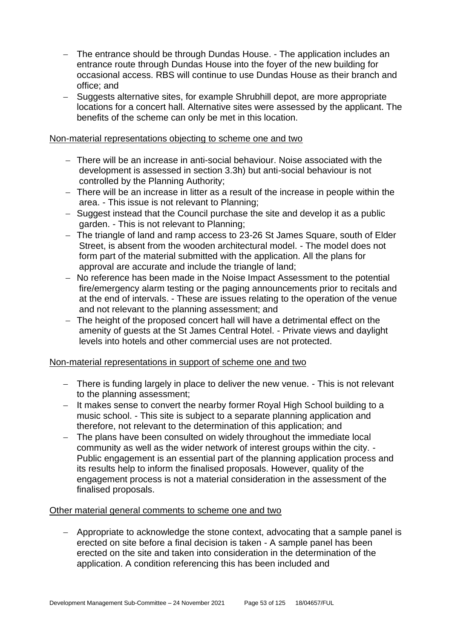- − The entrance should be through Dundas House. The application includes an entrance route through Dundas House into the foyer of the new building for occasional access. RBS will continue to use Dundas House as their branch and office; and
- − Suggests alternative sites, for example Shrubhill depot, are more appropriate locations for a concert hall. Alternative sites were assessed by the applicant. The benefits of the scheme can only be met in this location.

#### Non-material representations objecting to scheme one and two

- − There will be an increase in anti-social behaviour. Noise associated with the development is assessed in section 3.3h) but anti-social behaviour is not controlled by the Planning Authority;
- − There will be an increase in litter as a result of the increase in people within the area. - This issue is not relevant to Planning;
- − Suggest instead that the Council purchase the site and develop it as a public garden. - This is not relevant to Planning;
- − The triangle of land and ramp access to 23-26 St James Square, south of Elder Street, is absent from the wooden architectural model. - The model does not form part of the material submitted with the application. All the plans for approval are accurate and include the triangle of land;
- − No reference has been made in the Noise Impact Assessment to the potential fire/emergency alarm testing or the paging announcements prior to recitals and at the end of intervals. - These are issues relating to the operation of the venue and not relevant to the planning assessment; and
- − The height of the proposed concert hall will have a detrimental effect on the amenity of guests at the St James Central Hotel. - Private views and daylight levels into hotels and other commercial uses are not protected.

### Non-material representations in support of scheme one and two

- − There is funding largely in place to deliver the new venue. This is not relevant to the planning assessment;
- − It makes sense to convert the nearby former Royal High School building to a music school. - This site is subject to a separate planning application and therefore, not relevant to the determination of this application; and
- − The plans have been consulted on widely throughout the immediate local community as well as the wider network of interest groups within the city. - Public engagement is an essential part of the planning application process and its results help to inform the finalised proposals. However, quality of the engagement process is not a material consideration in the assessment of the finalised proposals.

### Other material general comments to scheme one and two

− Appropriate to acknowledge the stone context, advocating that a sample panel is erected on site before a final decision is taken - A sample panel has been erected on the site and taken into consideration in the determination of the application. A condition referencing this has been included and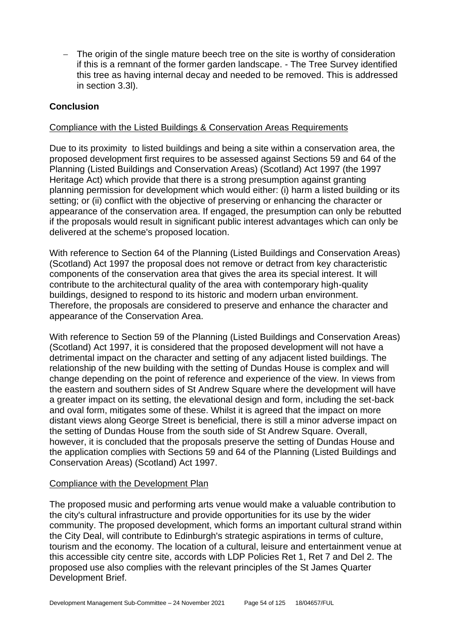− The origin of the single mature beech tree on the site is worthy of consideration if this is a remnant of the former garden landscape. - The Tree Survey identified this tree as having internal decay and needed to be removed. This is addressed in section 3.3l).

## **Conclusion**

### Compliance with the Listed Buildings & Conservation Areas Requirements

Due to its proximity to listed buildings and being a site within a conservation area, the proposed development first requires to be assessed against Sections 59 and 64 of the Planning (Listed Buildings and Conservation Areas) (Scotland) Act 1997 (the 1997 Heritage Act) which provide that there is a strong presumption against granting planning permission for development which would either: (i) harm a listed building or its setting; or (ii) conflict with the objective of preserving or enhancing the character or appearance of the conservation area. If engaged, the presumption can only be rebutted if the proposals would result in significant public interest advantages which can only be delivered at the scheme's proposed location.

With reference to Section 64 of the Planning (Listed Buildings and Conservation Areas) (Scotland) Act 1997 the proposal does not remove or detract from key characteristic components of the conservation area that gives the area its special interest. It will contribute to the architectural quality of the area with contemporary high-quality buildings, designed to respond to its historic and modern urban environment. Therefore, the proposals are considered to preserve and enhance the character and appearance of the Conservation Area.

With reference to Section 59 of the Planning (Listed Buildings and Conservation Areas) (Scotland) Act 1997, it is considered that the proposed development will not have a detrimental impact on the character and setting of any adjacent listed buildings. The relationship of the new building with the setting of Dundas House is complex and will change depending on the point of reference and experience of the view. In views from the eastern and southern sides of St Andrew Square where the development will have a greater impact on its setting, the elevational design and form, including the set-back and oval form, mitigates some of these. Whilst it is agreed that the impact on more distant views along George Street is beneficial, there is still a minor adverse impact on the setting of Dundas House from the south side of St Andrew Square. Overall, however, it is concluded that the proposals preserve the setting of Dundas House and the application complies with Sections 59 and 64 of the Planning (Listed Buildings and Conservation Areas) (Scotland) Act 1997.

### Compliance with the Development Plan

The proposed music and performing arts venue would make a valuable contribution to the city's cultural infrastructure and provide opportunities for its use by the wider community. The proposed development, which forms an important cultural strand within the City Deal, will contribute to Edinburgh's strategic aspirations in terms of culture, tourism and the economy. The location of a cultural, leisure and entertainment venue at this accessible city centre site, accords with LDP Policies Ret 1, Ret 7 and Del 2. The proposed use also complies with the relevant principles of the St James Quarter Development Brief.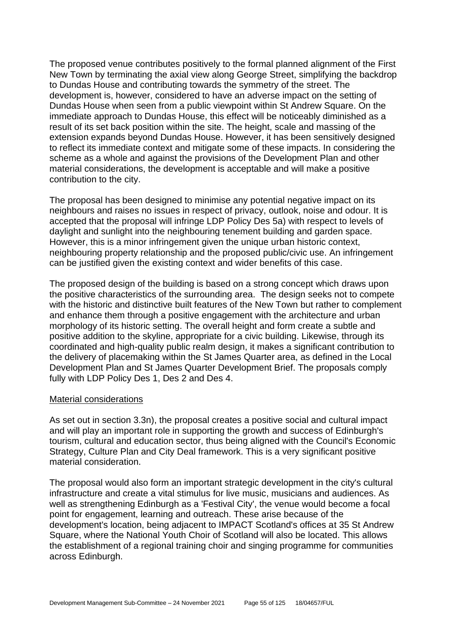The proposed venue contributes positively to the formal planned alignment of the First New Town by terminating the axial view along George Street, simplifying the backdrop to Dundas House and contributing towards the symmetry of the street. The development is, however, considered to have an adverse impact on the setting of Dundas House when seen from a public viewpoint within St Andrew Square. On the immediate approach to Dundas House, this effect will be noticeably diminished as a result of its set back position within the site. The height, scale and massing of the extension expands beyond Dundas House. However, it has been sensitively designed to reflect its immediate context and mitigate some of these impacts. In considering the scheme as a whole and against the provisions of the Development Plan and other material considerations, the development is acceptable and will make a positive contribution to the city.

The proposal has been designed to minimise any potential negative impact on its neighbours and raises no issues in respect of privacy, outlook, noise and odour. It is accepted that the proposal will infringe LDP Policy Des 5a) with respect to levels of daylight and sunlight into the neighbouring tenement building and garden space. However, this is a minor infringement given the unique urban historic context, neighbouring property relationship and the proposed public/civic use. An infringement can be justified given the existing context and wider benefits of this case.

The proposed design of the building is based on a strong concept which draws upon the positive characteristics of the surrounding area. The design seeks not to compete with the historic and distinctive built features of the New Town but rather to complement and enhance them through a positive engagement with the architecture and urban morphology of its historic setting. The overall height and form create a subtle and positive addition to the skyline, appropriate for a civic building. Likewise, through its coordinated and high-quality public realm design, it makes a significant contribution to the delivery of placemaking within the St James Quarter area, as defined in the Local Development Plan and St James Quarter Development Brief. The proposals comply fully with LDP Policy Des 1, Des 2 and Des 4.

#### Material considerations

As set out in section 3.3n), the proposal creates a positive social and cultural impact and will play an important role in supporting the growth and success of Edinburgh's tourism, cultural and education sector, thus being aligned with the Council's Economic Strategy, Culture Plan and City Deal framework. This is a very significant positive material consideration.

The proposal would also form an important strategic development in the city's cultural infrastructure and create a vital stimulus for live music, musicians and audiences. As well as strengthening Edinburgh as a 'Festival City', the venue would become a focal point for engagement, learning and outreach. These arise because of the development's location, being adjacent to IMPACT Scotland's offices at 35 St Andrew Square, where the National Youth Choir of Scotland will also be located. This allows the establishment of a regional training choir and singing programme for communities across Edinburgh.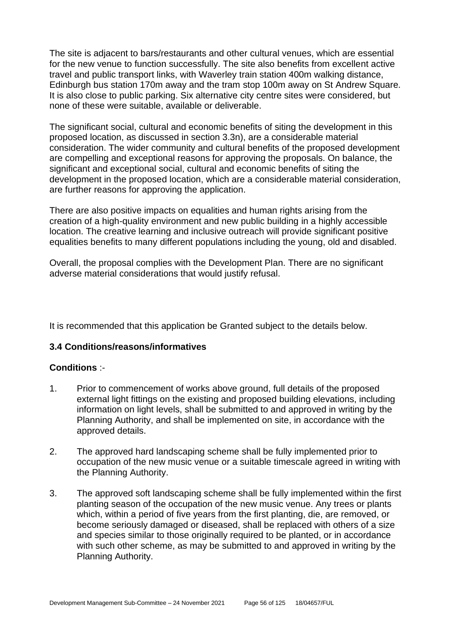The site is adjacent to bars/restaurants and other cultural venues, which are essential for the new venue to function successfully. The site also benefits from excellent active travel and public transport links, with Waverley train station 400m walking distance, Edinburgh bus station 170m away and the tram stop 100m away on St Andrew Square. It is also close to public parking. Six alternative city centre sites were considered, but none of these were suitable, available or deliverable.

The significant social, cultural and economic benefits of siting the development in this proposed location, as discussed in section 3.3n), are a considerable material consideration. The wider community and cultural benefits of the proposed development are compelling and exceptional reasons for approving the proposals. On balance, the significant and exceptional social, cultural and economic benefits of siting the development in the proposed location, which are a considerable material consideration, are further reasons for approving the application.

There are also positive impacts on equalities and human rights arising from the creation of a high-quality environment and new public building in a highly accessible location. The creative learning and inclusive outreach will provide significant positive equalities benefits to many different populations including the young, old and disabled.

Overall, the proposal complies with the Development Plan. There are no significant adverse material considerations that would justify refusal.

It is recommended that this application be Granted subject to the details below.

### **3.4 Conditions/reasons/informatives**

### **Conditions** :-

- 1. Prior to commencement of works above ground, full details of the proposed external light fittings on the existing and proposed building elevations, including information on light levels, shall be submitted to and approved in writing by the Planning Authority, and shall be implemented on site, in accordance with the approved details.
- 2. The approved hard landscaping scheme shall be fully implemented prior to occupation of the new music venue or a suitable timescale agreed in writing with the Planning Authority.
- 3. The approved soft landscaping scheme shall be fully implemented within the first planting season of the occupation of the new music venue. Any trees or plants which, within a period of five years from the first planting, die, are removed, or become seriously damaged or diseased, shall be replaced with others of a size and species similar to those originally required to be planted, or in accordance with such other scheme, as may be submitted to and approved in writing by the Planning Authority.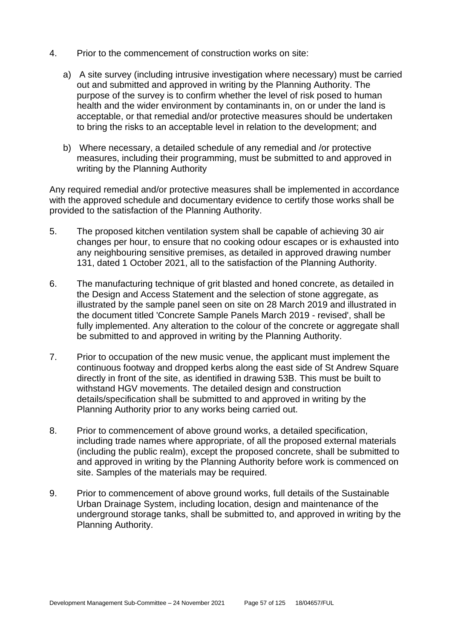- 4. Prior to the commencement of construction works on site:
	- a) A site survey (including intrusive investigation where necessary) must be carried out and submitted and approved in writing by the Planning Authority. The purpose of the survey is to confirm whether the level of risk posed to human health and the wider environment by contaminants in, on or under the land is acceptable, or that remedial and/or protective measures should be undertaken to bring the risks to an acceptable level in relation to the development; and
	- b) Where necessary, a detailed schedule of any remedial and /or protective measures, including their programming, must be submitted to and approved in writing by the Planning Authority

Any required remedial and/or protective measures shall be implemented in accordance with the approved schedule and documentary evidence to certify those works shall be provided to the satisfaction of the Planning Authority.

- 5. The proposed kitchen ventilation system shall be capable of achieving 30 air changes per hour, to ensure that no cooking odour escapes or is exhausted into any neighbouring sensitive premises, as detailed in approved drawing number 131, dated 1 October 2021, all to the satisfaction of the Planning Authority.
- 6. The manufacturing technique of grit blasted and honed concrete, as detailed in the Design and Access Statement and the selection of stone aggregate, as illustrated by the sample panel seen on site on 28 March 2019 and illustrated in the document titled 'Concrete Sample Panels March 2019 - revised', shall be fully implemented. Any alteration to the colour of the concrete or aggregate shall be submitted to and approved in writing by the Planning Authority.
- 7. Prior to occupation of the new music venue, the applicant must implement the continuous footway and dropped kerbs along the east side of St Andrew Square directly in front of the site, as identified in drawing 53B. This must be built to withstand HGV movements. The detailed design and construction details/specification shall be submitted to and approved in writing by the Planning Authority prior to any works being carried out.
- 8. Prior to commencement of above ground works, a detailed specification, including trade names where appropriate, of all the proposed external materials (including the public realm), except the proposed concrete, shall be submitted to and approved in writing by the Planning Authority before work is commenced on site. Samples of the materials may be required.
- 9. Prior to commencement of above ground works, full details of the Sustainable Urban Drainage System, including location, design and maintenance of the underground storage tanks, shall be submitted to, and approved in writing by the Planning Authority.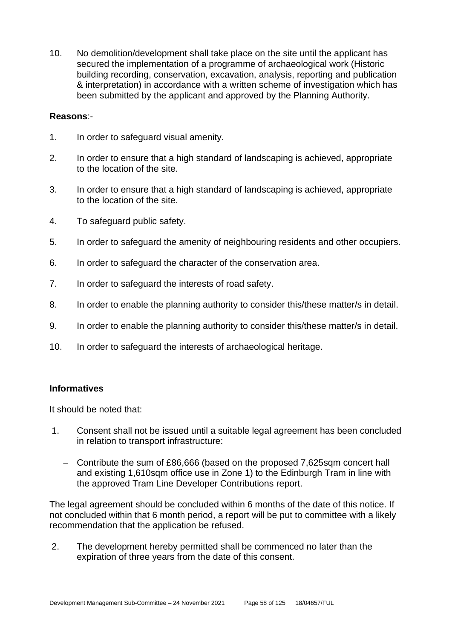10. No demolition/development shall take place on the site until the applicant has secured the implementation of a programme of archaeological work (Historic building recording, conservation, excavation, analysis, reporting and publication & interpretation) in accordance with a written scheme of investigation which has been submitted by the applicant and approved by the Planning Authority.

#### **Reasons**:-

- 1. In order to safeguard visual amenity.
- 2. In order to ensure that a high standard of landscaping is achieved, appropriate to the location of the site.
- 3. In order to ensure that a high standard of landscaping is achieved, appropriate to the location of the site.
- 4. To safeguard public safety.
- 5. In order to safeguard the amenity of neighbouring residents and other occupiers.
- 6. In order to safeguard the character of the conservation area.
- 7. In order to safeguard the interests of road safety.
- 8. In order to enable the planning authority to consider this/these matter/s in detail.
- 9. In order to enable the planning authority to consider this/these matter/s in detail.
- 10. In order to safeguard the interests of archaeological heritage.

#### **Informatives**

It should be noted that:

- 1. Consent shall not be issued until a suitable legal agreement has been concluded in relation to transport infrastructure:
	- − Contribute the sum of £86,666 (based on the proposed 7,625sqm concert hall and existing 1,610sqm office use in Zone 1) to the Edinburgh Tram in line with the approved Tram Line Developer Contributions report.

The legal agreement should be concluded within 6 months of the date of this notice. If not concluded within that 6 month period, a report will be put to committee with a likely recommendation that the application be refused.

2. The development hereby permitted shall be commenced no later than the expiration of three years from the date of this consent.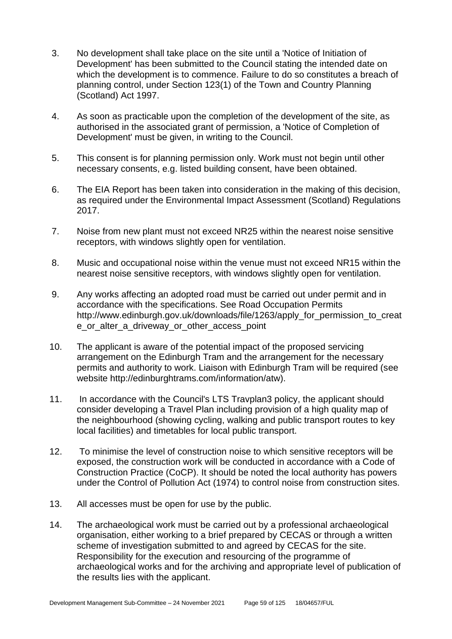- 3. No development shall take place on the site until a 'Notice of Initiation of Development' has been submitted to the Council stating the intended date on which the development is to commence. Failure to do so constitutes a breach of planning control, under Section 123(1) of the Town and Country Planning (Scotland) Act 1997.
- 4. As soon as practicable upon the completion of the development of the site, as authorised in the associated grant of permission, a 'Notice of Completion of Development' must be given, in writing to the Council.
- 5. This consent is for planning permission only. Work must not begin until other necessary consents, e.g. listed building consent, have been obtained.
- 6. The EIA Report has been taken into consideration in the making of this decision, as required under the Environmental Impact Assessment (Scotland) Regulations 2017.
- 7. Noise from new plant must not exceed NR25 within the nearest noise sensitive receptors, with windows slightly open for ventilation.
- 8. Music and occupational noise within the venue must not exceed NR15 within the nearest noise sensitive receptors, with windows slightly open for ventilation.
- 9. Any works affecting an adopted road must be carried out under permit and in accordance with the specifications. See Road Occupation Permits http://www.edinburgh.gov.uk/downloads/file/1263/apply for permission to creat e\_or\_alter\_a\_driveway\_or\_other\_access\_point
- 10. The applicant is aware of the potential impact of the proposed servicing arrangement on the Edinburgh Tram and the arrangement for the necessary permits and authority to work. Liaison with Edinburgh Tram will be required (see website http://edinburghtrams.com/information/atw).
- 11. In accordance with the Council's LTS Travplan3 policy, the applicant should consider developing a Travel Plan including provision of a high quality map of the neighbourhood (showing cycling, walking and public transport routes to key local facilities) and timetables for local public transport.
- 12. To minimise the level of construction noise to which sensitive receptors will be exposed, the construction work will be conducted in accordance with a Code of Construction Practice (CoCP). It should be noted the local authority has powers under the Control of Pollution Act (1974) to control noise from construction sites.
- 13. All accesses must be open for use by the public.
- 14. The archaeological work must be carried out by a professional archaeological organisation, either working to a brief prepared by CECAS or through a written scheme of investigation submitted to and agreed by CECAS for the site. Responsibility for the execution and resourcing of the programme of archaeological works and for the archiving and appropriate level of publication of the results lies with the applicant.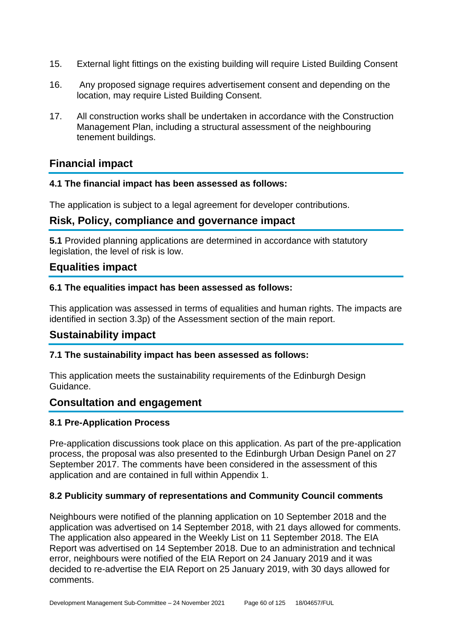- 15. External light fittings on the existing building will require Listed Building Consent
- 16. Any proposed signage requires advertisement consent and depending on the location, may require Listed Building Consent.
- 17. All construction works shall be undertaken in accordance with the Construction Management Plan, including a structural assessment of the neighbouring tenement buildings.

# **Financial impact**

## **4.1 The financial impact has been assessed as follows:**

The application is subject to a legal agreement for developer contributions.

# **Risk, Policy, compliance and governance impact**

**5.1** Provided planning applications are determined in accordance with statutory legislation, the level of risk is low.

## **Equalities impact**

## **6.1 The equalities impact has been assessed as follows:**

This application was assessed in terms of equalities and human rights. The impacts are identified in section 3.3p) of the Assessment section of the main report.

# **Sustainability impact**

## **7.1 The sustainability impact has been assessed as follows:**

This application meets the sustainability requirements of the Edinburgh Design Guidance.

## **Consultation and engagement**

## **8.1 Pre-Application Process**

Pre-application discussions took place on this application. As part of the pre-application process, the proposal was also presented to the Edinburgh Urban Design Panel on 27 September 2017. The comments have been considered in the assessment of this application and are contained in full within Appendix 1.

## **8.2 Publicity summary of representations and Community Council comments**

Neighbours were notified of the planning application on 10 September 2018 and the application was advertised on 14 September 2018, with 21 days allowed for comments. The application also appeared in the Weekly List on 11 September 2018. The EIA Report was advertised on 14 September 2018. Due to an administration and technical error, neighbours were notified of the EIA Report on 24 January 2019 and it was decided to re-advertise the EIA Report on 25 January 2019, with 30 days allowed for comments.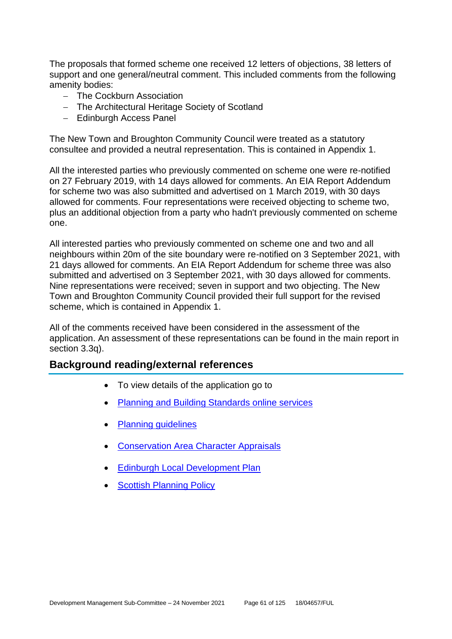The proposals that formed scheme one received 12 letters of objections, 38 letters of support and one general/neutral comment. This included comments from the following amenity bodies:

- − The Cockburn Association
- − The Architectural Heritage Society of Scotland
- − Edinburgh Access Panel

The New Town and Broughton Community Council were treated as a statutory consultee and provided a neutral representation. This is contained in Appendix 1.

All the interested parties who previously commented on scheme one were re-notified on 27 February 2019, with 14 days allowed for comments. An EIA Report Addendum for scheme two was also submitted and advertised on 1 March 2019, with 30 days allowed for comments. Four representations were received objecting to scheme two, plus an additional objection from a party who hadn't previously commented on scheme one.

All interested parties who previously commented on scheme one and two and all neighbours within 20m of the site boundary were re-notified on 3 September 2021, with 21 days allowed for comments. An EIA Report Addendum for scheme three was also submitted and advertised on 3 September 2021, with 30 days allowed for comments. Nine representations were received; seven in support and two objecting. The New Town and Broughton Community Council provided their full support for the revised scheme, which is contained in Appendix 1.

All of the comments received have been considered in the assessment of the application. An assessment of these representations can be found in the main report in section 3.3q).

## **Background reading/external references**

- To view details of the application go to
- Planning and [Building Standards online services](https://citydev-portal.edinburgh.gov.uk/idoxpa-web/search.do?action=simple&searchType=Application)
- [Planning guidelines](http://www.edinburgh.gov.uk/planningguidelines)
- [Conservation Area Character Appraisals](http://www.edinburgh.gov.uk/characterappraisals)
- **[Edinburgh Local Development Plan](http://www.edinburgh.gov.uk/localdevelopmentplan)**
- [Scottish Planning Policy](http://www.scotland.gov.uk/Topics/Built-Environment/planning/Policy)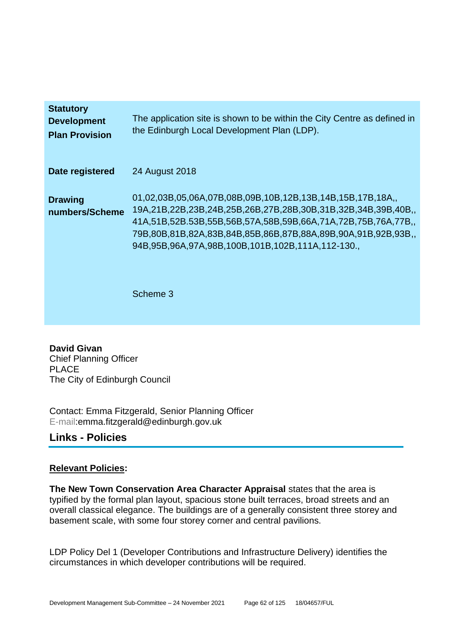| <b>Statutory</b><br><b>Development</b><br><b>Plan Provision</b> | The application site is shown to be within the City Centre as defined in<br>the Edinburgh Local Development Plan (LDP).                                                                                                                                                                                                  |
|-----------------------------------------------------------------|--------------------------------------------------------------------------------------------------------------------------------------------------------------------------------------------------------------------------------------------------------------------------------------------------------------------------|
| Date registered                                                 | 24 August 2018                                                                                                                                                                                                                                                                                                           |
| <b>Drawing</b><br>numbers/Scheme                                | 01,02,03B,05,06A,07B,08B,09B,10B,12B,13B,14B,15B,17B,18A,,<br>19A,21B,22B,23B,24B,25B,26B,27B,28B,30B,31B,32B,34B,39B,40B,,<br>41A,51B,52B.53B,55B,56B,57A,58B,59B,66A,71A,72B,75B,76A,77B,<br>.79B,80B,81B,82A,83B,84B,85B,86B,87B,88A,89B,90A,91B,92B,93B<br>94B, 95B, 96A, 97A, 98B, 100B, 101B, 102B, 111A, 112-130. |
|                                                                 | Scheme 3                                                                                                                                                                                                                                                                                                                 |

**David Givan** Chief Planning Officer PLACE The City of Edinburgh Council

Contact: Emma Fitzgerald, Senior Planning Officer E-mail:emma.fitzgerald@edinburgh.gov.uk

## **Links - Policies**

### **Relevant Policies:**

**The New Town Conservation Area Character Appraisal** states that the area is typified by the formal plan layout, spacious stone built terraces, broad streets and an overall classical elegance. The buildings are of a generally consistent three storey and basement scale, with some four storey corner and central pavilions.

LDP Policy Del 1 (Developer Contributions and Infrastructure Delivery) identifies the circumstances in which developer contributions will be required.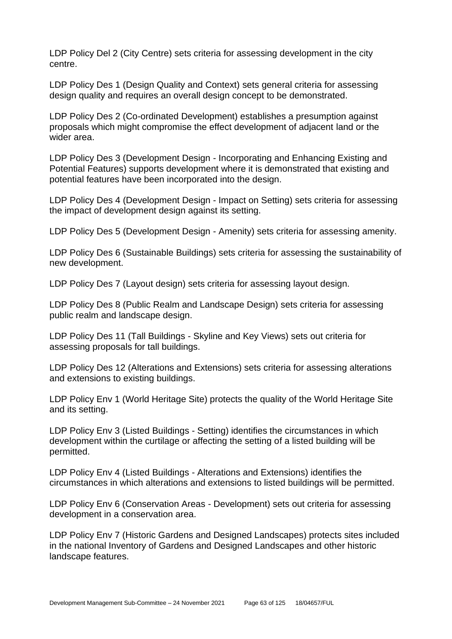LDP Policy Del 2 (City Centre) sets criteria for assessing development in the city centre.

LDP Policy Des 1 (Design Quality and Context) sets general criteria for assessing design quality and requires an overall design concept to be demonstrated.

LDP Policy Des 2 (Co-ordinated Development) establishes a presumption against proposals which might compromise the effect development of adjacent land or the wider area.

LDP Policy Des 3 (Development Design - Incorporating and Enhancing Existing and Potential Features) supports development where it is demonstrated that existing and potential features have been incorporated into the design.

LDP Policy Des 4 (Development Design - Impact on Setting) sets criteria for assessing the impact of development design against its setting.

LDP Policy Des 5 (Development Design - Amenity) sets criteria for assessing amenity.

LDP Policy Des 6 (Sustainable Buildings) sets criteria for assessing the sustainability of new development.

LDP Policy Des 7 (Layout design) sets criteria for assessing layout design.

LDP Policy Des 8 (Public Realm and Landscape Design) sets criteria for assessing public realm and landscape design.

LDP Policy Des 11 (Tall Buildings - Skyline and Key Views) sets out criteria for assessing proposals for tall buildings.

LDP Policy Des 12 (Alterations and Extensions) sets criteria for assessing alterations and extensions to existing buildings.

LDP Policy Env 1 (World Heritage Site) protects the quality of the World Heritage Site and its setting.

LDP Policy Env 3 (Listed Buildings - Setting) identifies the circumstances in which development within the curtilage or affecting the setting of a listed building will be permitted.

LDP Policy Env 4 (Listed Buildings - Alterations and Extensions) identifies the circumstances in which alterations and extensions to listed buildings will be permitted.

LDP Policy Env 6 (Conservation Areas - Development) sets out criteria for assessing development in a conservation area.

LDP Policy Env 7 (Historic Gardens and Designed Landscapes) protects sites included in the national Inventory of Gardens and Designed Landscapes and other historic landscape features.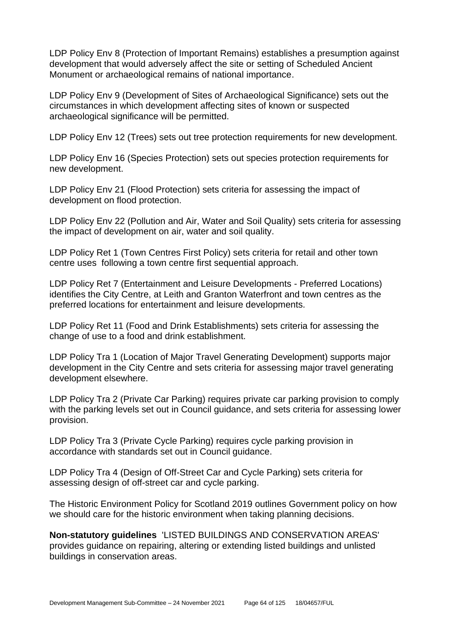LDP Policy Env 8 (Protection of Important Remains) establishes a presumption against development that would adversely affect the site or setting of Scheduled Ancient Monument or archaeological remains of national importance.

LDP Policy Env 9 (Development of Sites of Archaeological Significance) sets out the circumstances in which development affecting sites of known or suspected archaeological significance will be permitted.

LDP Policy Env 12 (Trees) sets out tree protection requirements for new development.

LDP Policy Env 16 (Species Protection) sets out species protection requirements for new development.

LDP Policy Env 21 (Flood Protection) sets criteria for assessing the impact of development on flood protection.

LDP Policy Env 22 (Pollution and Air, Water and Soil Quality) sets criteria for assessing the impact of development on air, water and soil quality.

LDP Policy Ret 1 (Town Centres First Policy) sets criteria for retail and other town centre uses following a town centre first sequential approach.

LDP Policy Ret 7 (Entertainment and Leisure Developments - Preferred Locations) identifies the City Centre, at Leith and Granton Waterfront and town centres as the preferred locations for entertainment and leisure developments.

LDP Policy Ret 11 (Food and Drink Establishments) sets criteria for assessing the change of use to a food and drink establishment.

LDP Policy Tra 1 (Location of Major Travel Generating Development) supports major development in the City Centre and sets criteria for assessing major travel generating development elsewhere.

LDP Policy Tra 2 (Private Car Parking) requires private car parking provision to comply with the parking levels set out in Council guidance, and sets criteria for assessing lower provision.

LDP Policy Tra 3 (Private Cycle Parking) requires cycle parking provision in accordance with standards set out in Council guidance.

LDP Policy Tra 4 (Design of Off-Street Car and Cycle Parking) sets criteria for assessing design of off-street car and cycle parking.

The Historic Environment Policy for Scotland 2019 outlines Government policy on how we should care for the historic environment when taking planning decisions.

**Non-statutory guidelines** 'LISTED BUILDINGS AND CONSERVATION AREAS' provides guidance on repairing, altering or extending listed buildings and unlisted buildings in conservation areas.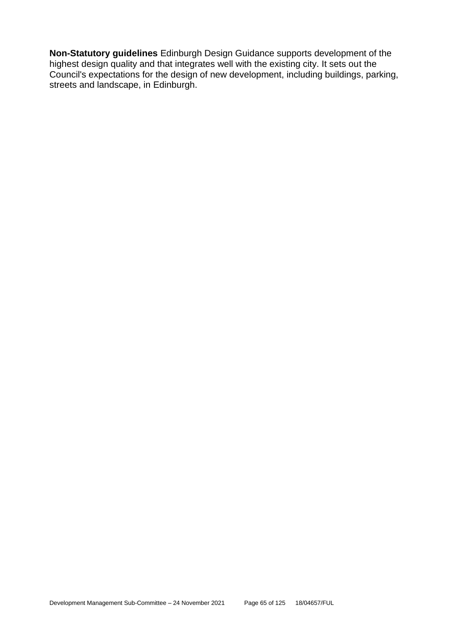**Non-Statutory guidelines** Edinburgh Design Guidance supports development of the highest design quality and that integrates well with the existing city. It sets out the Council's expectations for the design of new development, including buildings, parking, streets and landscape, in Edinburgh.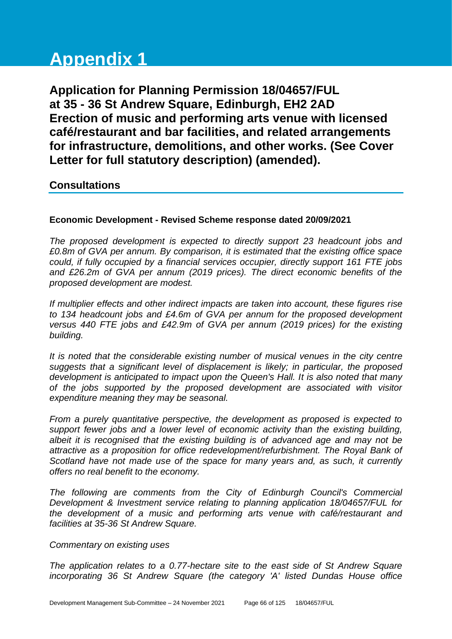# **Appendix 1**

**Application for Planning Permission 18/04657/FUL at 35 - 36 St Andrew Square, Edinburgh, EH2 2AD Erection of music and performing arts venue with licensed café/restaurant and bar facilities, and related arrangements for infrastructure, demolitions, and other works. (See Cover Letter for full statutory description) (amended).**

# **Consultations**

## **Economic Development - Revised Scheme response dated 20/09/2021**

*The proposed development is expected to directly support 23 headcount jobs and £0.8m of GVA per annum. By comparison, it is estimated that the existing office space could, if fully occupied by a financial services occupier, directly support 161 FTE jobs and £26.2m of GVA per annum (2019 prices). The direct economic benefits of the proposed development are modest.* 

*If multiplier effects and other indirect impacts are taken into account, these figures rise to 134 headcount jobs and £4.6m of GVA per annum for the proposed development versus 440 FTE jobs and £42.9m of GVA per annum (2019 prices) for the existing building.*

*It is noted that the considerable existing number of musical venues in the city centre suggests that a significant level of displacement is likely; in particular, the proposed development is anticipated to impact upon the Queen's Hall. It is also noted that many of the jobs supported by the proposed development are associated with visitor expenditure meaning they may be seasonal.*

*From a purely quantitative perspective, the development as proposed is expected to support fewer jobs and a lower level of economic activity than the existing building, albeit it is recognised that the existing building is of advanced age and may not be attractive as a proposition for office redevelopment/refurbishment. The Royal Bank of Scotland have not made use of the space for many years and, as such, it currently offers no real benefit to the economy.*

*The following are comments from the City of Edinburgh Council's Commercial Development & Investment service relating to planning application 18/04657/FUL for the development of a music and performing arts venue with café/restaurant and facilities at 35-36 St Andrew Square.*

### *Commentary on existing uses*

*The application relates to a 0.77-hectare site to the east side of St Andrew Square incorporating 36 St Andrew Square (the category 'A' listed Dundas House office*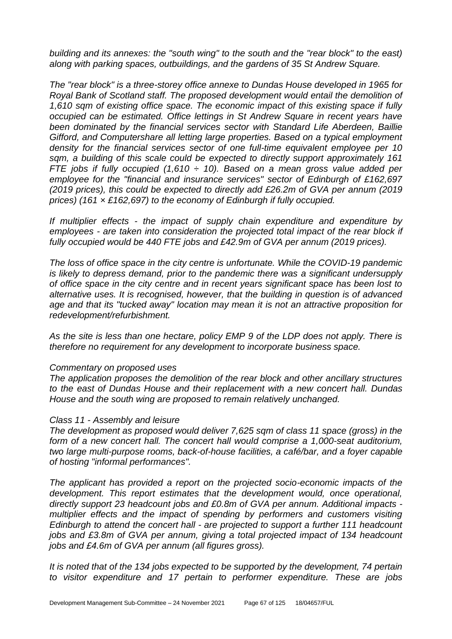*building and its annexes: the "south wing" to the south and the "rear block" to the east) along with parking spaces, outbuildings, and the gardens of 35 St Andrew Square.*

*The "rear block" is a three-storey office annexe to Dundas House developed in 1965 for Royal Bank of Scotland staff. The proposed development would entail the demolition of 1,610 sqm of existing office space. The economic impact of this existing space if fully occupied can be estimated. Office lettings in St Andrew Square in recent years have been dominated by the financial services sector with Standard Life Aberdeen, Baillie Gifford, and Computershare all letting large properties. Based on a typical employment density for the financial services sector of one full-time equivalent employee per 10 sqm, a building of this scale could be expected to directly support approximately 161 FTE jobs if fully occupied (1,610 ÷ 10). Based on a mean gross value added per employee for the "financial and insurance services" sector of Edinburgh of £162,697 (2019 prices), this could be expected to directly add £26.2m of GVA per annum (2019 prices) (161 × £162,697) to the economy of Edinburgh if fully occupied.*

*If multiplier effects - the impact of supply chain expenditure and expenditure by employees - are taken into consideration the projected total impact of the rear block if fully occupied would be 440 FTE jobs and £42.9m of GVA per annum (2019 prices).*

*The loss of office space in the city centre is unfortunate. While the COVID-19 pandemic is likely to depress demand, prior to the pandemic there was a significant undersupply of office space in the city centre and in recent years significant space has been lost to alternative uses. It is recognised, however, that the building in question is of advanced age and that its "tucked away" location may mean it is not an attractive proposition for redevelopment/refurbishment.* 

*As the site is less than one hectare, policy EMP 9 of the LDP does not apply. There is therefore no requirement for any development to incorporate business space.*

#### *Commentary on proposed uses*

*The application proposes the demolition of the rear block and other ancillary structures to the east of Dundas House and their replacement with a new concert hall. Dundas House and the south wing are proposed to remain relatively unchanged.*

#### *Class 11 - Assembly and leisure*

*The development as proposed would deliver 7,625 sqm of class 11 space (gross) in the*  form of a new concert hall. The concert hall would comprise a 1,000-seat auditorium, *two large multi-purpose rooms, back-of-house facilities, a café/bar, and a foyer capable of hosting "informal performances".*

*The applicant has provided a report on the projected socio-economic impacts of the development. This report estimates that the development would, once operational, directly support 23 headcount jobs and £0.8m of GVA per annum. Additional impacts multiplier effects and the impact of spending by performers and customers visiting Edinburgh to attend the concert hall - are projected to support a further 111 headcount jobs and £3.8m of GVA per annum, giving a total projected impact of 134 headcount jobs and £4.6m of GVA per annum (all figures gross).*

*It is noted that of the 134 jobs expected to be supported by the development, 74 pertain to visitor expenditure and 17 pertain to performer expenditure. These are jobs*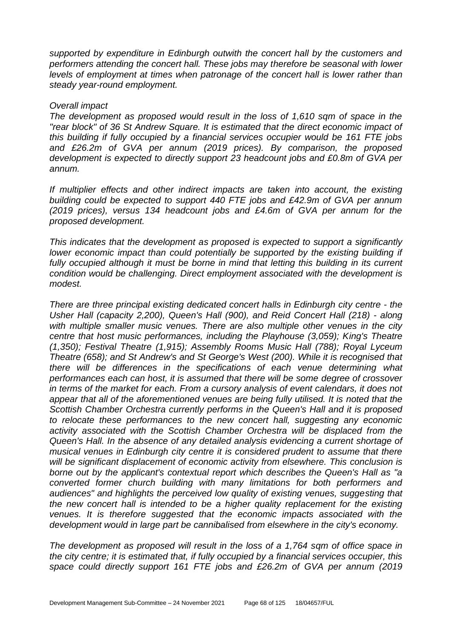*supported by expenditure in Edinburgh outwith the concert hall by the customers and performers attending the concert hall. These jobs may therefore be seasonal with lower levels of employment at times when patronage of the concert hall is lower rather than steady year-round employment.*

#### *Overall impact*

*The development as proposed would result in the loss of 1,610 sqm of space in the "rear block" of 36 St Andrew Square. It is estimated that the direct economic impact of this building if fully occupied by a financial services occupier would be 161 FTE jobs and £26.2m of GVA per annum (2019 prices). By comparison, the proposed development is expected to directly support 23 headcount jobs and £0.8m of GVA per annum.*

*If multiplier effects and other indirect impacts are taken into account, the existing building could be expected to support 440 FTE jobs and £42.9m of GVA per annum (2019 prices), versus 134 headcount jobs and £4.6m of GVA per annum for the proposed development.*

*This indicates that the development as proposed is expected to support a significantly lower economic impact than could potentially be supported by the existing building if fully occupied although it must be borne in mind that letting this building in its current condition would be challenging. Direct employment associated with the development is modest.*

*There are three principal existing dedicated concert halls in Edinburgh city centre - the Usher Hall (capacity 2,200), Queen's Hall (900), and Reid Concert Hall (218) - along with multiple smaller music venues. There are also multiple other venues in the city centre that host music performances, including the Playhouse (3,059); King's Theatre (1,350); Festival Theatre (1,915); Assembly Rooms Music Hall (788); Royal Lyceum Theatre (658); and St Andrew's and St George's West (200). While it is recognised that there will be differences in the specifications of each venue determining what performances each can host, it is assumed that there will be some degree of crossover in terms of the market for each. From a cursory analysis of event calendars, it does not appear that all of the aforementioned venues are being fully utilised. It is noted that the Scottish Chamber Orchestra currently performs in the Queen's Hall and it is proposed to relocate these performances to the new concert hall, suggesting any economic activity associated with the Scottish Chamber Orchestra will be displaced from the Queen's Hall. In the absence of any detailed analysis evidencing a current shortage of musical venues in Edinburgh city centre it is considered prudent to assume that there will be significant displacement of economic activity from elsewhere. This conclusion is borne out by the applicant's contextual report which describes the Queen's Hall as "a converted former church building with many limitations for both performers and audiences" and highlights the perceived low quality of existing venues, suggesting that the new concert hall is intended to be a higher quality replacement for the existing venues. It is therefore suggested that the economic impacts associated with the development would in large part be cannibalised from elsewhere in the city's economy.*

*The development as proposed will result in the loss of a 1,764 sqm of office space in the city centre; it is estimated that, if fully occupied by a financial services occupier, this space could directly support 161 FTE jobs and £26.2m of GVA per annum (2019*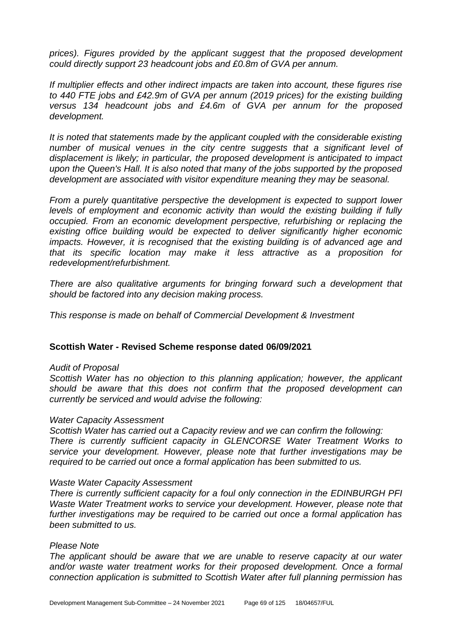*prices). Figures provided by the applicant suggest that the proposed development could directly support 23 headcount jobs and £0.8m of GVA per annum.*

*If multiplier effects and other indirect impacts are taken into account, these figures rise to 440 FTE jobs and £42.9m of GVA per annum (2019 prices) for the existing building versus 134 headcount jobs and £4.6m of GVA per annum for the proposed development.*

*It is noted that statements made by the applicant coupled with the considerable existing*  number of musical venues in the city centre suggests that a significant level of *displacement is likely; in particular, the proposed development is anticipated to impact upon the Queen's Hall. It is also noted that many of the jobs supported by the proposed development are associated with visitor expenditure meaning they may be seasonal.*

*From a purely quantitative perspective the development is expected to support lower levels of employment and economic activity than would the existing building if fully occupied. From an economic development perspective, refurbishing or replacing the existing office building would be expected to deliver significantly higher economic impacts. However, it is recognised that the existing building is of advanced age and that its specific location may make it less attractive as a proposition for redevelopment/refurbishment.* 

*There are also qualitative arguments for bringing forward such a development that should be factored into any decision making process.*

*This response is made on behalf of Commercial Development & Investment*

### **Scottish Water - Revised Scheme response dated 06/09/2021**

#### *Audit of Proposal*

*Scottish Water has no objection to this planning application; however, the applicant should be aware that this does not confirm that the proposed development can currently be serviced and would advise the following:*

#### *Water Capacity Assessment*

*Scottish Water has carried out a Capacity review and we can confirm the following: There is currently sufficient capacity in GLENCORSE Water Treatment Works to service your development. However, please note that further investigations may be required to be carried out once a formal application has been submitted to us.*

#### *Waste Water Capacity Assessment*

*There is currently sufficient capacity for a foul only connection in the EDINBURGH PFI Waste Water Treatment works to service your development. However, please note that further investigations may be required to be carried out once a formal application has been submitted to us.*

#### *Please Note*

*The applicant should be aware that we are unable to reserve capacity at our water*  and/or waste water treatment works for their proposed development. Once a formal *connection application is submitted to Scottish Water after full planning permission has*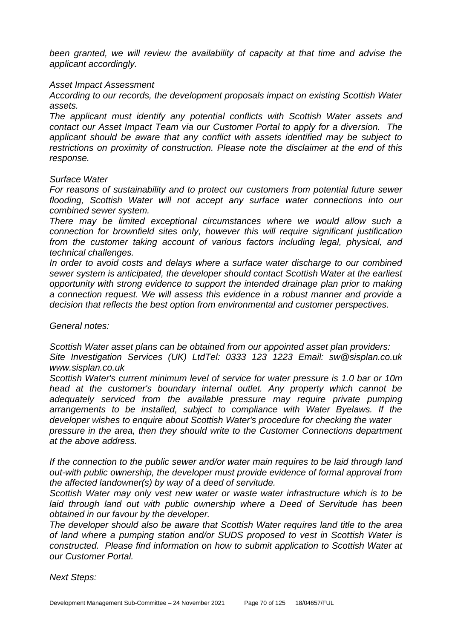*been granted, we will review the availability of capacity at that time and advise the applicant accordingly.*

#### *Asset Impact Assessment*

*According to our records, the development proposals impact on existing Scottish Water assets.*

*The applicant must identify any potential conflicts with Scottish Water assets and contact our Asset Impact Team via our Customer Portal to apply for a diversion. The applicant should be aware that any conflict with assets identified may be subject to restrictions on proximity of construction. Please note the disclaimer at the end of this response.*

#### *Surface Water*

*For reasons of sustainability and to protect our customers from potential future sewer flooding, Scottish Water will not accept any surface water connections into our combined sewer system.*

*There may be limited exceptional circumstances where we would allow such a connection for brownfield sites only, however this will require significant justification from the customer taking account of various factors including legal, physical, and technical challenges.*

*In order to avoid costs and delays where a surface water discharge to our combined sewer system is anticipated, the developer should contact Scottish Water at the earliest opportunity with strong evidence to support the intended drainage plan prior to making a connection request. We will assess this evidence in a robust manner and provide a decision that reflects the best option from environmental and customer perspectives.*

*General notes:*

*Scottish Water asset plans can be obtained from our appointed asset plan providers: Site Investigation Services (UK) LtdTel: 0333 123 1223 Email: sw@sisplan.co.uk www.sisplan.co.uk*

*Scottish Water's current minimum level of service for water pressure is 1.0 bar or 10m head at the customer's boundary internal outlet. Any property which cannot be adequately serviced from the available pressure may require private pumping arrangements to be installed, subject to compliance with Water Byelaws. If the developer wishes to enquire about Scottish Water's procedure for checking the water pressure in the area, then they should write to the Customer Connections department at the above address.*

*If the connection to the public sewer and/or water main requires to be laid through land out-with public ownership, the developer must provide evidence of formal approval from the affected landowner(s) by way of a deed of servitude.*

*Scottish Water may only vest new water or waste water infrastructure which is to be*  laid through land out with public ownership where a Deed of Servitude has been *obtained in our favour by the developer.*

*The developer should also be aware that Scottish Water requires land title to the area of land where a pumping station and/or SUDS proposed to vest in Scottish Water is constructed. Please find information on how to submit application to Scottish Water at our Customer Portal.*

*Next Steps:*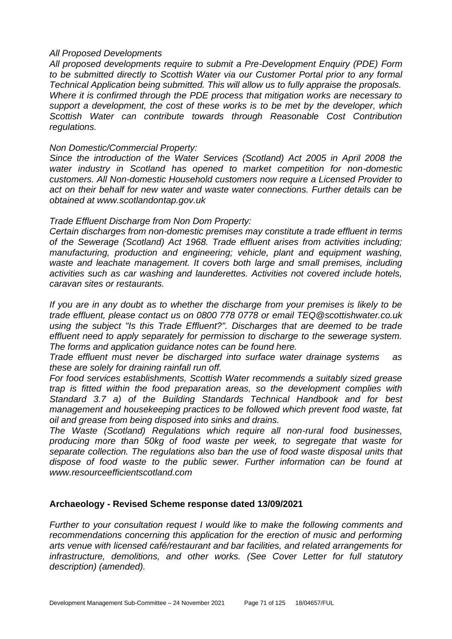#### *All Proposed Developments*

*All proposed developments require to submit a Pre-Development Enquiry (PDE) Form to be submitted directly to Scottish Water via our Customer Portal prior to any formal Technical Application being submitted. This will allow us to fully appraise the proposals. Where it is confirmed through the PDE process that mitigation works are necessary to support a development, the cost of these works is to be met by the developer, which Scottish Water can contribute towards through Reasonable Cost Contribution regulations.*

#### *Non Domestic/Commercial Property:*

*Since the introduction of the Water Services (Scotland) Act 2005 in April 2008 the water industry in Scotland has opened to market competition for non-domestic customers. All Non-domestic Household customers now require a Licensed Provider to*  act on their behalf for new water and waste water connections. Further details can be *obtained at www.scotlandontap.gov.uk*

#### *Trade Effluent Discharge from Non Dom Property:*

*Certain discharges from non-domestic premises may constitute a trade effluent in terms of the Sewerage (Scotland) Act 1968. Trade effluent arises from activities including; manufacturing, production and engineering; vehicle, plant and equipment washing, waste and leachate management. It covers both large and small premises, including activities such as car washing and launderettes. Activities not covered include hotels, caravan sites or restaurants.*

*If you are in any doubt as to whether the discharge from your premises is likely to be trade effluent, please contact us on 0800 778 0778 or email TEQ@scottishwater.co.uk using the subject "Is this Trade Effluent?". Discharges that are deemed to be trade effluent need to apply separately for permission to discharge to the sewerage system. The forms and application guidance notes can be found here.*

*Trade effluent must never be discharged into surface water drainage systems as these are solely for draining rainfall run off.*

*For food services establishments, Scottish Water recommends a suitably sized grease trap is fitted within the food preparation areas, so the development complies with Standard 3.7 a) of the Building Standards Technical Handbook and for best management and housekeeping practices to be followed which prevent food waste, fat oil and grease from being disposed into sinks and drains.*

*The Waste (Scotland) Regulations which require all non-rural food businesses, producing more than 50kg of food waste per week, to segregate that waste for separate collection. The regulations also ban the use of food waste disposal units that dispose of food waste to the public sewer. Further information can be found at www.resourceefficientscotland.com* 

### **Archaeology - Revised Scheme response dated 13/09/2021**

*Further to your consultation request I would like to make the following comments and recommendations concerning this application for the erection of music and performing arts venue with licensed café/restaurant and bar facilities, and related arrangements for infrastructure, demolitions, and other works. (See Cover Letter for full statutory description) (amended).*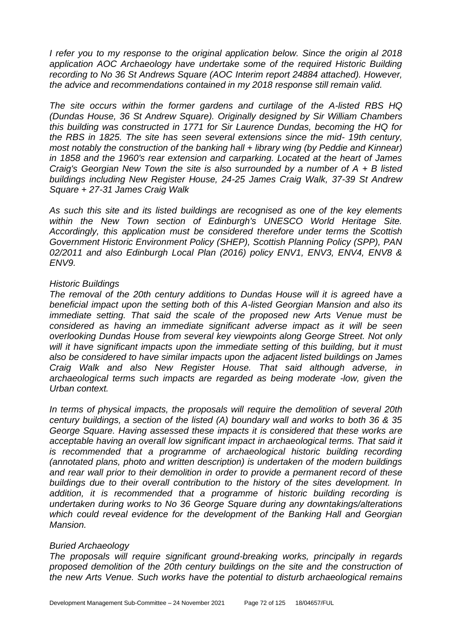*I refer you to my response to the original application below. Since the origin al 2018 application AOC Archaeology have undertake some of the required Historic Building recording to No 36 St Andrews Square (AOC Interim report 24884 attached). However, the advice and recommendations contained in my 2018 response still remain valid.*

*The site occurs within the former gardens and curtilage of the A-listed RBS HQ (Dundas House, 36 St Andrew Square). Originally designed by Sir William Chambers this building was constructed in 1771 for Sir Laurence Dundas, becoming the HQ for the RBS in 1825. The site has seen several extensions since the mid- 19th century, most notably the construction of the banking hall + library wing (by Peddie and Kinnear) in 1858 and the 1960's rear extension and carparking. Located at the heart of James Craig's Georgian New Town the site is also surrounded by a number of A + B listed buildings including New Register House, 24-25 James Craig Walk, 37-39 St Andrew Square + 27-31 James Craig Walk*

*As such this site and its listed buildings are recognised as one of the key elements within the New Town section of Edinburgh's UNESCO World Heritage Site. Accordingly, this application must be considered therefore under terms the Scottish Government Historic Environment Policy (SHEP), Scottish Planning Policy (SPP), PAN 02/2011 and also Edinburgh Local Plan (2016) policy ENV1, ENV3, ENV4, ENV8 & ENV9.*

#### *Historic Buildings*

*The removal of the 20th century additions to Dundas House will it is agreed have a beneficial impact upon the setting both of this A-listed Georgian Mansion and also its immediate setting. That said the scale of the proposed new Arts Venue must be considered as having an immediate significant adverse impact as it will be seen overlooking Dundas House from several key viewpoints along George Street. Not only*  will it have significant impacts upon the immediate setting of this building, but it must *also be considered to have similar impacts upon the adjacent listed buildings on James Craig Walk and also New Register House. That said although adverse, in archaeological terms such impacts are regarded as being moderate -low, given the Urban context.*

*In terms of physical impacts, the proposals will require the demolition of several 20th century buildings, a section of the listed (A) boundary wall and works to both 36 & 35 George Square. Having assessed these impacts it is considered that these works are acceptable having an overall low significant impact in archaeological terms. That said it*  is recommended that a programme of archaeological historic building recording *(annotated plans, photo and written description) is undertaken of the modern buildings and rear wall prior to their demolition in order to provide a permanent record of these buildings due to their overall contribution to the history of the sites development. In addition, it is recommended that a programme of historic building recording is undertaken during works to No 36 George Square during any downtakings/alterations which could reveal evidence for the development of the Banking Hall and Georgian Mansion.*

#### *Buried Archaeology*

*The proposals will require significant ground-breaking works, principally in regards*  proposed demolition of the 20th century buildings on the site and the construction of *the new Arts Venue. Such works have the potential to disturb archaeological remains*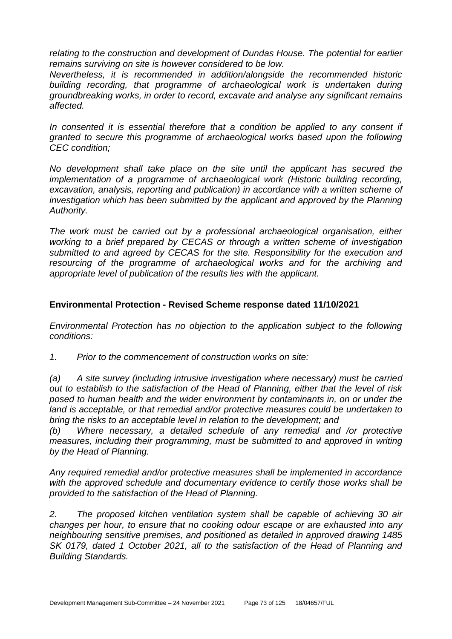*relating to the construction and development of Dundas House. The potential for earlier remains surviving on site is however considered to be low.*

*Nevertheless, it is recommended in addition/alongside the recommended historic*  building recording, that programme of archaeological work is undertaken during *groundbreaking works, in order to record, excavate and analyse any significant remains affected.*

In consented it is essential therefore that a condition be applied to any consent if *granted to secure this programme of archaeological works based upon the following CEC condition;*

*No development shall take place on the site until the applicant has secured the implementation of a programme of archaeological work (Historic building recording, excavation, analysis, reporting and publication) in accordance with a written scheme of investigation which has been submitted by the applicant and approved by the Planning Authority.*

*The work must be carried out by a professional archaeological organisation, either working to a brief prepared by CECAS or through a written scheme of investigation submitted to and agreed by CECAS for the site. Responsibility for the execution and resourcing of the programme of archaeological works and for the archiving and appropriate level of publication of the results lies with the applicant.*

# **Environmental Protection - Revised Scheme response dated 11/10/2021**

*Environmental Protection has no objection to the application subject to the following conditions:*

*1. Prior to the commencement of construction works on site:*

*(a) A site survey (including intrusive investigation where necessary) must be carried out to establish to the satisfaction of the Head of Planning, either that the level of risk posed to human health and the wider environment by contaminants in, on or under the land is acceptable, or that remedial and/or protective measures could be undertaken to bring the risks to an acceptable level in relation to the development; and*

*(b) Where necessary, a detailed schedule of any remedial and /or protective measures, including their programming, must be submitted to and approved in writing by the Head of Planning.*

*Any required remedial and/or protective measures shall be implemented in accordance with the approved schedule and documentary evidence to certify those works shall be provided to the satisfaction of the Head of Planning.*

*2. The proposed kitchen ventilation system shall be capable of achieving 30 air changes per hour, to ensure that no cooking odour escape or are exhausted into any neighbouring sensitive premises, and positioned as detailed in approved drawing 1485 SK 0179, dated 1 October 2021, all to the satisfaction of the Head of Planning and Building Standards.*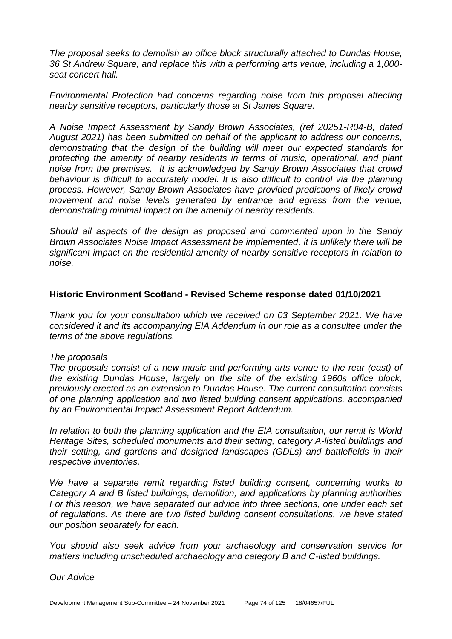*The proposal seeks to demolish an office block structurally attached to Dundas House, 36 St Andrew Square, and replace this with a performing arts venue, including a 1,000 seat concert hall.*

*Environmental Protection had concerns regarding noise from this proposal affecting nearby sensitive receptors, particularly those at St James Square.*

*A Noise Impact Assessment by Sandy Brown Associates, (ref 20251-R04-B, dated August 2021) has been submitted on behalf of the applicant to address our concerns, demonstrating that the design of the building will meet our expected standards for protecting the amenity of nearby residents in terms of music, operational, and plant noise from the premises. It is acknowledged by Sandy Brown Associates that crowd behaviour is difficult to accurately model. It is also difficult to control via the planning process. However, Sandy Brown Associates have provided predictions of likely crowd movement and noise levels generated by entrance and egress from the venue, demonstrating minimal impact on the amenity of nearby residents.*

*Should all aspects of the design as proposed and commented upon in the Sandy Brown Associates Noise Impact Assessment be implemented, it is unlikely there will be significant impact on the residential amenity of nearby sensitive receptors in relation to noise.*

### **Historic Environment Scotland - Revised Scheme response dated 01/10/2021**

*Thank you for your consultation which we received on 03 September 2021. We have considered it and its accompanying EIA Addendum in our role as a consultee under the terms of the above regulations.*

#### *The proposals*

*The proposals consist of a new music and performing arts venue to the rear (east) of the existing Dundas House, largely on the site of the existing 1960s office block, previously erected as an extension to Dundas House. The current consultation consists of one planning application and two listed building consent applications, accompanied by an Environmental Impact Assessment Report Addendum.*

*In relation to both the planning application and the EIA consultation, our remit is World Heritage Sites, scheduled monuments and their setting, category A-listed buildings and their setting, and gardens and designed landscapes (GDLs) and battlefields in their respective inventories.*

We have a separate remit regarding listed building consent, concerning works to *Category A and B listed buildings, demolition, and applications by planning authorities For this reason, we have separated our advice into three sections, one under each set of regulations. As there are two listed building consent consultations, we have stated our position separately for each.*

*You should also seek advice from your archaeology and conservation service for matters including unscheduled archaeology and category B and C-listed buildings.*

*Our Advice*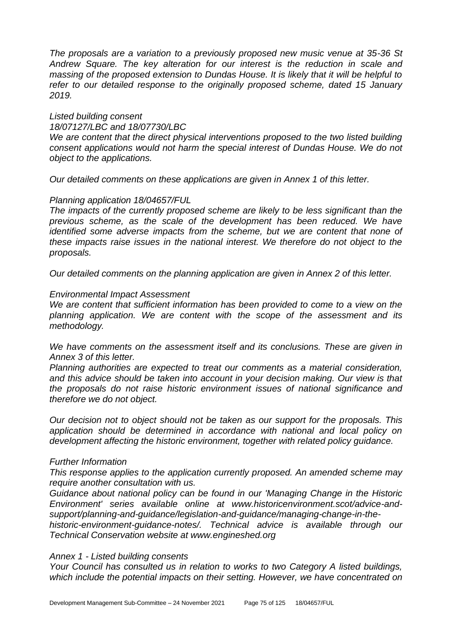*The proposals are a variation to a previously proposed new music venue at 35-36 St Andrew Square. The key alteration for our interest is the reduction in scale and massing of the proposed extension to Dundas House. It is likely that it will be helpful to refer to our detailed response to the originally proposed scheme, dated 15 January 2019.*

# *Listed building consent*

*18/07127/LBC and 18/07730/LBC*

*We are content that the direct physical interventions proposed to the two listed building consent applications would not harm the special interest of Dundas House. We do not object to the applications.*

*Our detailed comments on these applications are given in Annex 1 of this letter.*

### *Planning application 18/04657/FUL*

*The impacts of the currently proposed scheme are likely to be less significant than the*  previous scheme, as the scale of the development has been reduced. We have *identified some adverse impacts from the scheme, but we are content that none of these impacts raise issues in the national interest. We therefore do not object to the proposals.*

*Our detailed comments on the planning application are given in Annex 2 of this letter.*

### *Environmental Impact Assessment*

*We are content that sufficient information has been provided to come to a view on the planning application. We are content with the scope of the assessment and its methodology.*

*We have comments on the assessment itself and its conclusions. These are given in Annex 3 of this letter.*

*Planning authorities are expected to treat our comments as a material consideration, and this advice should be taken into account in your decision making. Our view is that the proposals do not raise historic environment issues of national significance and therefore we do not object.*

*Our decision not to object should not be taken as our support for the proposals. This application should be determined in accordance with national and local policy on development affecting the historic environment, together with related policy guidance.*

### *Further Information*

*This response applies to the application currently proposed. An amended scheme may require another consultation with us.*

*Guidance about national policy can be found in our 'Managing Change in the Historic Environment' series available online at www.historicenvironment.scot/advice-andsupport/planning-and-guidance/legislation-and-guidance/managing-change-in-the-*

*historic-environment-guidance-notes/. Technical advice is available through our Technical Conservation website at www.engineshed.org*

#### *Annex 1 - Listed building consents*

*Your Council has consulted us in relation to works to two Category A listed buildings, which include the potential impacts on their setting. However, we have concentrated on*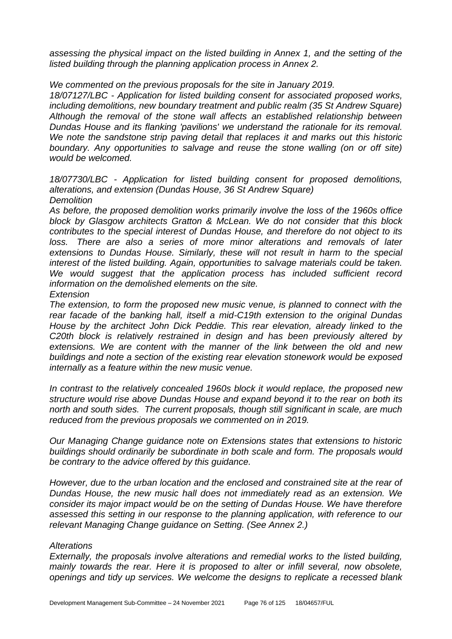*assessing the physical impact on the listed building in Annex 1, and the setting of the listed building through the planning application process in Annex 2.*

*We commented on the previous proposals for the site in January 2019.*

*18/07127/LBC - Application for listed building consent for associated proposed works, including demolitions, new boundary treatment and public realm (35 St Andrew Square) Although the removal of the stone wall affects an established relationship between Dundas House and its flanking 'pavilions' we understand the rationale for its removal. We note the sandstone strip paving detail that replaces it and marks out this historic*  boundary. Any opportunities to salvage and reuse the stone walling (on or off site) *would be welcomed.*

*18/07730/LBC - Application for listed building consent for proposed demolitions, alterations, and extension (Dundas House, 36 St Andrew Square) Demolition*

*As before, the proposed demolition works primarily involve the loss of the 1960s office block by Glasgow architects Gratton & McLean. We do not consider that this block contributes to the special interest of Dundas House, and therefore do not object to its loss. There are also a series of more minor alterations and removals of later extensions to Dundas House. Similarly, these will not result in harm to the special interest of the listed building. Again, opportunities to salvage materials could be taken.*  We would suggest that the application process has included sufficient record *information on the demolished elements on the site.*

#### *Extension*

*The extension, to form the proposed new music venue, is planned to connect with the rear facade of the banking hall, itself a mid-C19th extension to the original Dundas House by the architect John Dick Peddie. This rear elevation, already linked to the C20th block is relatively restrained in design and has been previously altered by extensions. We are content with the manner of the link between the old and new buildings and note a section of the existing rear elevation stonework would be exposed internally as a feature within the new music venue.*

*In contrast to the relatively concealed 1960s block it would replace, the proposed new structure would rise above Dundas House and expand beyond it to the rear on both its north and south sides. The current proposals, though still significant in scale, are much reduced from the previous proposals we commented on in 2019.*

*Our Managing Change guidance note on Extensions states that extensions to historic buildings should ordinarily be subordinate in both scale and form. The proposals would be contrary to the advice offered by this guidance.*

*However, due to the urban location and the enclosed and constrained site at the rear of Dundas House, the new music hall does not immediately read as an extension. We consider its major impact would be on the setting of Dundas House. We have therefore assessed this setting in our response to the planning application, with reference to our relevant Managing Change guidance on Setting. (See Annex 2.)*

### *Alterations*

*Externally, the proposals involve alterations and remedial works to the listed building, mainly towards the rear. Here it is proposed to alter or infill several, now obsolete, openings and tidy up services. We welcome the designs to replicate a recessed blank*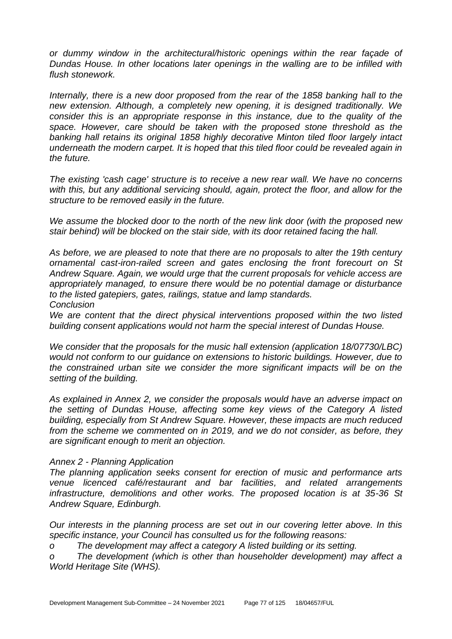*or dummy window in the architectural/historic openings within the rear façade of Dundas House. In other locations later openings in the walling are to be infilled with flush stonework.*

*Internally, there is a new door proposed from the rear of the 1858 banking hall to the new extension. Although, a completely new opening, it is designed traditionally. We consider this is an appropriate response in this instance, due to the quality of the space. However, care should be taken with the proposed stone threshold as the banking hall retains its original 1858 highly decorative Minton tiled floor largely intact underneath the modern carpet. It is hoped that this tiled floor could be revealed again in the future.*

*The existing 'cash cage' structure is to receive a new rear wall. We have no concerns with this, but any additional servicing should, again, protect the floor, and allow for the structure to be removed easily in the future.*

*We assume the blocked door to the north of the new link door (with the proposed new stair behind) will be blocked on the stair side, with its door retained facing the hall.*

*As before, we are pleased to note that there are no proposals to alter the 19th century ornamental cast-iron-railed screen and gates enclosing the front forecourt on St Andrew Square. Again, we would urge that the current proposals for vehicle access are appropriately managed, to ensure there would be no potential damage or disturbance to the listed gatepiers, gates, railings, statue and lamp standards. Conclusion*

We are content that the direct physical interventions proposed within the two listed *building consent applications would not harm the special interest of Dundas House.*

*We consider that the proposals for the music hall extension (application 18/07730/LBC) would not conform to our guidance on extensions to historic buildings. However, due to the constrained urban site we consider the more significant impacts will be on the setting of the building.*

*As explained in Annex 2, we consider the proposals would have an adverse impact on the setting of Dundas House, affecting some key views of the Category A listed building, especially from St Andrew Square. However, these impacts are much reduced from the scheme we commented on in 2019, and we do not consider, as before, they are significant enough to merit an objection.*

### *Annex 2 - Planning Application*

*The planning application seeks consent for erection of music and performance arts venue licenced café/restaurant and bar facilities, and related arrangements infrastructure, demolitions and other works. The proposed location is at 35-36 St Andrew Square, Edinburgh.*

*Our interests in the planning process are set out in our covering letter above. In this specific instance, your Council has consulted us for the following reasons:*

*o The development may affect a category A listed building or its setting.*

*o The development (which is other than householder development) may affect a World Heritage Site (WHS).*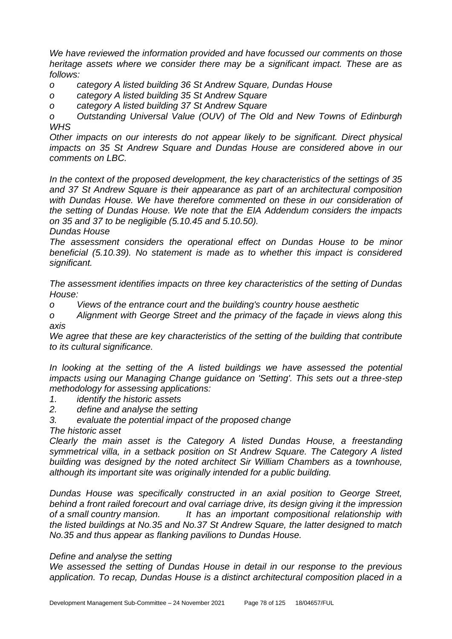*We have reviewed the information provided and have focussed our comments on those heritage assets where we consider there may be a significant impact. These are as follows:*

*o category A listed building 36 St Andrew Square, Dundas House*

*o category A listed building 35 St Andrew Square*

*o category A listed building 37 St Andrew Square*

*o Outstanding Universal Value (OUV) of The Old and New Towns of Edinburgh WHS*

*Other impacts on our interests do not appear likely to be significant. Direct physical impacts on 35 St Andrew Square and Dundas House are considered above in our comments on LBC.*

*In the context of the proposed development, the key characteristics of the settings of 35 and 37 St Andrew Square is their appearance as part of an architectural composition*  with Dundas House. We have therefore commented on these in our consideration of *the setting of Dundas House. We note that the EIA Addendum considers the impacts on 35 and 37 to be negligible (5.10.45 and 5.10.50).*

*Dundas House*

*The assessment considers the operational effect on Dundas House to be minor beneficial (5.10.39). No statement is made as to whether this impact is considered significant.*

*The assessment identifies impacts on three key characteristics of the setting of Dundas House:*

*o Views of the entrance court and the building's country house aesthetic*

*o Alignment with George Street and the primacy of the façade in views along this axis*

*We agree that these are key characteristics of the setting of the building that contribute to its cultural significance.*

In looking at the setting of the A listed buildings we have assessed the potential *impacts using our Managing Change guidance on 'Setting'. This sets out a three-step methodology for assessing applications:*

- *1. identify the historic assets*
- *2. define and analyse the setting*
- *3. evaluate the potential impact of the proposed change*

*The historic asset*

*Clearly the main asset is the Category A listed Dundas House, a freestanding symmetrical villa, in a setback position on St Andrew Square. The Category A listed building was designed by the noted architect Sir William Chambers as a townhouse, although its important site was originally intended for a public building.*

*Dundas House was specifically constructed in an axial position to George Street, behind a front railed forecourt and oval carriage drive, its design giving it the impression of a small country mansion. It has an important compositional relationship with the listed buildings at No.35 and No.37 St Andrew Square, the latter designed to match No.35 and thus appear as flanking pavilions to Dundas House.*

#### *Define and analyse the setting*

*We assessed the setting of Dundas House in detail in our response to the previous application. To recap, Dundas House is a distinct architectural composition placed in a*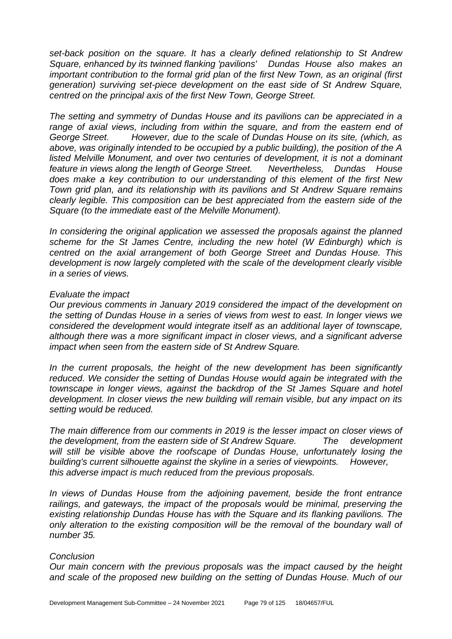*set-back position on the square. It has a clearly defined relationship to St Andrew Square, enhanced by its twinned flanking 'pavilions' Dundas House also makes an important contribution to the formal grid plan of the first New Town, as an original (first generation) surviving set-piece development on the east side of St Andrew Square, centred on the principal axis of the first New Town, George Street.*

*The setting and symmetry of Dundas House and its pavilions can be appreciated in a*  range of axial views, including from within the square, and from the eastern end of *George Street. However, due to the scale of Dundas House on its site, (which, as above, was originally intended to be occupied by a public building), the position of the A listed Melville Monument, and over two centuries of development, it is not a dominant feature in views along the length of George Street. Nevertheless, Dundas House does make a key contribution to our understanding of this element of the first New Town grid plan, and its relationship with its pavilions and St Andrew Square remains clearly legible. This composition can be best appreciated from the eastern side of the Square (to the immediate east of the Melville Monument).*

*In considering the original application we assessed the proposals against the planned scheme for the St James Centre, including the new hotel (W Edinburgh) which is centred on the axial arrangement of both George Street and Dundas House. This development is now largely completed with the scale of the development clearly visible in a series of views.*

#### *Evaluate the impact*

*Our previous comments in January 2019 considered the impact of the development on the setting of Dundas House in a series of views from west to east. In longer views we considered the development would integrate itself as an additional layer of townscape, although there was a more significant impact in closer views, and a significant adverse impact when seen from the eastern side of St Andrew Square.*

*In the current proposals, the height of the new development has been significantly reduced. We consider the setting of Dundas House would again be integrated with the townscape in longer views, against the backdrop of the St James Square and hotel development. In closer views the new building will remain visible, but any impact on its setting would be reduced.*

*The main difference from our comments in 2019 is the lesser impact on closer views of the development, from the eastern side of St Andrew Square. The development will still be visible above the roofscape of Dundas House, unfortunately losing the building's current silhouette against the skyline in a series of viewpoints. However, this adverse impact is much reduced from the previous proposals.*

*In views of Dundas House from the adjoining pavement, beside the front entrance railings, and gateways, the impact of the proposals would be minimal, preserving the existing relationship Dundas House has with the Square and its flanking pavilions. The only alteration to the existing composition will be the removal of the boundary wall of number 35.*

#### *Conclusion*

*Our main concern with the previous proposals was the impact caused by the height and scale of the proposed new building on the setting of Dundas House. Much of our*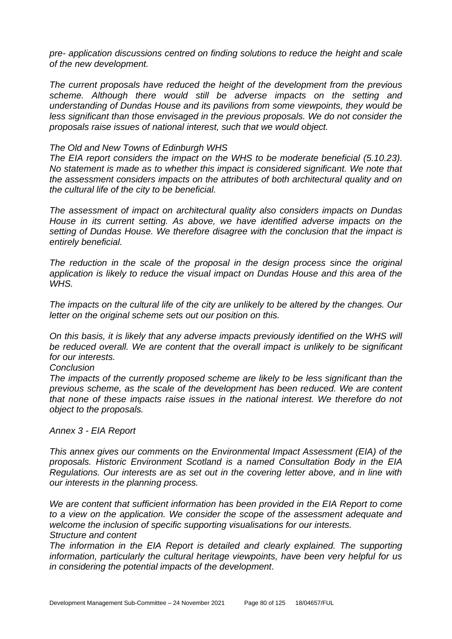*pre- application discussions centred on finding solutions to reduce the height and scale of the new development.*

*The current proposals have reduced the height of the development from the previous scheme. Although there would still be adverse impacts on the setting and understanding of Dundas House and its pavilions from some viewpoints, they would be less significant than those envisaged in the previous proposals. We do not consider the proposals raise issues of national interest, such that we would object.*

#### *The Old and New Towns of Edinburgh WHS*

*The EIA report considers the impact on the WHS to be moderate beneficial (5.10.23). No statement is made as to whether this impact is considered significant. We note that the assessment considers impacts on the attributes of both architectural quality and on the cultural life of the city to be beneficial.*

*The assessment of impact on architectural quality also considers impacts on Dundas House in its current setting. As above, we have identified adverse impacts on the setting of Dundas House. We therefore disagree with the conclusion that the impact is entirely beneficial.*

*The reduction in the scale of the proposal in the design process since the original application is likely to reduce the visual impact on Dundas House and this area of the WHS.*

*The impacts on the cultural life of the city are unlikely to be altered by the changes. Our letter on the original scheme sets out our position on this.*

*On this basis, it is likely that any adverse impacts previously identified on the WHS will be reduced overall. We are content that the overall impact is unlikely to be significant for our interests.*

#### *Conclusion*

*The impacts of the currently proposed scheme are likely to be less significant than the previous scheme, as the scale of the development has been reduced. We are content that none of these impacts raise issues in the national interest. We therefore do not object to the proposals.*

### *Annex 3 - EIA Report*

*This annex gives our comments on the Environmental Impact Assessment (EIA) of the proposals. Historic Environment Scotland is a named Consultation Body in the EIA Regulations. Our interests are as set out in the covering letter above, and in line with our interests in the planning process.*

*We are content that sufficient information has been provided in the EIA Report to come to a view on the application. We consider the scope of the assessment adequate and welcome the inclusion of specific supporting visualisations for our interests. Structure and content*

*The information in the EIA Report is detailed and clearly explained. The supporting information, particularly the cultural heritage viewpoints, have been very helpful for us in considering the potential impacts of the development.*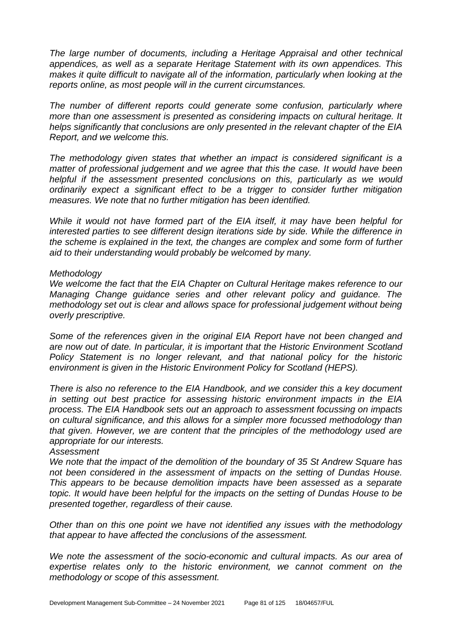*The large number of documents, including a Heritage Appraisal and other technical appendices, as well as a separate Heritage Statement with its own appendices. This makes it quite difficult to navigate all of the information, particularly when looking at the reports online, as most people will in the current circumstances.*

*The number of different reports could generate some confusion, particularly where more than one assessment is presented as considering impacts on cultural heritage. It helps significantly that conclusions are only presented in the relevant chapter of the EIA Report, and we welcome this.*

*The methodology given states that whether an impact is considered significant is a matter of professional judgement and we agree that this the case. It would have been helpful if the assessment presented conclusions on this, particularly as we would ordinarily expect a significant effect to be a trigger to consider further mitigation measures. We note that no further mitigation has been identified.*

*While it would not have formed part of the EIA itself, it may have been helpful for interested parties to see different design iterations side by side. While the difference in the scheme is explained in the text, the changes are complex and some form of further aid to their understanding would probably be welcomed by many.*

#### *Methodology*

*We welcome the fact that the EIA Chapter on Cultural Heritage makes reference to our Managing Change guidance series and other relevant policy and guidance. The methodology set out is clear and allows space for professional judgement without being overly prescriptive.*

*Some of the references given in the original EIA Report have not been changed and are now out of date. In particular, it is important that the Historic Environment Scotland Policy Statement is no longer relevant, and that national policy for the historic environment is given in the Historic Environment Policy for Scotland (HEPS).*

*There is also no reference to the EIA Handbook, and we consider this a key document in setting out best practice for assessing historic environment impacts in the EIA process. The EIA Handbook sets out an approach to assessment focussing on impacts on cultural significance, and this allows for a simpler more focussed methodology than that given. However, we are content that the principles of the methodology used are appropriate for our interests.*

*Assessment*

*We note that the impact of the demolition of the boundary of 35 St Andrew Square has not been considered in the assessment of impacts on the setting of Dundas House. This appears to be because demolition impacts have been assessed as a separate topic. It would have been helpful for the impacts on the setting of Dundas House to be presented together, regardless of their cause.*

*Other than on this one point we have not identified any issues with the methodology that appear to have affected the conclusions of the assessment.*

*We note the assessment of the socio-economic and cultural impacts. As our area of expertise relates only to the historic environment, we cannot comment on the methodology or scope of this assessment.*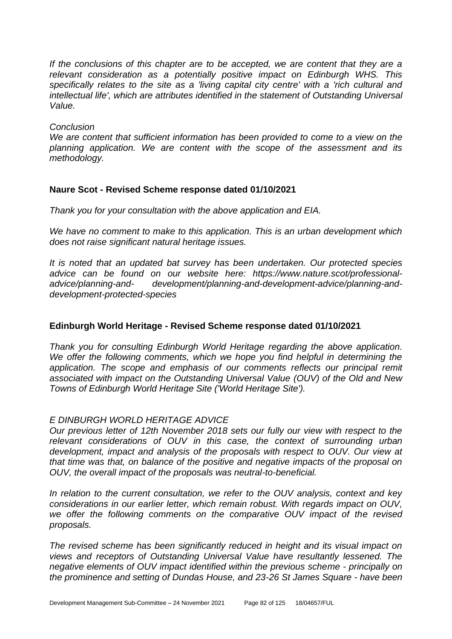*If the conclusions of this chapter are to be accepted, we are content that they are a relevant consideration as a potentially positive impact on Edinburgh WHS. This specifically relates to the site as a 'living capital city centre' with a 'rich cultural and intellectual life', which are attributes identified in the statement of Outstanding Universal Value.*

#### *Conclusion*

*We are content that sufficient information has been provided to come to a view on the planning application. We are content with the scope of the assessment and its methodology.*

### **Naure Scot - Revised Scheme response dated 01/10/2021**

*Thank you for your consultation with the above application and EIA.*

*We have no comment to make to this application. This is an urban development which does not raise significant natural heritage issues.*

*It is noted that an updated bat survey has been undertaken. Our protected species advice can be found on our website here: https://www.nature.scot/professionaladvice/planning-and- development/planning-and-development-advice/planning-anddevelopment-protected-species*

### **Edinburgh World Heritage - Revised Scheme response dated 01/10/2021**

*Thank you for consulting Edinburgh World Heritage regarding the above application. We offer the following comments, which we hope you find helpful in determining the* application. The scope and emphasis of our comments reflects our principal remit *associated with impact on the Outstanding Universal Value (OUV) of the Old and New Towns of Edinburgh World Heritage Site ('World Heritage Site').*

### *E DINBURGH WORLD HERITAGE ADVICE*

*Our previous letter of 12th November 2018 sets our fully our view with respect to the relevant considerations of OUV in this case, the context of surrounding urban development, impact and analysis of the proposals with respect to OUV. Our view at that time was that, on balance of the positive and negative impacts of the proposal on OUV, the overall impact of the proposals was neutral-to-beneficial.*

*In relation to the current consultation, we refer to the OUV analysis, context and key considerations in our earlier letter, which remain robust. With regards impact on OUV, we offer the following comments on the comparative OUV impact of the revised proposals.*

*The revised scheme has been significantly reduced in height and its visual impact on views and receptors of Outstanding Universal Value have resultantly lessened. The negative elements of OUV impact identified within the previous scheme - principally on the prominence and setting of Dundas House, and 23-26 St James Square - have been*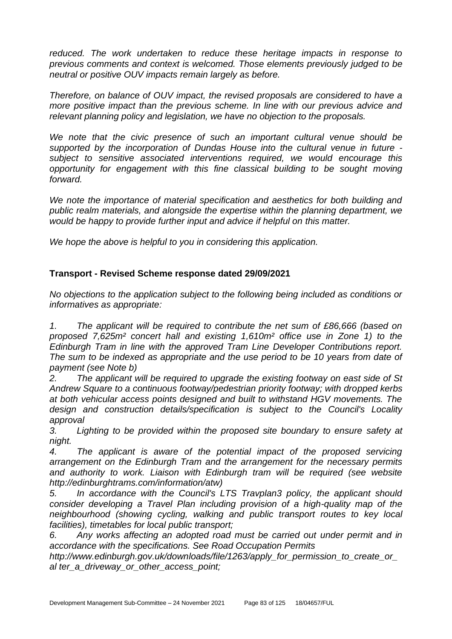*reduced. The work undertaken to reduce these heritage impacts in response to previous comments and context is welcomed. Those elements previously judged to be neutral or positive OUV impacts remain largely as before.*

*Therefore, on balance of OUV impact, the revised proposals are considered to have a more positive impact than the previous scheme. In line with our previous advice and relevant planning policy and legislation, we have no objection to the proposals.*

*We note that the civic presence of such an important cultural venue should be supported by the incorporation of Dundas House into the cultural venue in future subject to sensitive associated interventions required, we would encourage this opportunity for engagement with this fine classical building to be sought moving forward.*

*We note the importance of material specification and aesthetics for both building and public realm materials, and alongside the expertise within the planning department, we would be happy to provide further input and advice if helpful on this matter.*

*We hope the above is helpful to you in considering this application.*

# **Transport - Revised Scheme response dated 29/09/2021**

*No objections to the application subject to the following being included as conditions or informatives as appropriate:*

*1. The applicant will be required to contribute the net sum of £86,666 (based on proposed 7,625m² concert hall and existing 1,610m² office use in Zone 1) to the Edinburgh Tram in line with the approved Tram Line Developer Contributions report. The sum to be indexed as appropriate and the use period to be 10 years from date of payment (see Note b)*

*2. The applicant will be required to upgrade the existing footway on east side of St Andrew Square to a continuous footway/pedestrian priority footway; with dropped kerbs at both vehicular access points designed and built to withstand HGV movements. The design and construction details/specification is subject to the Council's Locality approval*

*3. Lighting to be provided within the proposed site boundary to ensure safety at night.*

*4. The applicant is aware of the potential impact of the proposed servicing arrangement on the Edinburgh Tram and the arrangement for the necessary permits*  and authority to work. Liaison with Edinburgh tram will be required (see website *http://edinburghtrams.com/information/atw)*

*5. In accordance with the Council's LTS Travplan3 policy, the applicant should consider developing a Travel Plan including provision of a high-quality map of the neighbourhood (showing cycling, walking and public transport routes to key local facilities), timetables for local public transport;*

*6. Any works affecting an adopted road must be carried out under permit and in accordance with the specifications. See Road Occupation Permits*

*http://www.edinburgh.gov.uk/downloads/file/1263/apply\_for\_permission\_to\_create\_or\_ al ter\_a\_driveway\_or\_other\_access\_point;*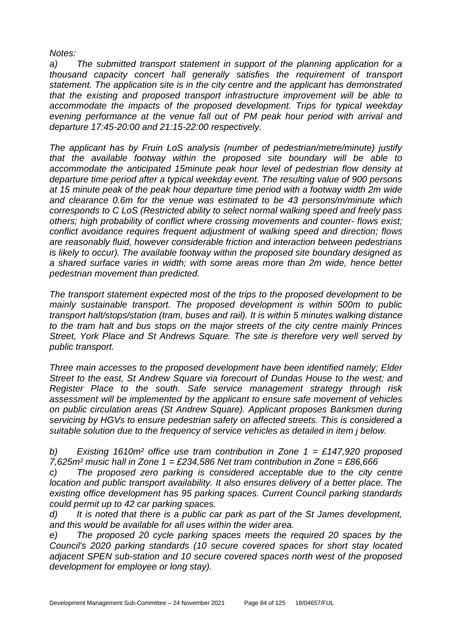*Notes:*

*a) The submitted transport statement in support of the planning application for a thousand capacity concert hall generally satisfies the requirement of transport statement. The application site is in the city centre and the applicant has demonstrated that the existing and proposed transport infrastructure improvement will be able to accommodate the impacts of the proposed development. Trips for typical weekday evening performance at the venue fall out of PM peak hour period with arrival and departure 17:45-20:00 and 21:15-22:00 respectively.*

*The applicant has by Fruin LoS analysis (number of pedestrian/metre/minute) justify that the available footway within the proposed site boundary will be able to accommodate the anticipated 15minute peak hour level of pedestrian flow density at departure time period after a typical weekday event. The resulting value of 900 persons at 15 minute peak of the peak hour departure time period with a footway width 2m wide and clearance 0.6m for the venue was estimated to be 43 persons/m/minute which corresponds to C LoS (Restricted ability to select normal walking speed and freely pass others; high probability of conflict where crossing movements and counter- flows exist; conflict avoidance requires frequent adjustment of walking speed and direction; flows are reasonably fluid, however considerable friction and interaction between pedestrians is likely to occur). The available footway within the proposed site boundary designed as a shared surface varies in width; with some areas more than 2m wide, hence better pedestrian movement than predicted.*

*The transport statement expected most of the trips to the proposed development to be mainly sustainable transport. The proposed development is within 500m to public transport halt/stops/station (tram, buses and rail). It is within 5 minutes walking distance to the tram halt and bus stops on the major streets of the city centre mainly Princes Street, York Place and St Andrews Square. The site is therefore very well served by public transport.*

*Three main accesses to the proposed development have been identified namely; Elder Street to the east, St Andrew Square via forecourt of Dundas House to the west; and Register Place to the south. Safe service management strategy through risk assessment will be implemented by the applicant to ensure safe movement of vehicles on public circulation areas (St Andrew Square). Applicant proposes Banksmen during servicing by HGVs to ensure pedestrian safety on affected streets. This is considered a suitable solution due to the frequency of service vehicles as detailed in item j below.*

*b) Existing 1610m² office use tram contribution in Zone 1 = £147,920 proposed 7,625m² music hall in Zone 1 = £234,586 Net tram contribution in Zone = £86,666*

*c) The proposed zero parking is considered acceptable due to the city centre location and public transport availability. It also ensures delivery of a better place. The existing office development has 95 parking spaces. Current Council parking standards could permit up to 42 car parking spaces.*

*d) It is noted that there is a public car park as part of the St James development, and this would be available for all uses within the wider area.*

*e) The proposed 20 cycle parking spaces meets the required 20 spaces by the Council's 2020 parking standards (10 secure covered spaces for short stay located adjacent SPEN sub-station and 10 secure covered spaces north west of the proposed development for employee or long stay).*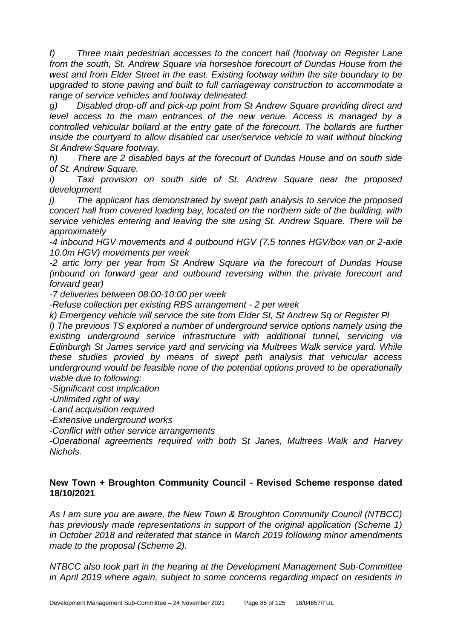*f) Three main pedestrian accesses to the concert hall (footway on Register Lane from the south, St. Andrew Square via horseshoe forecourt of Dundas House from the*  west and from Elder Street in the east. Existing footway within the site boundary to be *upgraded to stone paving and built to full carriageway construction to accommodate a range of service vehicles and footway delineated.*

*g) Disabled drop-off and pick-up point from St Andrew Square providing direct and level access to the main entrances of the new venue. Access is managed by a controlled vehicular bollard at the entry gate of the forecourt. The bollards are further inside the courtyard to allow disabled car user/service vehicle to wait without blocking St Andrew Square footway.*

*h) There are 2 disabled bays at the forecourt of Dundas House and on south side of St. Andrew Square.*

*i) Taxi provision on south side of St. Andrew Square near the proposed development*

*j) The applicant has demonstrated by swept path analysis to service the proposed concert hall from covered loading bay, located on the northern side of the building, with service vehicles entering and leaving the site using St. Andrew Square. There will be approximately*

*-4 inbound HGV movements and 4 outbound HGV (7.5 tonnes HGV/box van or 2-axle 10.0m HGV) movements per week*

*-2 artic lorry per year from St Andrew Square via the forecourt of Dundas House (inbound on forward gear and outbound reversing within the private forecourt and forward gear)*

*-7 deliveries between 08:00-10:00 per week*

*-Refuse collection per existing RBS arrangement - 2 per week*

*k) Emergency vehicle will service the site from Elder St, St Andrew Sq or Register Pl*

*l) The previous TS explored a number of underground service options namely using the existing underground service infrastructure with additional tunnel, servicing via Edinburgh St James service yard and servicing via Multrees Walk service yard. While these studies provied by means of swept path analysis that vehicular access underground would be feasible none of the potential options proved to be operationally viable due to following:*

*-Significant cost implication*

*-Unlimited right of way*

*-Land acquisition required*

*-Extensive underground works*

*-Conflict with other service arrangements*

*-Operational agreements required with both St Janes, Multrees Walk and Harvey Nichols.*

### **New Town + Broughton Community Council - Revised Scheme response dated 18/10/2021**

*As I am sure you are aware, the New Town & Broughton Community Council (NTBCC) has previously made representations in support of the original application (Scheme 1) in October 2018 and reiterated that stance in March 2019 following minor amendments made to the proposal (Scheme 2).*

*NTBCC also took part in the hearing at the Development Management Sub-Committee in April 2019 where again, subject to some concerns regarding impact on residents in*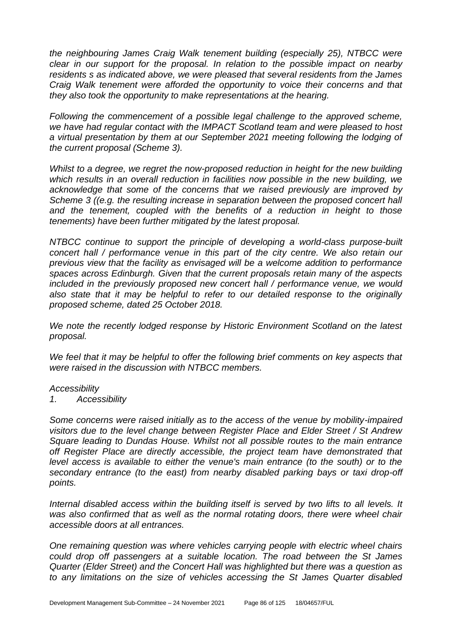*the neighbouring James Craig Walk tenement building (especially 25), NTBCC were clear in our support for the proposal. In relation to the possible impact on nearby residents s as indicated above, we were pleased that several residents from the James Craig Walk tenement were afforded the opportunity to voice their concerns and that they also took the opportunity to make representations at the hearing.*

*Following the commencement of a possible legal challenge to the approved scheme, we have had regular contact with the IMPACT Scotland team and were pleased to host a virtual presentation by them at our September 2021 meeting following the lodging of the current proposal (Scheme 3).*

*Whilst to a degree, we regret the now-proposed reduction in height for the new building which results in an overall reduction in facilities now possible in the new building, we acknowledge that some of the concerns that we raised previously are improved by Scheme 3 ((e.g. the resulting increase in separation between the proposed concert hall and the tenement, coupled with the benefits of a reduction in height to those tenements) have been further mitigated by the latest proposal.*

*NTBCC continue to support the principle of developing a world-class purpose-built concert hall / performance venue in this part of the city centre. We also retain our previous view that the facility as envisaged will be a welcome addition to performance spaces across Edinburgh. Given that the current proposals retain many of the aspects included in the previously proposed new concert hall / performance venue, we would also state that it may be helpful to refer to our detailed response to the originally proposed scheme, dated 25 October 2018.*

*We note the recently lodged response by Historic Environment Scotland on the latest proposal.*

*We feel that it may be helpful to offer the following brief comments on key aspects that were raised in the discussion with NTBCC members.*

#### *Accessibility*

*1. Accessibility*

*Some concerns were raised initially as to the access of the venue by mobility-impaired visitors due to the level change between Register Place and Elder Street / St Andrew Square leading to Dundas House. Whilst not all possible routes to the main entrance off Register Place are directly accessible, the project team have demonstrated that level access is available to either the venue's main entrance (to the south) or to the secondary entrance (to the east) from nearby disabled parking bays or taxi drop-off points.*

*Internal disabled access within the building itself is served by two lifts to all levels. It was also confirmed that as well as the normal rotating doors, there were wheel chair accessible doors at all entrances.*

*One remaining question was where vehicles carrying people with electric wheel chairs could drop off passengers at a suitable location. The road between the St James Quarter (Elder Street) and the Concert Hall was highlighted but there was a question as to any limitations on the size of vehicles accessing the St James Quarter disabled*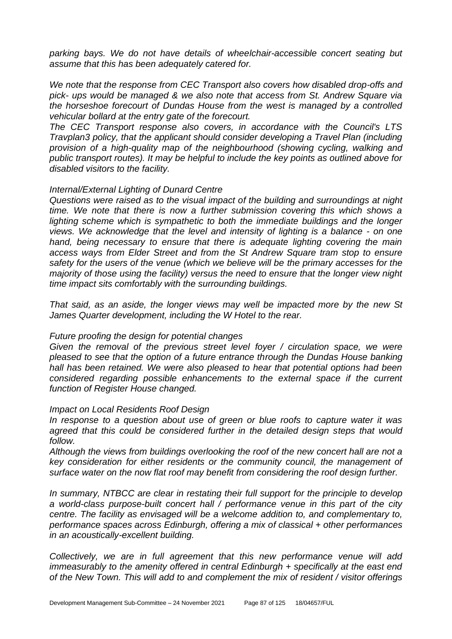*parking bays. We do not have details of wheelchair-accessible concert seating but assume that this has been adequately catered for.*

*We note that the response from CEC Transport also covers how disabled drop-offs and pick- ups would be managed & we also note that access from St. Andrew Square via the horseshoe forecourt of Dundas House from the west is managed by a controlled vehicular bollard at the entry gate of the forecourt.*

*The CEC Transport response also covers, in accordance with the Council's LTS Travplan3 policy, that the applicant should consider developing a Travel Plan (including provision of a high-quality map of the neighbourhood (showing cycling, walking and public transport routes). It may be helpful to include the key points as outlined above for disabled visitors to the facility.*

#### *Internal/External Lighting of Dunard Centre*

*Questions were raised as to the visual impact of the building and surroundings at night time. We note that there is now a further submission covering this which shows a*  lighting scheme which is sympathetic to both the immediate buildings and the longer *views. We acknowledge that the level and intensity of lighting is a balance - on one hand, being necessary to ensure that there is adequate lighting covering the main access ways from Elder Street and from the St Andrew Square tram stop to ensure safety for the users of the venue (which we believe will be the primary accesses for the majority of those using the facility) versus the need to ensure that the longer view night time impact sits comfortably with the surrounding buildings.*

*That said, as an aside, the longer views may well be impacted more by the new St James Quarter development, including the W Hotel to the rear.*

#### *Future proofing the design for potential changes*

Given the removal of the previous street level foyer / circulation space, we were *pleased to see that the option of a future entrance through the Dundas House banking hall has been retained. We were also pleased to hear that potential options had been considered regarding possible enhancements to the external space if the current function of Register House changed.*

#### *Impact on Local Residents Roof Design*

*In response to a question about use of green or blue roofs to capture water it was*  agreed that this could be considered further in the detailed design steps that would *follow.*

*Although the views from buildings overlooking the roof of the new concert hall are not a key consideration for either residents or the community council, the management of surface water on the now flat roof may benefit from considering the roof design further.*

*In summary, NTBCC are clear in restating their full support for the principle to develop a world-class purpose-built concert hall / performance venue in this part of the city centre. The facility as envisaged will be a welcome addition to, and complementary to, performance spaces across Edinburgh, offering a mix of classical + other performances in an acoustically-excellent building.*

*Collectively, we are in full agreement that this new performance venue will add immeasurably to the amenity offered in central Edinburgh + specifically at the east end of the New Town. This will add to and complement the mix of resident / visitor offerings*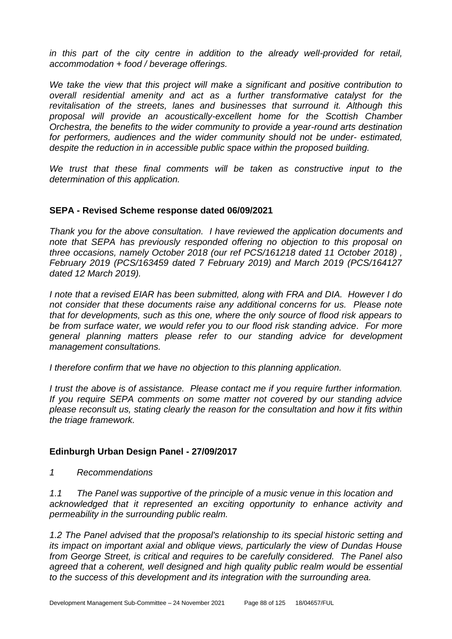*in this part of the city centre in addition to the already well-provided for retail, accommodation + food / beverage offerings.*

*We take the view that this project will make a significant and positive contribution to overall residential amenity and act as a further transformative catalyst for the revitalisation of the streets, lanes and businesses that surround it. Although this proposal will provide an acoustically-excellent home for the Scottish Chamber Orchestra, the benefits to the wider community to provide a year-round arts destination for performers, audiences and the wider community should not be under- estimated, despite the reduction in in accessible public space within the proposed building.*

*We trust that these final comments will be taken as constructive input to the determination of this application.*

#### **SEPA - Revised Scheme response dated 06/09/2021**

*Thank you for the above consultation. I have reviewed the application documents and note that SEPA has previously responded offering no objection to this proposal on three occasions, namely October 2018 (our ref PCS/161218 dated 11 October 2018) , February 2019 (PCS/163459 dated 7 February 2019) and March 2019 (PCS/164127 dated 12 March 2019).* 

*I note that a revised EIAR has been submitted, along with FRA and DIA. However I do not consider that these documents raise any additional concerns for us. Please note that for developments, such as this one, where the only source of flood risk appears to be from surface water, we would refer you to our flood risk standing advice. For more general planning matters please refer to our standing advice for development management consultations.*

*I therefore confirm that we have no objection to this planning application.* 

*I trust the above is of assistance. Please contact me if you require further information. If you require SEPA comments on some matter not covered by our standing advice please reconsult us, stating clearly the reason for the consultation and how it fits within the triage framework.*

#### **Edinburgh Urban Design Panel - 27/09/2017**

*1 Recommendations* 

*1.1 The Panel was supportive of the principle of a music venue in this location and acknowledged that it represented an exciting opportunity to enhance activity and permeability in the surrounding public realm.* 

*1.2 The Panel advised that the proposal's relationship to its special historic setting and its impact on important axial and oblique views, particularly the view of Dundas House from George Street, is critical and requires to be carefully considered. The Panel also agreed that a coherent, well designed and high quality public realm would be essential to the success of this development and its integration with the surrounding area.*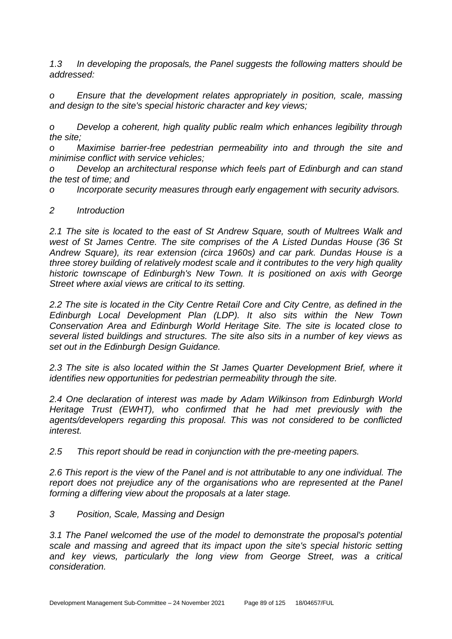*1.3 In developing the proposals, the Panel suggests the following matters should be addressed:* 

*o Ensure that the development relates appropriately in position, scale, massing and design to the site's special historic character and key views;* 

*o Develop a coherent, high quality public realm which enhances legibility through the site;* 

*o Maximise barrier-free pedestrian permeability into and through the site and minimise conflict with service vehicles;* 

*o Develop an architectural response which feels part of Edinburgh and can stand the test of time; and* 

*o Incorporate security measures through early engagement with security advisors.*

### *2 Introduction*

*2.1 The site is located to the east of St Andrew Square, south of Multrees Walk and west of St James Centre. The site comprises of the A Listed Dundas House (36 St Andrew Square), its rear extension (circa 1960s) and car park. Dundas House is a three storey building of relatively modest scale and it contributes to the very high quality historic townscape of Edinburgh's New Town. It is positioned on axis with George Street where axial views are critical to its setting.* 

*2.2 The site is located in the City Centre Retail Core and City Centre, as defined in the Edinburgh Local Development Plan (LDP). It also sits within the New Town Conservation Area and Edinburgh World Heritage Site. The site is located close to several listed buildings and structures. The site also sits in a number of key views as set out in the Edinburgh Design Guidance.* 

*2.3 The site is also located within the St James Quarter Development Brief, where it identifies new opportunities for pedestrian permeability through the site.* 

*2.4 One declaration of interest was made by Adam Wilkinson from Edinburgh World Heritage Trust (EWHT), who confirmed that he had met previously with the agents/developers regarding this proposal. This was not considered to be conflicted interest.* 

*2.5 This report should be read in conjunction with the pre-meeting papers.* 

*2.6 This report is the view of the Panel and is not attributable to any one individual. The report does not prejudice any of the organisations who are represented at the Panel forming a differing view about the proposals at a later stage.* 

# *3 Position, Scale, Massing and Design*

*3.1 The Panel welcomed the use of the model to demonstrate the proposal's potential scale and massing and agreed that its impact upon the site's special historic setting and key views, particularly the long view from George Street, was a critical consideration.*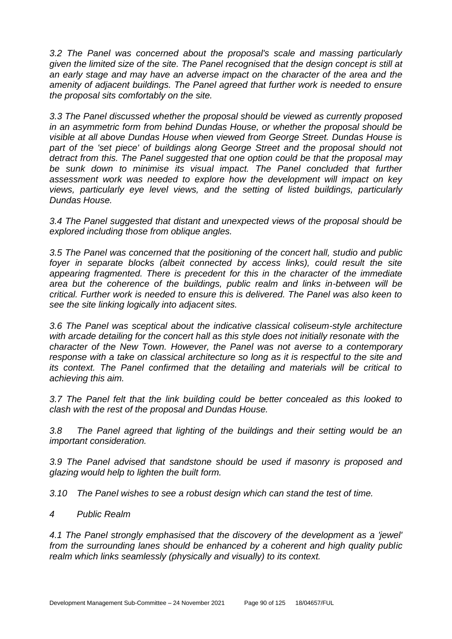*3.2 The Panel was concerned about the proposal's scale and massing particularly given the limited size of the site. The Panel recognised that the design concept is still at an early stage and may have an adverse impact on the character of the area and the amenity of adjacent buildings. The Panel agreed that further work is needed to ensure the proposal sits comfortably on the site.* 

*3.3 The Panel discussed whether the proposal should be viewed as currently proposed in an asymmetric form from behind Dundas House, or whether the proposal should be visible at all above Dundas House when viewed from George Street. Dundas House is*  part of the 'set piece' of buildings along George Street and the proposal should not *detract from this. The Panel suggested that one option could be that the proposal may*  be sunk down to minimise its visual impact. The Panel concluded that further *assessment work was needed to explore how the development will impact on key views, particularly eye level views, and the setting of listed buildings, particularly Dundas House.* 

*3.4 The Panel suggested that distant and unexpected views of the proposal should be explored including those from oblique angles.* 

*3.5 The Panel was concerned that the positioning of the concert hall, studio and public*  foyer in separate blocks (albeit connected by access links), could result the site *appearing fragmented. There is precedent for this in the character of the immediate area but the coherence of the buildings, public realm and links in-between will be critical. Further work is needed to ensure this is delivered. The Panel was also keen to see the site linking logically into adjacent sites.* 

*3.6 The Panel was sceptical about the indicative classical coliseum-style architecture with arcade detailing for the concert hall as this style does not initially resonate with the character of the New Town. However, the Panel was not averse to a contemporary response with a take on classical architecture so long as it is respectful to the site and its context. The Panel confirmed that the detailing and materials will be critical to achieving this aim.* 

*3.7 The Panel felt that the link building could be better concealed as this looked to clash with the rest of the proposal and Dundas House.* 

*3.8 The Panel agreed that lighting of the buildings and their setting would be an important consideration.* 

*3.9 The Panel advised that sandstone should be used if masonry is proposed and glazing would help to lighten the built form.* 

*3.10 The Panel wishes to see a robust design which can stand the test of time.* 

*4 Public Realm* 

*4.1 The Panel strongly emphasised that the discovery of the development as a 'jewel' from the surrounding lanes should be enhanced by a coherent and high quality public realm which links seamlessly (physically and visually) to its context.*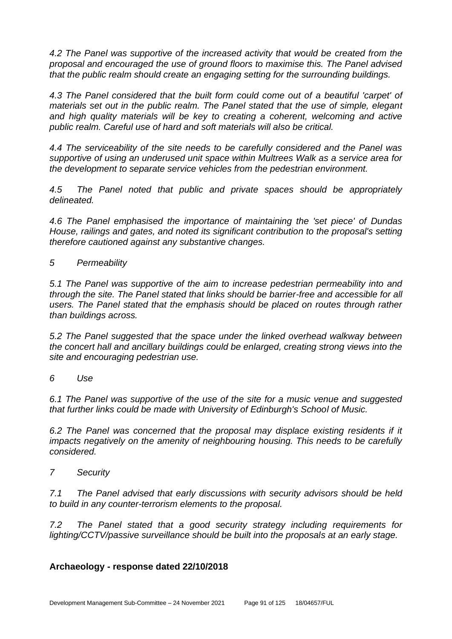*4.2 The Panel was supportive of the increased activity that would be created from the proposal and encouraged the use of ground floors to maximise this. The Panel advised that the public realm should create an engaging setting for the surrounding buildings.* 

*4.3 The Panel considered that the built form could come out of a beautiful 'carpet' of materials set out in the public realm. The Panel stated that the use of simple, elegant*  and high quality materials will be key to creating a coherent, welcoming and active *public realm. Careful use of hard and soft materials will also be critical.* 

*4.4 The serviceability of the site needs to be carefully considered and the Panel was supportive of using an underused unit space within Multrees Walk as a service area for the development to separate service vehicles from the pedestrian environment.* 

*4.5 The Panel noted that public and private spaces should be appropriately delineated.* 

*4.6 The Panel emphasised the importance of maintaining the 'set piece' of Dundas House, railings and gates, and noted its significant contribution to the proposal's setting therefore cautioned against any substantive changes.* 

*5 Permeability* 

*5.1 The Panel was supportive of the aim to increase pedestrian permeability into and through the site. The Panel stated that links should be barrier-free and accessible for all users. The Panel stated that the emphasis should be placed on routes through rather than buildings across.* 

*5.2 The Panel suggested that the space under the linked overhead walkway between the concert hall and ancillary buildings could be enlarged, creating strong views into the site and encouraging pedestrian use.* 

*6 Use* 

*6.1 The Panel was supportive of the use of the site for a music venue and suggested that further links could be made with University of Edinburgh's School of Music.* 

6.2 The Panel was concerned that the proposal may displace existing residents if it *impacts negatively on the amenity of neighbouring housing. This needs to be carefully considered.* 

*7 Security* 

*7.1 The Panel advised that early discussions with security advisors should be held to build in any counter-terrorism elements to the proposal.* 

*7.2 The Panel stated that a good security strategy including requirements for lighting/CCTV/passive surveillance should be built into the proposals at an early stage.* 

# **Archaeology - response dated 22/10/2018**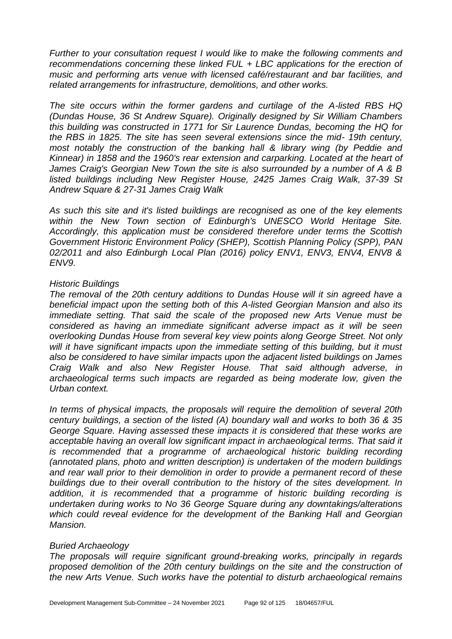*Further to your consultation request I would like to make the following comments and recommendations concerning these linked FUL + LBC applications for the erection of music and performing arts venue with licensed café/restaurant and bar facilities, and related arrangements for infrastructure, demolitions, and other works.* 

*The site occurs within the former gardens and curtilage of the A-listed RBS HQ (Dundas House, 36 St Andrew Square). Originally designed by Sir William Chambers this building was constructed in 1771 for Sir Laurence Dundas, becoming the HQ for the RBS in 1825. The site has seen several extensions since the mid- 19th century, most notably the construction of the banking hall & library wing (by Peddie and Kinnear) in 1858 and the 1960's rear extension and carparking. Located at the heart of James Craig's Georgian New Town the site is also surrounded by a number of A & B listed buildings including New Register House, 2425 James Craig Walk, 37-39 St Andrew Square & 27-31 James Craig Walk* 

*As such this site and it's listed buildings are recognised as one of the key elements within the New Town section of Edinburgh's UNESCO World Heritage Site. Accordingly, this application must be considered therefore under terms the Scottish Government Historic Environment Policy (SHEP), Scottish Planning Policy (SPP), PAN 02/2011 and also Edinburgh Local Plan (2016) policy ENV1, ENV3, ENV4, ENV8 & ENV9.* 

### *Historic Buildings*

*The removal of the 20th century additions to Dundas House will it sin agreed have a beneficial impact upon the setting both of this A-listed Georgian Mansion and also its*  immediate setting. That said the scale of the proposed new Arts Venue must be *considered as having an immediate significant adverse impact as it will be seen overlooking Dundas House from several key view points along George Street. Not only*  will it have significant impacts upon the immediate setting of this building, but it must *also be considered to have similar impacts upon the adjacent listed buildings on James Craig Walk and also New Register House. That said although adverse, in archaeological terms such impacts are regarded as being moderate low, given the Urban context.* 

*In terms of physical impacts, the proposals will require the demolition of several 20th century buildings, a section of the listed (A) boundary wall and works to both 36 & 35 George Square. Having assessed these impacts it is considered that these works are acceptable having an overall low significant impact in archaeological terms. That said it*  is recommended that a programme of archaeological historic building recording *(annotated plans, photo and written description) is undertaken of the modern buildings and rear wall prior to their demolition in order to provide a permanent record of these buildings due to their overall contribution to the history of the sites development. In addition, it is recommended that a programme of historic building recording is undertaken during works to No 36 George Square during any downtakings/alterations which could reveal evidence for the development of the Banking Hall and Georgian Mansion.* 

#### *Buried Archaeology*

*The proposals will require significant ground-breaking works, principally in regards proposed demolition of the 20th century buildings on the site and the construction of the new Arts Venue. Such works have the potential to disturb archaeological remains*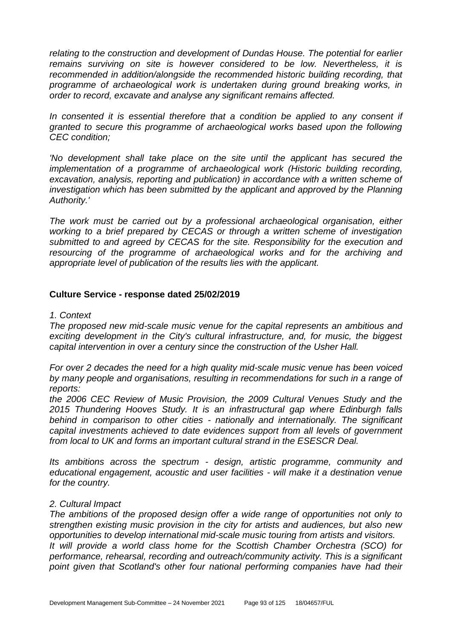*relating to the construction and development of Dundas House. The potential for earlier remains surviving on site is however considered to be low. Nevertheless, it is recommended in addition/alongside the recommended historic building recording, that programme of archaeological work is undertaken during ground breaking works, in order to record, excavate and analyse any significant remains affected.* 

In consented it is essential therefore that a condition be applied to any consent if *granted to secure this programme of archaeological works based upon the following CEC condition;* 

'No development shall take place on the site until the applicant has secured the implementation of a programme of archaeological work (Historic building recording, *excavation, analysis, reporting and publication) in accordance with a written scheme of investigation which has been submitted by the applicant and approved by the Planning Authority.'* 

*The work must be carried out by a professional archaeological organisation, either working to a brief prepared by CECAS or through a written scheme of investigation submitted to and agreed by CECAS for the site. Responsibility for the execution and resourcing of the programme of archaeological works and for the archiving and appropriate level of publication of the results lies with the applicant.* 

#### **Culture Service - response dated 25/02/2019**

#### *1. Context*

*The proposed new mid-scale music venue for the capital represents an ambitious and exciting development in the City's cultural infrastructure, and, for music, the biggest capital intervention in over a century since the construction of the Usher Hall.* 

*For over 2 decades the need for a high quality mid-scale music venue has been voiced by many people and organisations, resulting in recommendations for such in a range of reports:* 

*the 2006 CEC Review of Music Provision, the 2009 Cultural Venues Study and the 2015 Thundering Hooves Study. It is an infrastructural gap where Edinburgh falls behind in comparison to other cities - nationally and internationally. The significant capital investments achieved to date evidences support from all levels of government from local to UK and forms an important cultural strand in the ESESCR Deal.* 

*Its ambitions across the spectrum - design, artistic programme, community and educational engagement, acoustic and user facilities - will make it a destination venue for the country.* 

#### *2. Cultural Impact*

*The ambitions of the proposed design offer a wide range of opportunities not only to strengthen existing music provision in the city for artists and audiences, but also new opportunities to develop international mid-scale music touring from artists and visitors. It will provide a world class home for the Scottish Chamber Orchestra (SCO) for performance, rehearsal, recording and outreach/community activity. This is a significant point given that Scotland's other four national performing companies have had their*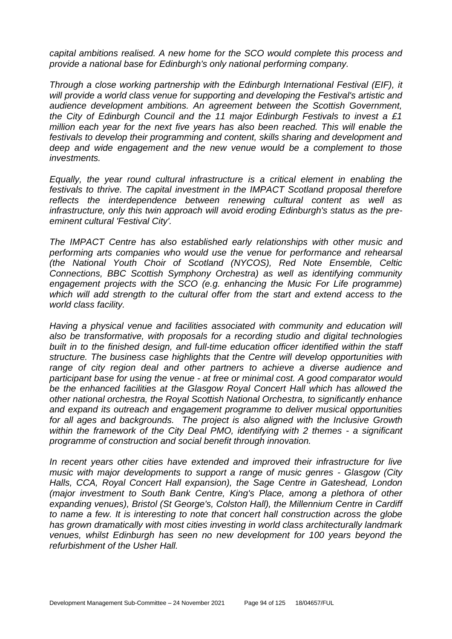*capital ambitions realised. A new home for the SCO would complete this process and provide a national base for Edinburgh's only national performing company.*

*Through a close working partnership with the Edinburgh International Festival (EIF), it will provide a world class venue for supporting and developing the Festival's artistic and audience development ambitions. An agreement between the Scottish Government, the City of Edinburgh Council and the 11 major Edinburgh Festivals to invest a £1 million each year for the next five years has also been reached. This will enable the festivals to develop their programming and content, skills sharing and development and deep and wide engagement and the new venue would be a complement to those investments.* 

*Equally, the year round cultural infrastructure is a critical element in enabling the festivals to thrive. The capital investment in the IMPACT Scotland proposal therefore reflects the interdependence between renewing cultural content as well as infrastructure, only this twin approach will avoid eroding Edinburgh's status as the preeminent cultural 'Festival City'.* 

*The IMPACT Centre has also established early relationships with other music and performing arts companies who would use the venue for performance and rehearsal (the National Youth Choir of Scotland (NYCOS), Red Note Ensemble, Celtic Connections, BBC Scottish Symphony Orchestra) as well as identifying community engagement projects with the SCO (e.g. enhancing the Music For Life programme) which will add strength to the cultural offer from the start and extend access to the world class facility.* 

*Having a physical venue and facilities associated with community and education will also be transformative, with proposals for a recording studio and digital technologies built in to the finished design, and full-time education officer identified within the staff structure. The business case highlights that the Centre will develop opportunities with range of city region deal and other partners to achieve a diverse audience and participant base for using the venue - at free or minimal cost. A good comparator would be the enhanced facilities at the Glasgow Royal Concert Hall which has allowed the other national orchestra, the Royal Scottish National Orchestra, to significantly enhance and expand its outreach and engagement programme to deliver musical opportunities for all ages and backgrounds. The project is also aligned with the Inclusive Growth within the framework of the City Deal PMO, identifying with 2 themes - a significant programme of construction and social benefit through innovation.* 

*In recent years other cities have extended and improved their infrastructure for live music with major developments to support a range of music genres - Glasgow (City Halls, CCA, Royal Concert Hall expansion), the Sage Centre in Gateshead, London (major investment to South Bank Centre, King's Place, among a plethora of other expanding venues), Bristol (St George's, Colston Hall), the Millennium Centre in Cardiff to name a few. It is interesting to note that concert hall construction across the globe has grown dramatically with most cities investing in world class architecturally landmark venues, whilst Edinburgh has seen no new development for 100 years beyond the refurbishment of the Usher Hall.*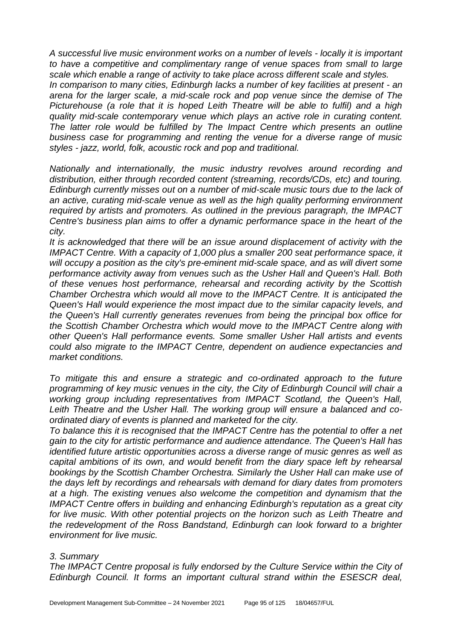*A successful live music environment works on a number of levels - locally it is important to have a competitive and complimentary range of venue spaces from small to large scale which enable a range of activity to take place across different scale and styles.* 

*In comparison to many cities, Edinburgh lacks a number of key facilities at present - an arena for the larger scale, a mid-scale rock and pop venue since the demise of The Picturehouse (a role that it is hoped Leith Theatre will be able to fulfil) and a high quality mid-scale contemporary venue which plays an active role in curating content. The latter role would be fulfilled by The Impact Centre which presents an outline business case for programming and renting the venue for a diverse range of music styles - jazz, world, folk, acoustic rock and pop and traditional.* 

*Nationally and internationally, the music industry revolves around recording and distribution, either through recorded content (streaming, records/CDs, etc) and touring. Edinburgh currently misses out on a number of mid-scale music tours due to the lack of an active, curating mid-scale venue as well as the high quality performing environment required by artists and promoters. As outlined in the previous paragraph, the IMPACT Centre's business plan aims to offer a dynamic performance space in the heart of the city.* 

*It is acknowledged that there will be an issue around displacement of activity with the IMPACT Centre. With a capacity of 1,000 plus a smaller 200 seat performance space, it will occupy a position as the city's pre-eminent mid-scale space, and as will divert some performance activity away from venues such as the Usher Hall and Queen's Hall. Both of these venues host performance, rehearsal and recording activity by the Scottish Chamber Orchestra which would all move to the IMPACT Centre. It is anticipated the Queen's Hall would experience the most impact due to the similar capacity levels, and the Queen's Hall currently generates revenues from being the principal box office for the Scottish Chamber Orchestra which would move to the IMPACT Centre along with other Queen's Hall performance events. Some smaller Usher Hall artists and events could also migrate to the IMPACT Centre, dependent on audience expectancies and market conditions.* 

*To mitigate this and ensure a strategic and co-ordinated approach to the future programming of key music venues in the city, the City of Edinburgh Council will chair a working group including representatives from IMPACT Scotland, the Queen's Hall, Leith Theatre and the Usher Hall. The working group will ensure a balanced and coordinated diary of events is planned and marketed for the city.* 

*To balance this it is recognised that the IMPACT Centre has the potential to offer a net gain to the city for artistic performance and audience attendance. The Queen's Hall has identified future artistic opportunities across a diverse range of music genres as well as capital ambitions of its own, and would benefit from the diary space left by rehearsal bookings by the Scottish Chamber Orchestra. Similarly the Usher Hall can make use of the days left by recordings and rehearsals with demand for diary dates from promoters at a high. The existing venues also welcome the competition and dynamism that the IMPACT Centre offers in building and enhancing Edinburgh's reputation as a great city for live music. With other potential projects on the horizon such as Leith Theatre and the redevelopment of the Ross Bandstand, Edinburgh can look forward to a brighter environment for live music.* 

#### *3. Summary*

*The IMPACT Centre proposal is fully endorsed by the Culture Service within the City of Edinburgh Council. It forms an important cultural strand within the ESESCR deal,*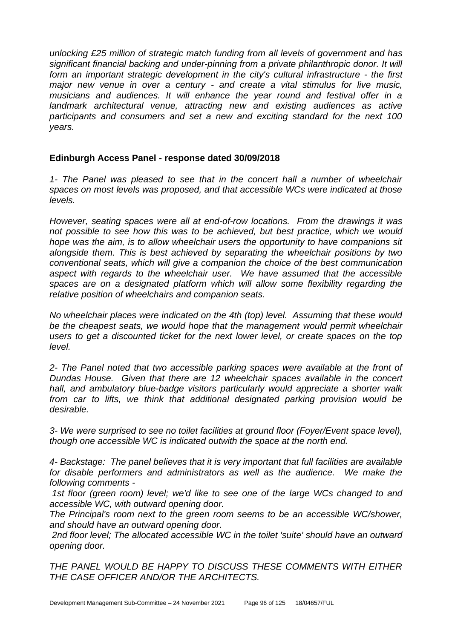*unlocking £25 million of strategic match funding from all levels of government and has significant financial backing and under-pinning from a private philanthropic donor. It will form an important strategic development in the city's cultural infrastructure - the first major new venue in over a century - and create a vital stimulus for live music, musicians and audiences. It will enhance the year round and festival offer in a landmark architectural venue, attracting new and existing audiences as active participants and consumers and set a new and exciting standard for the next 100 years.* 

### **Edinburgh Access Panel - response dated 30/09/2018**

*1- The Panel was pleased to see that in the concert hall a number of wheelchair spaces on most levels was proposed, and that accessible WCs were indicated at those levels.* 

*However, seating spaces were all at end-of-row locations. From the drawings it was not possible to see how this was to be achieved, but best practice, which we would hope was the aim, is to allow wheelchair users the opportunity to have companions sit alongside them. This is best achieved by separating the wheelchair positions by two conventional seats, which will give a companion the choice of the best communication aspect with regards to the wheelchair user. We have assumed that the accessible spaces are on a designated platform which will allow some flexibility regarding the relative position of wheelchairs and companion seats.* 

*No wheelchair places were indicated on the 4th (top) level. Assuming that these would*  be the cheapest seats, we would hope that the management would permit wheelchair *users to get a discounted ticket for the next lower level, or create spaces on the top level.* 

*2- The Panel noted that two accessible parking spaces were available at the front of Dundas House. Given that there are 12 wheelchair spaces available in the concert hall, and ambulatory blue-badge visitors particularly would appreciate a shorter walk from car to lifts, we think that additional designated parking provision would be desirable.* 

*3- We were surprised to see no toilet facilities at ground floor (Foyer/Event space level), though one accessible WC is indicated outwith the space at the north end.* 

*4- Backstage: The panel believes that it is very important that full facilities are available for disable performers and administrators as well as the audience. We make the following comments -*

*1st floor (green room) level; we'd like to see one of the large WCs changed to and accessible WC, with outward opening door.* 

*The Principal's room next to the green room seems to be an accessible WC/shower, and should have an outward opening door.* 

*2nd floor level; The allocated accessible WC in the toilet 'suite' should have an outward opening door.* 

*THE PANEL WOULD BE HAPPY TO DISCUSS THESE COMMENTS WITH EITHER THE CASE OFFICER AND/OR THE ARCHITECTS.*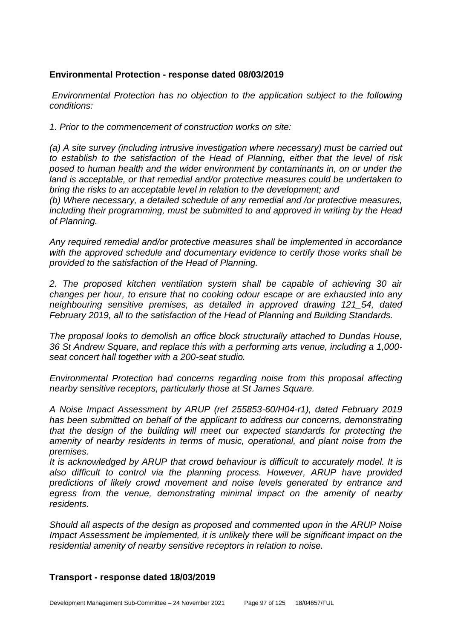### **Environmental Protection - response dated 08/03/2019**

*Environmental Protection has no objection to the application subject to the following conditions:*

*1. Prior to the commencement of construction works on site:*

*(a) A site survey (including intrusive investigation where necessary) must be carried out to establish to the satisfaction of the Head of Planning, either that the level of risk posed to human health and the wider environment by contaminants in, on or under the land is acceptable, or that remedial and/or protective measures could be undertaken to bring the risks to an acceptable level in relation to the development; and*

*(b) Where necessary, a detailed schedule of any remedial and /or protective measures, including their programming, must be submitted to and approved in writing by the Head of Planning.*

*Any required remedial and/or protective measures shall be implemented in accordance with the approved schedule and documentary evidence to certify those works shall be provided to the satisfaction of the Head of Planning.*

*2. The proposed kitchen ventilation system shall be capable of achieving 30 air changes per hour, to ensure that no cooking odour escape or are exhausted into any neighbouring sensitive premises, as detailed in approved drawing 121\_54, dated February 2019, all to the satisfaction of the Head of Planning and Building Standards.* 

*The proposal looks to demolish an office block structurally attached to Dundas House, 36 St Andrew Square, and replace this with a performing arts venue, including a 1,000 seat concert hall together with a 200-seat studio.*

*Environmental Protection had concerns regarding noise from this proposal affecting nearby sensitive receptors, particularly those at St James Square.*

*A Noise Impact Assessment by ARUP (ref 255853-60/H04-r1), dated February 2019*  has been submitted on behalf of the applicant to address our concerns, demonstrating *that the design of the building will meet our expected standards for protecting the amenity of nearby residents in terms of music, operational, and plant noise from the premises.* 

*It is acknowledged by ARUP that crowd behaviour is difficult to accurately model. It is also difficult to control via the planning process. However, ARUP have provided predictions of likely crowd movement and noise levels generated by entrance and egress from the venue, demonstrating minimal impact on the amenity of nearby residents.* 

*Should all aspects of the design as proposed and commented upon in the ARUP Noise Impact Assessment be implemented, it is unlikely there will be significant impact on the residential amenity of nearby sensitive receptors in relation to noise.* 

### **Transport - response dated 18/03/2019**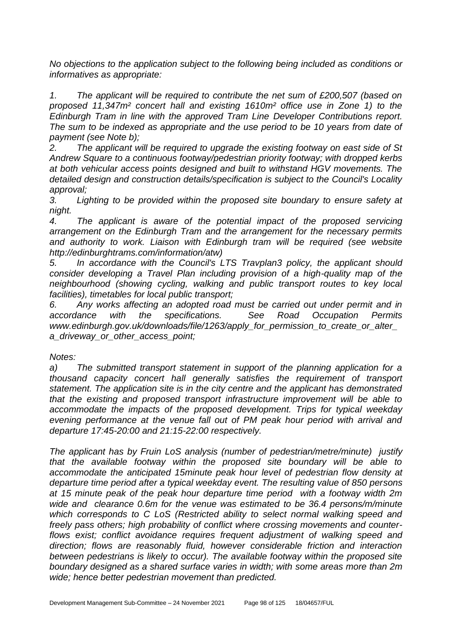*No objections to the application subject to the following being included as conditions or informatives as appropriate:*

*1. The applicant will be required to contribute the net sum of £200,507 (based on proposed 11,347m² concert hall and existing 1610m² office use in Zone 1) to the Edinburgh Tram in line with the approved Tram Line Developer Contributions report. The sum to be indexed as appropriate and the use period to be 10 years from date of payment (see Note b);*

*2. The applicant will be required to upgrade the existing footway on east side of St Andrew Square to a continuous footway/pedestrian priority footway; with dropped kerbs at both vehicular access points designed and built to withstand HGV movements. The detailed design and construction details/specification is subject to the Council's Locality approval;*

*3. Lighting to be provided within the proposed site boundary to ensure safety at night.*

*4. The applicant is aware of the potential impact of the proposed servicing arrangement on the Edinburgh Tram and the arrangement for the necessary permits*  and authority to work. Liaison with Edinburgh tram will be required (see website *http://edinburghtrams.com/information/atw)*

*5. In accordance with the Council's LTS Travplan3 policy, the applicant should consider developing a Travel Plan including provision of a high-quality map of the neighbourhood (showing cycling, walking and public transport routes to key local facilities), timetables for local public transport;*

*6. Any works affecting an adopted road must be carried out under permit and in accordance with the specifications. See Road Occupation Permits www.edinburgh.gov.uk/downloads/file/1263/apply\_for\_permission\_to\_create\_or\_alter\_ a\_driveway\_or\_other\_access\_point;*

*Notes:*

*a) The submitted transport statement in support of the planning application for a thousand capacity concert hall generally satisfies the requirement of transport statement. The application site is in the city centre and the applicant has demonstrated that the existing and proposed transport infrastructure improvement will be able to accommodate the impacts of the proposed development. Trips for typical weekday evening performance at the venue fall out of PM peak hour period with arrival and departure 17:45-20:00 and 21:15-22:00 respectively.* 

*The applicant has by Fruin LoS analysis (number of pedestrian/metre/minute) justify that the available footway within the proposed site boundary will be able to accommodate the anticipated 15minute peak hour level of pedestrian flow density at departure time period after a typical weekday event. The resulting value of 850 persons at 15 minute peak of the peak hour departure time period with a footway width 2m wide and clearance 0.6m for the venue was estimated to be 36.4 persons/m/minute which corresponds to C LoS (Restricted ability to select normal walking speed and freely pass others; high probability of conflict where crossing movements and counterflows exist; conflict avoidance requires frequent adjustment of walking speed and direction; flows are reasonably fluid, however considerable friction and interaction between pedestrians is likely to occur). The available footway within the proposed site boundary designed as a shared surface varies in width; with some areas more than 2m wide; hence better pedestrian movement than predicted.*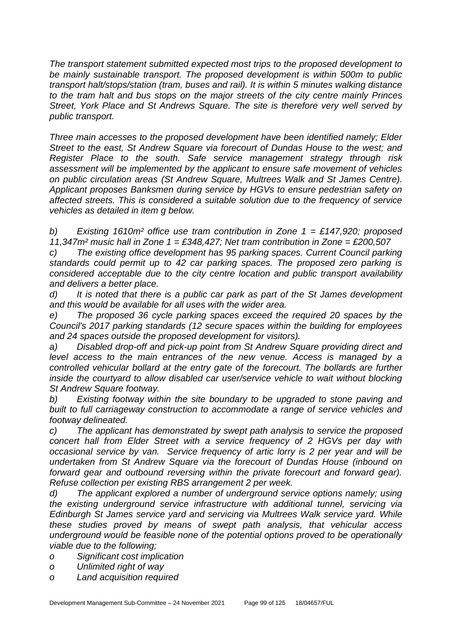*The transport statement submitted expected most trips to the proposed development to be mainly sustainable transport. The proposed development is within 500m to public transport halt/stops/station (tram, buses and rail). It is within 5 minutes walking distance to the tram halt and bus stops on the major streets of the city centre mainly Princes Street, York Place and St Andrews Square. The site is therefore very well served by public transport.*

*Three main accesses to the proposed development have been identified namely; Elder Street to the east, St Andrew Square via forecourt of Dundas House to the west; and Register Place to the south. Safe service management strategy through risk assessment will be implemented by the applicant to ensure safe movement of vehicles on public circulation areas (St Andrew Square, Multrees Walk and St James Centre). Applicant proposes Banksmen during service by HGVs to ensure pedestrian safety on affected streets. This is considered a suitable solution due to the frequency of service vehicles as detailed in item g below.*

*b) Existing 1610m² office use tram contribution in Zone 1 = £147,920; proposed 11,347m² music hall in Zone 1 = £348,427; Net tram contribution in Zone = £200,507*

*c) The existing office development has 95 parking spaces. Current Council parking standards could permit up to 42 car parking spaces. The proposed zero parking is considered acceptable due to the city centre location and public transport availability and delivers a better place.*

*d) It is noted that there is a public car park as part of the St James development and this would be available for all uses with the wider area.*

*e) The proposed 36 cycle parking spaces exceed the required 20 spaces by the Council's 2017 parking standards (12 secure spaces within the building for employees and 24 spaces outside the proposed development for visitors).*

*a) Disabled drop-off and pick-up point from St Andrew Square providing direct and level access to the main entrances of the new venue. Access is managed by a controlled vehicular bollard at the entry gate of the forecourt. The bollards are further inside the courtyard to allow disabled car user/service vehicle to wait without blocking St Andrew Square footway.* 

*b) Existing footway within the site boundary to be upgraded to stone paving and built to full carriageway construction to accommodate a range of service vehicles and footway delineated.*

*c) The applicant has demonstrated by swept path analysis to service the proposed concert hall from Elder Street with a service frequency of 2 HGVs per day with occasional service by van. Service frequency of artic lorry is 2 per year and will be undertaken from St Andrew Square via the forecourt of Dundas House (inbound on*  forward gear and outbound reversing within the private forecourt and forward gear). *Refuse collection per existing RBS arrangement 2 per week.* 

*d) The applicant explored a number of underground service options namely; using the existing underground service infrastructure with additional tunnel, servicing via Edinburgh St James service yard and servicing via Multrees Walk service yard. While these studies proved by means of swept path analysis, that vehicular access underground would be feasible none of the potential options proved to be operationally viable due to the following;*

*o Significant cost implication*

*o Unlimited right of way*

*o Land acquisition required*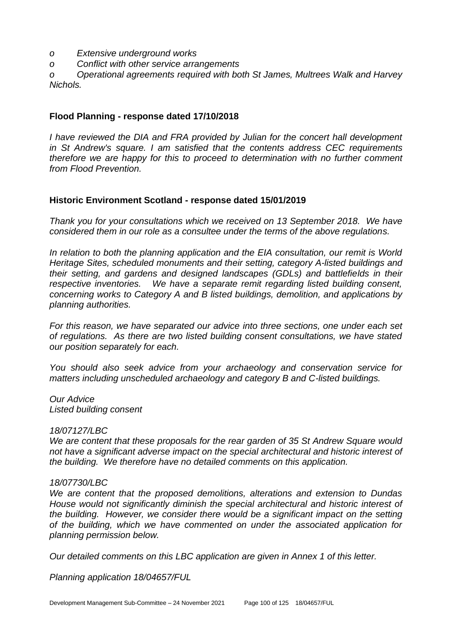- *o Extensive underground works*
- *o Conflict with other service arrangements*

*o Operational agreements required with both St James, Multrees Walk and Harvey Nichols.*

### **Flood Planning - response dated 17/10/2018**

*I have reviewed the DIA and FRA provided by Julian for the concert hall development in St Andrew's square. I am satisfied that the contents address CEC requirements therefore we are happy for this to proceed to determination with no further comment from Flood Prevention.* 

### **Historic Environment Scotland - response dated 15/01/2019**

*Thank you for your consultations which we received on 13 September 2018. We have considered them in our role as a consultee under the terms of the above regulations.* 

*In relation to both the planning application and the EIA consultation, our remit is World Heritage Sites, scheduled monuments and their setting, category A-listed buildings and their setting, and gardens and designed landscapes (GDLs) and battlefields in their respective inventories. We have a separate remit regarding listed building consent, concerning works to Category A and B listed buildings, demolition, and applications by planning authorities.* 

*For this reason, we have separated our advice into three sections, one under each set of regulations. As there are two listed building consent consultations, we have stated our position separately for each.* 

*You should also seek advice from your archaeology and conservation service for matters including unscheduled archaeology and category B and C-listed buildings.* 

*Our Advice Listed building consent*

#### *18/07127/LBC*

*We are content that these proposals for the rear garden of 35 St Andrew Square would not have a significant adverse impact on the special architectural and historic interest of the building. We therefore have no detailed comments on this application.* 

#### *18/07730/LBC*

*We are content that the proposed demolitions, alterations and extension to Dundas House would not significantly diminish the special architectural and historic interest of the building. However, we consider there would be a significant impact on the setting of the building, which we have commented on under the associated application for planning permission below.* 

*Our detailed comments on this LBC application are given in Annex 1 of this letter.* 

*Planning application 18/04657/FUL*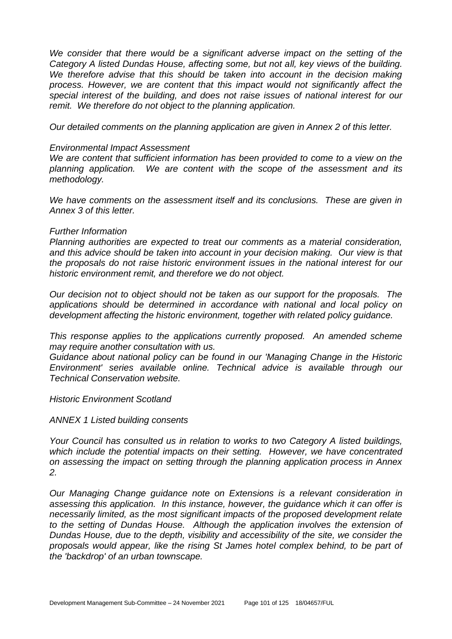We consider that there would be a significant adverse impact on the setting of the *Category A listed Dundas House, affecting some, but not all, key views of the building. We therefore advise that this should be taken into account in the decision making process. However, we are content that this impact would not significantly affect the special interest of the building, and does not raise issues of national interest for our remit. We therefore do not object to the planning application.* 

*Our detailed comments on the planning application are given in Annex 2 of this letter.* 

#### *Environmental Impact Assessment*

*We are content that sufficient information has been provided to come to a view on the planning application. We are content with the scope of the assessment and its methodology.* 

*We have comments on the assessment itself and its conclusions. These are given in Annex 3 of this letter.* 

#### *Further Information*

*Planning authorities are expected to treat our comments as a material consideration, and this advice should be taken into account in your decision making. Our view is that the proposals do not raise historic environment issues in the national interest for our historic environment remit, and therefore we do not object.* 

*Our decision not to object should not be taken as our support for the proposals. The applications should be determined in accordance with national and local policy on development affecting the historic environment, together with related policy guidance.* 

*This response applies to the applications currently proposed. An amended scheme may require another consultation with us.* 

*Guidance about national policy can be found in our 'Managing Change in the Historic Environment' series available online. Technical advice is available through our Technical Conservation website.* 

*Historic Environment Scotland* 

*ANNEX 1 Listed building consents* 

*Your Council has consulted us in relation to works to two Category A listed buildings, which include the potential impacts on their setting. However, we have concentrated on assessing the impact on setting through the planning application process in Annex 2.* 

*Our Managing Change guidance note on Extensions is a relevant consideration in assessing this application. In this instance, however, the guidance which it can offer is necessarily limited, as the most significant impacts of the proposed development relate to the setting of Dundas House. Although the application involves the extension of Dundas House, due to the depth, visibility and accessibility of the site, we consider the proposals would appear, like the rising St James hotel complex behind, to be part of the 'backdrop' of an urban townscape.*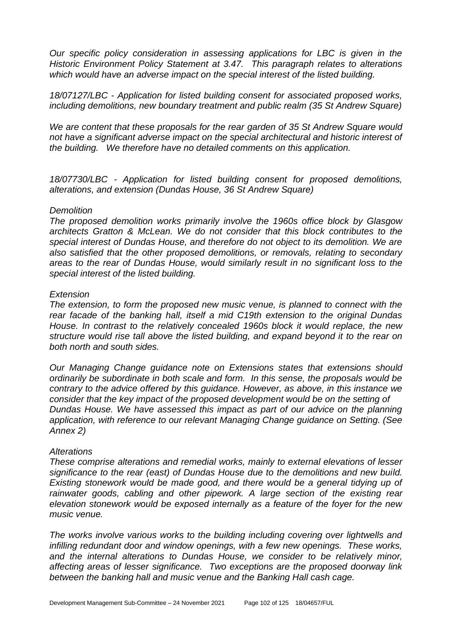*Our specific policy consideration in assessing applications for LBC is given in the Historic Environment Policy Statement at 3.47. This paragraph relates to alterations which would have an adverse impact on the special interest of the listed building.* 

*18/07127/LBC - Application for listed building consent for associated proposed works, including demolitions, new boundary treatment and public realm (35 St Andrew Square)* 

*We are content that these proposals for the rear garden of 35 St Andrew Square would not have a significant adverse impact on the special architectural and historic interest of the building. We therefore have no detailed comments on this application.* 

*18/07730/LBC - Application for listed building consent for proposed demolitions, alterations, and extension (Dundas House, 36 St Andrew Square)* 

#### *Demolition*

*The proposed demolition works primarily involve the 1960s office block by Glasgow architects Gratton & McLean. We do not consider that this block contributes to the special interest of Dundas House, and therefore do not object to its demolition. We are also satisfied that the other proposed demolitions, or removals, relating to secondary areas to the rear of Dundas House, would similarly result in no significant loss to the special interest of the listed building.* 

#### *Extension*

*The extension, to form the proposed new music venue, is planned to connect with the rear facade of the banking hall, itself a mid C19th extension to the original Dundas House. In contrast to the relatively concealed 1960s block it would replace, the new structure would rise tall above the listed building, and expand beyond it to the rear on both north and south sides.* 

*Our Managing Change guidance note on Extensions states that extensions should ordinarily be subordinate in both scale and form. In this sense, the proposals would be contrary to the advice offered by this guidance. However, as above, in this instance we consider that the key impact of the proposed development would be on the setting of Dundas House. We have assessed this impact as part of our advice on the planning application, with reference to our relevant Managing Change guidance on Setting. (See Annex 2)* 

#### *Alterations*

*These comprise alterations and remedial works, mainly to external elevations of lesser significance to the rear (east) of Dundas House due to the demolitions and new build. Existing stonework would be made good, and there would be a general tidying up of*  rainwater goods, cabling and other pipework. A large section of the existing rear *elevation stonework would be exposed internally as a feature of the foyer for the new music venue.* 

*The works involve various works to the building including covering over lightwells and infilling redundant door and window openings, with a few new openings. These works, and the internal alterations to Dundas House, we consider to be relatively minor, affecting areas of lesser significance. Two exceptions are the proposed doorway link between the banking hall and music venue and the Banking Hall cash cage.*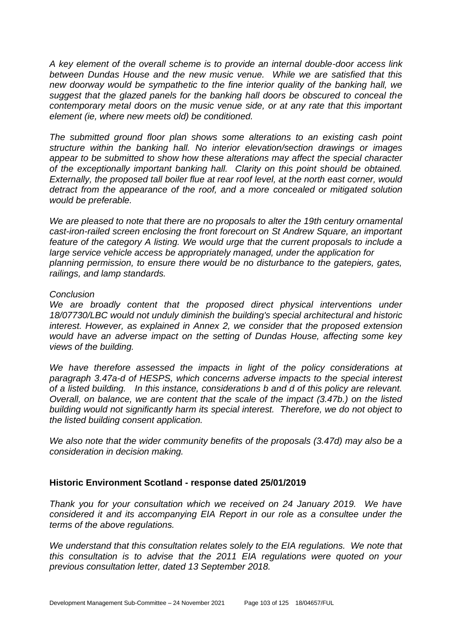*A key element of the overall scheme is to provide an internal double-door access link between Dundas House and the new music venue. While we are satisfied that this new doorway would be sympathetic to the fine interior quality of the banking hall, we suggest that the glazed panels for the banking hall doors be obscured to conceal the contemporary metal doors on the music venue side, or at any rate that this important element (ie, where new meets old) be conditioned.* 

*The submitted ground floor plan shows some alterations to an existing cash point structure within the banking hall. No interior elevation/section drawings or images appear to be submitted to show how these alterations may affect the special character of the exceptionally important banking hall. Clarity on this point should be obtained. Externally, the proposed tall boiler flue at rear roof level, at the north east corner, would detract from the appearance of the roof, and a more concealed or mitigated solution would be preferable.* 

*We are pleased to note that there are no proposals to alter the 19th century ornamental cast-iron-railed screen enclosing the front forecourt on St Andrew Square, an important feature of the category A listing. We would urge that the current proposals to include a large service vehicle access be appropriately managed, under the application for planning permission, to ensure there would be no disturbance to the gatepiers, gates, railings, and lamp standards.* 

#### *Conclusion*

We are broadly content that the proposed direct physical interventions under *18/07730/LBC would not unduly diminish the building's special architectural and historic interest. However, as explained in Annex 2, we consider that the proposed extension would have an adverse impact on the setting of Dundas House, affecting some key views of the building.* 

*We have therefore assessed the impacts in light of the policy considerations at paragraph 3.47a-d of HESPS, which concerns adverse impacts to the special interest of a listed building. In this instance, considerations b and d of this policy are relevant. Overall, on balance, we are content that the scale of the impact (3.47b.) on the listed building would not significantly harm its special interest. Therefore, we do not object to the listed building consent application.* 

*We also note that the wider community benefits of the proposals (3.47d) may also be a consideration in decision making.*

### **Historic Environment Scotland - response dated 25/01/2019**

*Thank you for your consultation which we received on 24 January 2019. We have considered it and its accompanying EIA Report in our role as a consultee under the terms of the above regulations.* 

*We understand that this consultation relates solely to the EIA regulations. We note that this consultation is to advise that the 2011 EIA regulations were quoted on your previous consultation letter, dated 13 September 2018.*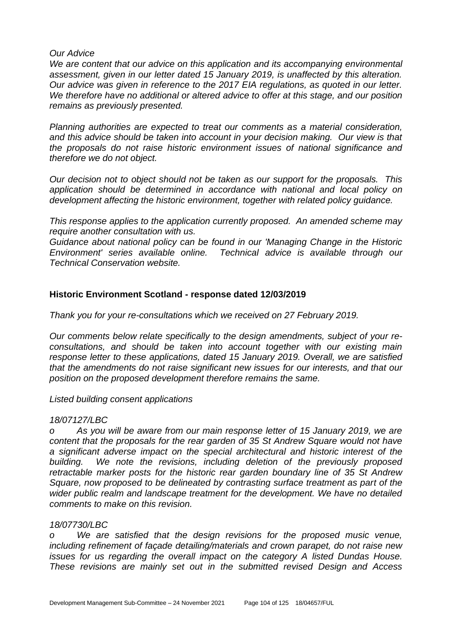#### *Our Advice*

*We are content that our advice on this application and its accompanying environmental assessment, given in our letter dated 15 January 2019, is unaffected by this alteration. Our advice was given in reference to the 2017 EIA regulations, as quoted in our letter. We therefore have no additional or altered advice to offer at this stage, and our position remains as previously presented.*

*Planning authorities are expected to treat our comments as a material consideration, and this advice should be taken into account in your decision making. Our view is that the proposals do not raise historic environment issues of national significance and therefore we do not object.*

*Our decision not to object should not be taken as our support for the proposals. This application should be determined in accordance with national and local policy on development affecting the historic environment, together with related policy guidance.*

*This response applies to the application currently proposed. An amended scheme may require another consultation with us.* 

*Guidance about national policy can be found in our 'Managing Change in the Historic Environment' series available online. Technical advice is available through our Technical Conservation website.*

### **Historic Environment Scotland - response dated 12/03/2019**

*Thank you for your re-consultations which we received on 27 February 2019.* 

*Our comments below relate specifically to the design amendments, subject of your reconsultations, and should be taken into account together with our existing main response letter to these applications, dated 15 January 2019. Overall, we are satisfied that the amendments do not raise significant new issues for our interests, and that our position on the proposed development therefore remains the same.* 

*Listed building consent applications*

### *18/07127/LBC*

*o As you will be aware from our main response letter of 15 January 2019, we are content that the proposals for the rear garden of 35 St Andrew Square would not have a significant adverse impact on the special architectural and historic interest of the building. We note the revisions, including deletion of the previously proposed retractable marker posts for the historic rear garden boundary line of 35 St Andrew Square, now proposed to be delineated by contrasting surface treatment as part of the wider public realm and landscape treatment for the development. We have no detailed comments to make on this revision.* 

### *18/07730/LBC*

*o We are satisfied that the design revisions for the proposed music venue, including refinement of façade detailing/materials and crown parapet, do not raise new issues for us regarding the overall impact on the category A listed Dundas House. These revisions are mainly set out in the submitted revised Design and Access*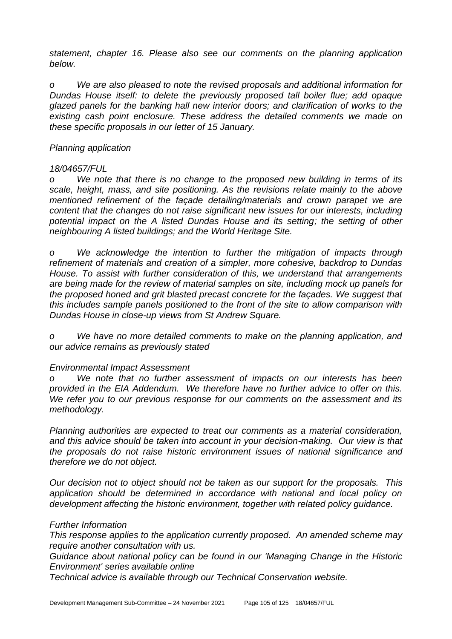*statement, chapter 16. Please also see our comments on the planning application below.* 

*o We are also pleased to note the revised proposals and additional information for Dundas House itself: to delete the previously proposed tall boiler flue; add opaque glazed panels for the banking hall new interior doors; and clarification of works to the existing cash point enclosure. These address the detailed comments we made on these specific proposals in our letter of 15 January.* 

#### *Planning application*

#### *18/04657/FUL*

*o We note that there is no change to the proposed new building in terms of its scale, height, mass, and site positioning. As the revisions relate mainly to the above*  mentioned refinement of the façade detailing/materials and crown parapet we are *content that the changes do not raise significant new issues for our interests, including potential impact on the A listed Dundas House and its setting; the setting of other neighbouring A listed buildings; and the World Heritage Site.* 

*o We acknowledge the intention to further the mitigation of impacts through refinement of materials and creation of a simpler, more cohesive, backdrop to Dundas House. To assist with further consideration of this, we understand that arrangements are being made for the review of material samples on site, including mock up panels for the proposed honed and grit blasted precast concrete for the façades. We suggest that this includes sample panels positioned to the front of the site to allow comparison with Dundas House in close-up views from St Andrew Square.* 

*o We have no more detailed comments to make on the planning application, and our advice remains as previously stated* 

### *Environmental Impact Assessment*

*o We note that no further assessment of impacts on our interests has been provided in the EIA Addendum. We therefore have no further advice to offer on this. We refer you to our previous response for our comments on the assessment and its methodology.* 

*Planning authorities are expected to treat our comments as a material consideration, and this advice should be taken into account in your decision-making. Our view is that the proposals do not raise historic environment issues of national significance and therefore we do not object.* 

*Our decision not to object should not be taken as our support for the proposals. This application should be determined in accordance with national and local policy on development affecting the historic environment, together with related policy guidance.* 

#### *Further Information*

*This response applies to the application currently proposed. An amended scheme may require another consultation with us.* 

*Guidance about national policy can be found in our 'Managing Change in the Historic Environment' series available online*

*Technical advice is available through our Technical Conservation website.*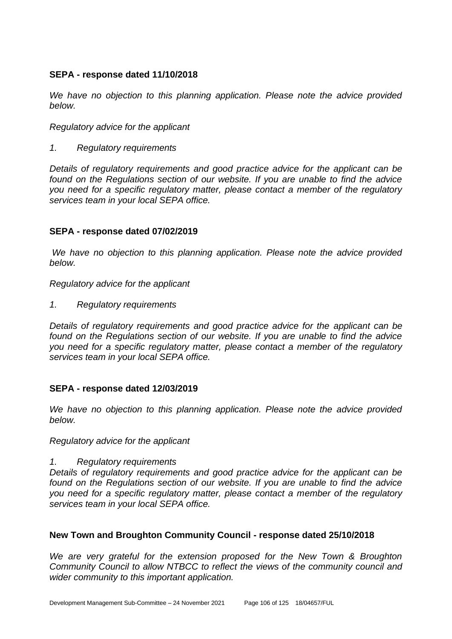### **SEPA - response dated 11/10/2018**

*We have no objection to this planning application. Please note the advice provided below.*

*Regulatory advice for the applicant*

*1. Regulatory requirements*

*Details of regulatory requirements and good practice advice for the applicant can be found on the Regulations section of our website. If you are unable to find the advice you need for a specific regulatory matter, please contact a member of the regulatory services team in your local SEPA office.*

# **SEPA - response dated 07/02/2019**

*We have no objection to this planning application. Please note the advice provided below.*

*Regulatory advice for the applicant*

*1. Regulatory requirements*

*Details of regulatory requirements and good practice advice for the applicant can be found on the Regulations section of our website. If you are unable to find the advice you need for a specific regulatory matter, please contact a member of the regulatory services team in your local SEPA office.*

### **SEPA - response dated 12/03/2019**

*We have no objection to this planning application. Please note the advice provided below.*

*Regulatory advice for the applicant*

*1. Regulatory requirements*

*Details of regulatory requirements and good practice advice for the applicant can be found on the Regulations section of our website. If you are unable to find the advice you need for a specific regulatory matter, please contact a member of the regulatory services team in your local SEPA office.*

### **New Town and Broughton Community Council - response dated 25/10/2018**

*We are very grateful for the extension proposed for the New Town & Broughton Community Council to allow NTBCC to reflect the views of the community council and wider community to this important application.*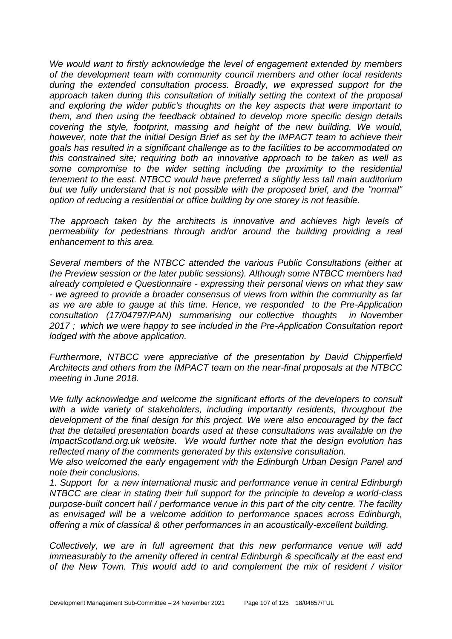*We would want to firstly acknowledge the level of engagement extended by members of the development team with community council members and other local residents during the extended consultation process. Broadly, we expressed support for the approach taken during this consultation of initially setting the context of the proposal and exploring the wider public's thoughts on the key aspects that were important to them, and then using the feedback obtained to develop more specific design details covering the style, footprint, massing and height of the new building. We would, however, note that the initial Design Brief as set by the IMPACT team to achieve their goals has resulted in a significant challenge as to the facilities to be accommodated on this constrained site; requiring both an innovative approach to be taken as well as some compromise to the wider setting including the proximity to the residential tenement to the east. NTBCC would have preferred a slightly less tall main auditorium but we fully understand that is not possible with the proposed brief, and the "normal" option of reducing a residential or office building by one storey is not feasible.* 

*The approach taken by the architects is innovative and achieves high levels of permeability for pedestrians through and/or around the building providing a real enhancement to this area.* 

*Several members of the NTBCC attended the various Public Consultations (either at the Preview session or the later public sessions). Although some NTBCC members had already completed e Questionnaire - expressing their personal views on what they saw - we agreed to provide a broader consensus of views from within the community as far as we are able to gauge at this time. Hence, we responded to the Pre-Application consultation (17/04797/PAN) summarising our collective thoughts in November 2017 ; which we were happy to see included in the Pre-Application Consultation report lodged with the above application.* 

*Furthermore, NTBCC were appreciative of the presentation by David Chipperfield Architects and others from the IMPACT team on the near-final proposals at the NTBCC meeting in June 2018.* 

*We fully acknowledge and welcome the significant efforts of the developers to consult with a wide variety of stakeholders, including importantly residents, throughout the development of the final design for this project. We were also encouraged by the fact that the detailed presentation boards used at these consultations was available on the ImpactScotland.org.uk website. We would further note that the design evolution has reflected many of the comments generated by this extensive consultation.* 

*We also welcomed the early engagement with the Edinburgh Urban Design Panel and note their conclusions.* 

*1. Support for a new international music and performance venue in central Edinburgh NTBCC are clear in stating their full support for the principle to develop a world-class purpose-built concert hall / performance venue in this part of the city centre. The facility as envisaged will be a welcome addition to performance spaces across Edinburgh, offering a mix of classical & other performances in an acoustically-excellent building.* 

*Collectively, we are in full agreement that this new performance venue will add immeasurably to the amenity offered in central Edinburgh & specifically at the east end of the New Town. This would add to and complement the mix of resident / visitor*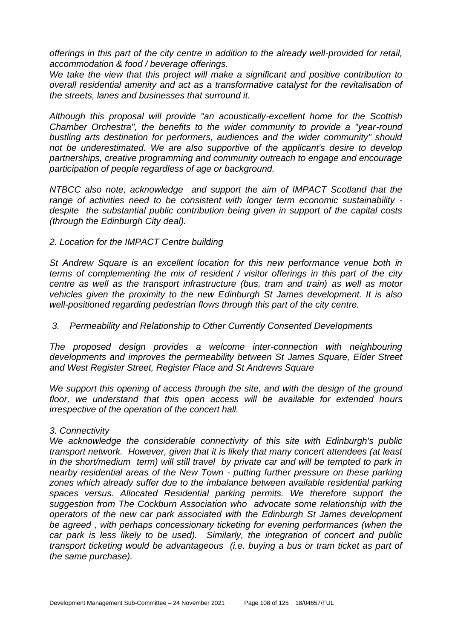*offerings in this part of the city centre in addition to the already well-provided for retail, accommodation & food / beverage offerings.* 

*We take the view that this project will make a significant and positive contribution to overall residential amenity and act as a transformative catalyst for the revitalisation of the streets, lanes and businesses that surround it.* 

*Although this proposal will provide "an acoustically-excellent home for the Scottish Chamber Orchestra", the benefits to the wider community to provide a "year-round bustling arts destination for performers, audiences and the wider community" should not be underestimated. We are also supportive of the applicant's desire to develop partnerships, creative programming and community outreach to engage and encourage participation of people regardless of age or background.* 

*NTBCC also note, acknowledge and support the aim of IMPACT Scotland that the range of activities need to be consistent with longer term economic sustainability despite the substantial public contribution being given in support of the capital costs (through the Edinburgh City deal).* 

#### *2. Location for the IMPACT Centre building*

*St Andrew Square is an excellent location for this new performance venue both in terms of complementing the mix of resident / visitor offerings in this part of the city centre as well as the transport infrastructure (bus, tram and train) as well as motor vehicles given the proximity to the new Edinburgh St James development. It is also well-positioned regarding pedestrian flows through this part of the city centre.* 

#### *3. Permeability and Relationship to Other Currently Consented Developments*

*The proposed design provides a welcome inter-connection with neighbouring developments and improves the permeability between St James Square, Elder Street and West Register Street, Register Place and St Andrews Square* 

*We support this opening of access through the site, and with the design of the ground floor, we understand that this open access will be available for extended hours irrespective of the operation of the concert hall.* 

#### *3. Connectivity*

*We acknowledge the considerable connectivity of this site with Edinburgh's public transport network. However, given that it is likely that many concert attendees (at least in the short/medium term) will still travel by private car and will be tempted to park in nearby residential areas of the New Town - putting further pressure on these parking zones which already suffer due to the imbalance between available residential parking spaces versus. Allocated Residential parking permits. We therefore support the suggestion from The Cockburn Association who advocate some relationship with the operators of the new car park associated with the Edinburgh St James development be agreed , with perhaps concessionary ticketing for evening performances (when the car park is less likely to be used). Similarly, the integration of concert and public transport ticketing would be advantageous (i.e. buying a bus or tram ticket as part of the same purchase).*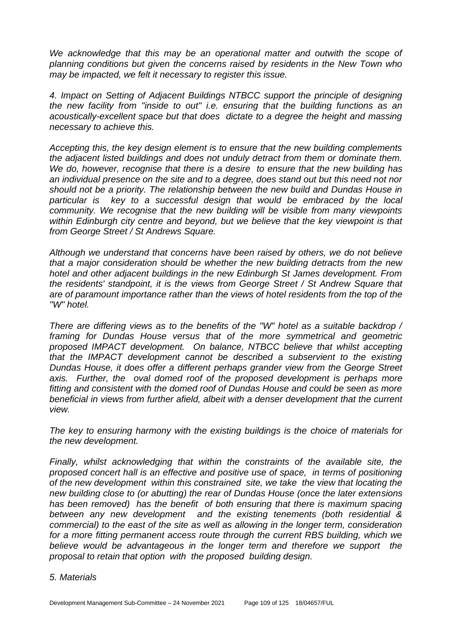We acknowledge that this may be an operational matter and outwith the scope of *planning conditions but given the concerns raised by residents in the New Town who may be impacted, we felt it necessary to register this issue.* 

*4. Impact on Setting of Adjacent Buildings NTBCC support the principle of designing the new facility from "inside to out" i.e. ensuring that the building functions as an acoustically-excellent space but that does dictate to a degree the height and massing necessary to achieve this.* 

*Accepting this, the key design element is to ensure that the new building complements the adjacent listed buildings and does not unduly detract from them or dominate them. We do, however, recognise that there is a desire to ensure that the new building has an individual presence on the site and to a degree, does stand out but this need not nor should not be a priority. The relationship between the new build and Dundas House in particular is key to a successful design that would be embraced by the local community. We recognise that the new building will be visible from many viewpoints within Edinburgh city centre and beyond, but we believe that the key viewpoint is that from George Street / St Andrews Square.* 

*Although we understand that concerns have been raised by others, we do not believe that a major consideration should be whether the new building detracts from the new hotel and other adjacent buildings in the new Edinburgh St James development. From the residents' standpoint, it is the views from George Street / St Andrew Square that are of paramount importance rather than the views of hotel residents from the top of the "W" hotel.* 

*There are differing views as to the benefits of the "W" hotel as a suitable backdrop / framing for Dundas House versus that of the more symmetrical and geometric proposed IMPACT development. On balance, NTBCC believe that whilst accepting that the IMPACT development cannot be described a subservient to the existing Dundas House, it does offer a different perhaps grander view from the George Street*  axis. Further, the oval domed roof of the proposed development is perhaps more *fitting and consistent with the domed roof of Dundas House and could be seen as more beneficial in views from further afield, albeit with a denser development that the current view.* 

*The key to ensuring harmony with the existing buildings is the choice of materials for the new development.* 

*Finally, whilst acknowledging that within the constraints of the available site, the proposed concert hall is an effective and positive use of space, in terms of positioning of the new development within this constrained site, we take the view that locating the new building close to (or abutting) the rear of Dundas House (once the later extensions has been removed) has the benefit of both ensuring that there is maximum spacing between any new development and the existing tenements (both residential & commercial) to the east of the site as well as allowing in the longer term, consideration for a more fitting permanent access route through the current RBS building, which we believe would be advantageous in the longer term and therefore we support the proposal to retain that option with the proposed building design.* 

#### *5. Materials*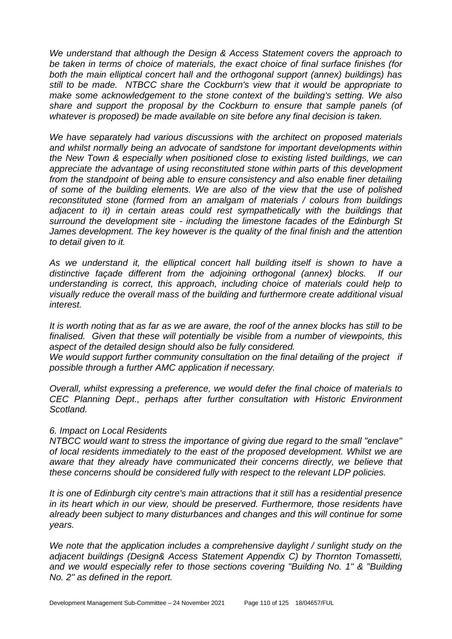*We understand that although the Design & Access Statement covers the approach to be taken in terms of choice of materials, the exact choice of final surface finishes (for both the main elliptical concert hall and the orthogonal support (annex) buildings) has still to be made. NTBCC share the Cockburn's view that it would be appropriate to make some acknowledgement to the stone context of the building's setting. We also share and support the proposal by the Cockburn to ensure that sample panels (of whatever is proposed) be made available on site before any final decision is taken.* 

*We have separately had various discussions with the architect on proposed materials and whilst normally being an advocate of sandstone for important developments within the New Town & especially when positioned close to existing listed buildings, we can appreciate the advantage of using reconstituted stone within parts of this development from the standpoint of being able to ensure consistency and also enable finer detailing of some of the building elements. We are also of the view that the use of polished reconstituted stone (formed from an amalgam of materials / colours from buildings*  adjacent to it) in certain areas could rest sympathetically with the buildings that *surround the development site - including the limestone facades of the Edinburgh St James development. The key however is the quality of the final finish and the attention to detail given to it.* 

As we understand it, the elliptical concert hall building itself is shown to have a *distinctive façade different from the adjoining orthogonal (annex) blocks. If our understanding is correct, this approach, including choice of materials could help to visually reduce the overall mass of the building and furthermore create additional visual interest.* 

*It is worth noting that as far as we are aware, the roof of the annex blocks has still to be finalised. Given that these will potentially be visible from a number of viewpoints, this aspect of the detailed design should also be fully considered.* 

*We would support further community consultation on the final detailing of the project if possible through a further AMC application if necessary.* 

*Overall, whilst expressing a preference, we would defer the final choice of materials to CEC Planning Dept., perhaps after further consultation with Historic Environment Scotland.* 

#### *6. Impact on Local Residents*

*NTBCC would want to stress the importance of giving due regard to the small "enclave" of local residents immediately to the east of the proposed development. Whilst we are aware that they already have communicated their concerns directly, we believe that these concerns should be considered fully with respect to the relevant LDP policies.* 

*It is one of Edinburgh city centre's main attractions that it still has a residential presence in its heart which in our view, should be preserved. Furthermore, those residents have already been subject to many disturbances and changes and this will continue for some years.* 

*We note that the application includes a comprehensive daylight / sunlight study on the adjacent buildings (Design& Access Statement Appendix C) by Thornton Tomassetti, and we would especially refer to those sections covering "Building No. 1" & "Building No. 2" as defined in the report.*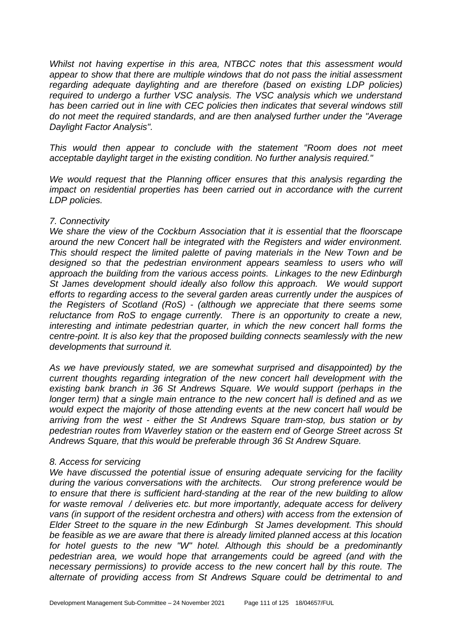*Whilst not having expertise in this area, NTBCC notes that this assessment would appear to show that there are multiple windows that do not pass the initial assessment regarding adequate daylighting and are therefore (based on existing LDP policies) required to undergo a further VSC analysis. The VSC analysis which we understand has been carried out in line with CEC policies then indicates that several windows still do not meet the required standards, and are then analysed further under the "Average Daylight Factor Analysis".* 

*This would then appear to conclude with the statement "Room does not meet acceptable daylight target in the existing condition. No further analysis required."* 

*We would request that the Planning officer ensures that this analysis regarding the impact on residential properties has been carried out in accordance with the current LDP policies.* 

#### *7. Connectivity*

*We share the view of the Cockburn Association that it is essential that the floorscape around the new Concert hall be integrated with the Registers and wider environment. This should respect the limited palette of paving materials in the New Town and be designed so that the pedestrian environment appears seamless to users who will approach the building from the various access points. Linkages to the new Edinburgh St James development should ideally also follow this approach. We would support efforts to regarding access to the several garden areas currently under the auspices of the Registers of Scotland (RoS) - (although we appreciate that there seems some reluctance from RoS to engage currently. There is an opportunity to create a new, interesting and intimate pedestrian quarter, in which the new concert hall forms the centre-point. It is also key that the proposed building connects seamlessly with the new developments that surround it.* 

*As we have previously stated, we are somewhat surprised and disappointed) by the current thoughts regarding integration of the new concert hall development with the existing bank branch in 36 St Andrews Square. We would support (perhaps in the longer term) that a single main entrance to the new concert hall is defined and as we would expect the majority of those attending events at the new concert hall would be arriving from the west - either the St Andrews Square tram-stop, bus station or by pedestrian routes from Waverley station or the eastern end of George Street across St Andrews Square, that this would be preferable through 36 St Andrew Square.* 

## *8. Access for servicing*

*We have discussed the potential issue of ensuring adequate servicing for the facility during the various conversations with the architects. Our strong preference would be to ensure that there is sufficient hard-standing at the rear of the new building to allow for waste removal / deliveries etc. but more importantly, adequate access for delivery vans (in support of the resident orchestra and others) with access from the extension of Elder Street to the square in the new Edinburgh St James development. This should be feasible as we are aware that there is already limited planned access at this location for hotel guests to the new "W" hotel. Although this should be a predominantly pedestrian area, we would hope that arrangements could be agreed (and with the necessary permissions) to provide access to the new concert hall by this route. The alternate of providing access from St Andrews Square could be detrimental to and*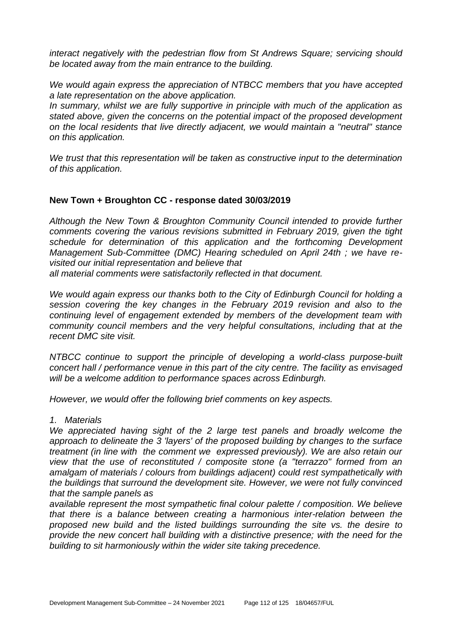*interact negatively with the pedestrian flow from St Andrews Square; servicing should be located away from the main entrance to the building.* 

*We would again express the appreciation of NTBCC members that you have accepted a late representation on the above application.* 

*In summary, whilst we are fully supportive in principle with much of the application as stated above, given the concerns on the potential impact of the proposed development on the local residents that live directly adjacent, we would maintain a "neutral" stance on this application.* 

*We trust that this representation will be taken as constructive input to the determination of this application.* 

### **New Town + Broughton CC - response dated 30/03/2019**

*Although the New Town & Broughton Community Council intended to provide further comments covering the various revisions submitted in February 2019, given the tight schedule for determination of this application and the forthcoming Development Management Sub-Committee (DMC) Hearing scheduled on April 24th ; we have revisited our initial representation and believe that*

*all material comments were satisfactorily reflected in that document.*

*We would again express our thanks both to the City of Edinburgh Council for holding a session covering the key changes in the February 2019 revision and also to the continuing level of engagement extended by members of the development team with community council members and the very helpful consultations, including that at the recent DMC site visit.*

*NTBCC continue to support the principle of developing a world-class purpose-built concert hall / performance venue in this part of the city centre. The facility as envisaged will be a welcome addition to performance spaces across Edinburgh.*

*However, we would offer the following brief comments on key aspects.*

#### *1. Materials*

*We appreciated having sight of the 2 large test panels and broadly welcome the approach to delineate the 3 'layers' of the proposed building by changes to the surface treatment (in line with the comment we expressed previously). We are also retain our view that the use of reconstituted / composite stone (a "terrazzo" formed from an amalgam of materials / colours from buildings adjacent) could rest sympathetically with the buildings that surround the development site. However, we were not fully convinced that the sample panels as*

*available represent the most sympathetic final colour palette / composition. We believe that there is a balance between creating a harmonious inter-relation between the proposed new build and the listed buildings surrounding the site vs. the desire to provide the new concert hall building with a distinctive presence; with the need for the building to sit harmoniously within the wider site taking precedence.*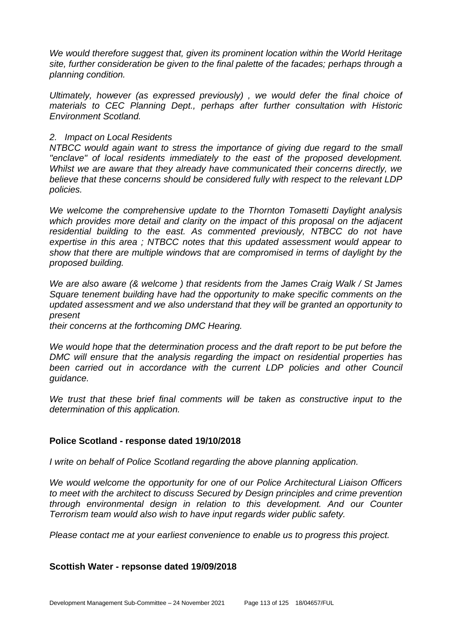*We would therefore suggest that, given its prominent location within the World Heritage site, further consideration be given to the final palette of the facades; perhaps through a planning condition.*

*Ultimately, however (as expressed previously) , we would defer the final choice of materials to CEC Planning Dept., perhaps after further consultation with Historic Environment Scotland.*

#### *2. Impact on Local Residents*

*NTBCC would again want to stress the importance of giving due regard to the small "enclave" of local residents immediately to the east of the proposed development. Whilst we are aware that they already have communicated their concerns directly, we believe that these concerns should be considered fully with respect to the relevant LDP policies.*

*We welcome the comprehensive update to the Thornton Tomasetti Daylight analysis which provides more detail and clarity on the impact of this proposal on the adjacent residential building to the east. As commented previously, NTBCC do not have expertise in this area ; NTBCC notes that this updated assessment would appear to show that there are multiple windows that are compromised in terms of daylight by the proposed building.*

*We are also aware (& welcome ) that residents from the James Craig Walk / St James Square tenement building have had the opportunity to make specific comments on the updated assessment and we also understand that they will be granted an opportunity to present*

*their concerns at the forthcoming DMC Hearing.*

*We would hope that the determination process and the draft report to be put before the DMC will ensure that the analysis regarding the impact on residential properties has*  been carried out in accordance with the current LDP policies and other Council *guidance.*

*We trust that these brief final comments will be taken as constructive input to the determination of this application.*

## **Police Scotland - response dated 19/10/2018**

*I* write on behalf of Police Scotland regarding the above planning application.

*We would welcome the opportunity for one of our Police Architectural Liaison Officers to meet with the architect to discuss Secured by Design principles and crime prevention through environmental design in relation to this development. And our Counter Terrorism team would also wish to have input regards wider public safety.* 

*Please contact me at your earliest convenience to enable us to progress this project.*

## **Scottish Water - repsonse dated 19/09/2018**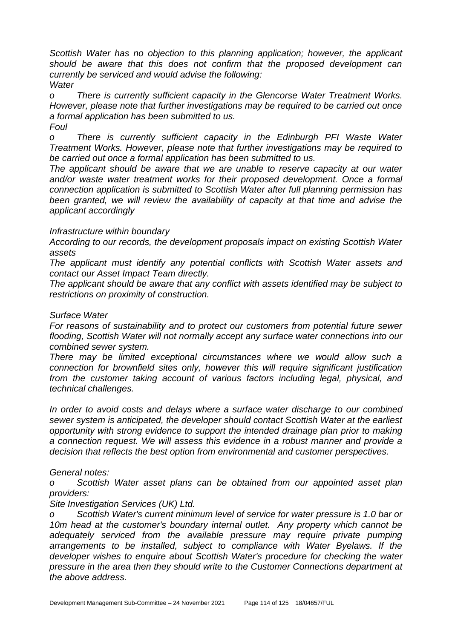*Scottish Water has no objection to this planning application; however, the applicant should be aware that this does not confirm that the proposed development can currently be serviced and would advise the following: Water* 

*o There is currently sufficient capacity in the Glencorse Water Treatment Works. However, please note that further investigations may be required to be carried out once a formal application has been submitted to us.*

*Foul*

*o There is currently sufficient capacity in the Edinburgh PFI Waste Water Treatment Works. However, please note that further investigations may be required to be carried out once a formal application has been submitted to us.*

*The applicant should be aware that we are unable to reserve capacity at our water and/or waste water treatment works for their proposed development. Once a formal connection application is submitted to Scottish Water after full planning permission has been granted, we will review the availability of capacity at that time and advise the applicant accordingly*

## *Infrastructure within boundary*

*According to our records, the development proposals impact on existing Scottish Water assets*

*The applicant must identify any potential conflicts with Scottish Water assets and contact our Asset Impact Team directly.* 

*The applicant should be aware that any conflict with assets identified may be subject to restrictions on proximity of construction.*

# *Surface Water*

*For reasons of sustainability and to protect our customers from potential future sewer flooding, Scottish Water will not normally accept any surface water connections into our combined sewer system.*

*There may be limited exceptional circumstances where we would allow such a connection for brownfield sites only, however this will require significant justification from the customer taking account of various factors including legal, physical, and technical challenges.*

*In order to avoid costs and delays where a surface water discharge to our combined sewer system is anticipated, the developer should contact Scottish Water at the earliest opportunity with strong evidence to support the intended drainage plan prior to making a connection request. We will assess this evidence in a robust manner and provide a decision that reflects the best option from environmental and customer perspectives.* 

## *General notes:*

*o Scottish Water asset plans can be obtained from our appointed asset plan providers:*

## *Site Investigation Services (UK) Ltd.*

*o Scottish Water's current minimum level of service for water pressure is 1.0 bar or 10m head at the customer's boundary internal outlet. Any property which cannot be adequately serviced from the available pressure may require private pumping arrangements to be installed, subject to compliance with Water Byelaws. If the developer wishes to enquire about Scottish Water's procedure for checking the water pressure in the area then they should write to the Customer Connections department at the above address.*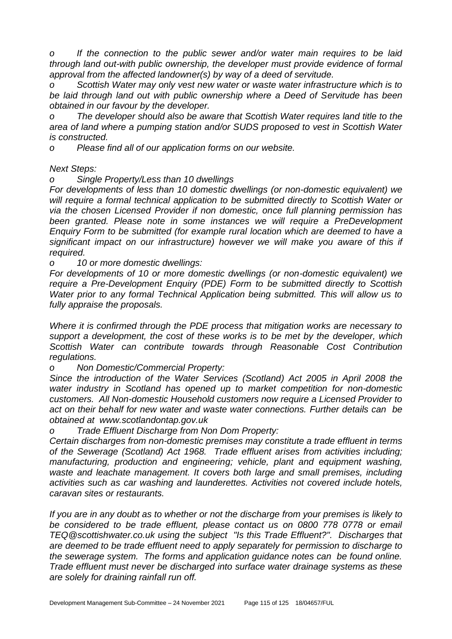*o If the connection to the public sewer and/or water main requires to be laid through land out-with public ownership, the developer must provide evidence of formal approval from the affected landowner(s) by way of a deed of servitude.*

*o Scottish Water may only vest new water or waste water infrastructure which is to be laid through land out with public ownership where a Deed of Servitude has been obtained in our favour by the developer.*

*o The developer should also be aware that Scottish Water requires land title to the area of land where a pumping station and/or SUDS proposed to vest in Scottish Water is constructed.*

*o Please find all of our application forms on our website.* 

*Next Steps:* 

*o Single Property/Less than 10 dwellings*

*For developments of less than 10 domestic dwellings (or non-domestic equivalent) we will require a formal technical application to be submitted directly to Scottish Water or via the chosen Licensed Provider if non domestic, once full planning permission has been granted. Please note in some instances we will require a PreDevelopment Enquiry Form to be submitted (for example rural location which are deemed to have a significant impact on our infrastructure) however we will make you aware of this if required.* 

*o 10 or more domestic dwellings:* 

*For developments of 10 or more domestic dwellings (or non-domestic equivalent) we require a Pre-Development Enquiry (PDE) Form to be submitted directly to Scottish Water prior to any formal Technical Application being submitted. This will allow us to fully appraise the proposals.*

*Where it is confirmed through the PDE process that mitigation works are necessary to support a development, the cost of these works is to be met by the developer, which Scottish Water can contribute towards through Reasonable Cost Contribution regulations.*

*o Non Domestic/Commercial Property:* 

*Since the introduction of the Water Services (Scotland) Act 2005 in April 2008 the water industry in Scotland has opened up to market competition for non-domestic customers. All Non-domestic Household customers now require a Licensed Provider to act on their behalf for new water and waste water connections. Further details can be obtained at www.scotlandontap.gov.uk* 

*o Trade Effluent Discharge from Non Dom Property:*

*Certain discharges from non-domestic premises may constitute a trade effluent in terms of the Sewerage (Scotland) Act 1968. Trade effluent arises from activities including; manufacturing, production and engineering; vehicle, plant and equipment washing, waste and leachate management. It covers both large and small premises, including activities such as car washing and launderettes. Activities not covered include hotels, caravan sites or restaurants.* 

*If you are in any doubt as to whether or not the discharge from your premises is likely to be considered to be trade effluent, please contact us on 0800 778 0778 or email TEQ@scottishwater.co.uk using the subject "Is this Trade Effluent?". Discharges that are deemed to be trade effluent need to apply separately for permission to discharge to the sewerage system. The forms and application guidance notes can be found online. Trade effluent must never be discharged into surface water drainage systems as these are solely for draining rainfall run off.*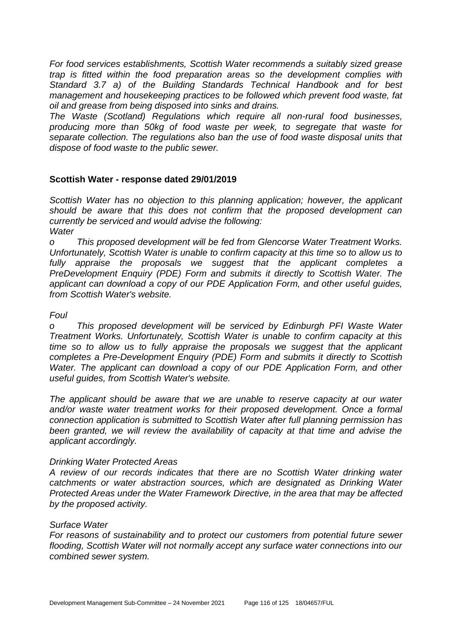*For food services establishments, Scottish Water recommends a suitably sized grease trap is fitted within the food preparation areas so the development complies with Standard 3.7 a) of the Building Standards Technical Handbook and for best management and housekeeping practices to be followed which prevent food waste, fat oil and grease from being disposed into sinks and drains.*

*The Waste (Scotland) Regulations which require all non-rural food businesses, producing more than 50kg of food waste per week, to segregate that waste for separate collection. The regulations also ban the use of food waste disposal units that dispose of food waste to the public sewer.*

## **Scottish Water - response dated 29/01/2019**

*Scottish Water has no objection to this planning application; however, the applicant should be aware that this does not confirm that the proposed development can currently be serviced and would advise the following: Water* 

*o This proposed development will be fed from Glencorse Water Treatment Works. Unfortunately, Scottish Water is unable to confirm capacity at this time so to allow us to fully appraise the proposals we suggest that the applicant completes a PreDevelopment Enquiry (PDE) Form and submits it directly to Scottish Water. The applicant can download a copy of our PDE Application Form, and other useful guides, from Scottish Water's website.*

## *Foul*

*o This proposed development will be serviced by Edinburgh PFI Waste Water Treatment Works. Unfortunately, Scottish Water is unable to confirm capacity at this time so to allow us to fully appraise the proposals we suggest that the applicant completes a Pre-Development Enquiry (PDE) Form and submits it directly to Scottish Water. The applicant can download a copy of our PDE Application Form, and other useful guides, from Scottish Water's website.* 

*The applicant should be aware that we are unable to reserve capacity at our water and/or waste water treatment works for their proposed development. Once a formal connection application is submitted to Scottish Water after full planning permission has been granted, we will review the availability of capacity at that time and advise the applicant accordingly.*

## *Drinking Water Protected Areas*

*A review of our records indicates that there are no Scottish Water drinking water catchments or water abstraction sources, which are designated as Drinking Water Protected Areas under the Water Framework Directive, in the area that may be affected by the proposed activity.*

## *Surface Water*

*For reasons of sustainability and to protect our customers from potential future sewer flooding, Scottish Water will not normally accept any surface water connections into our combined sewer system.*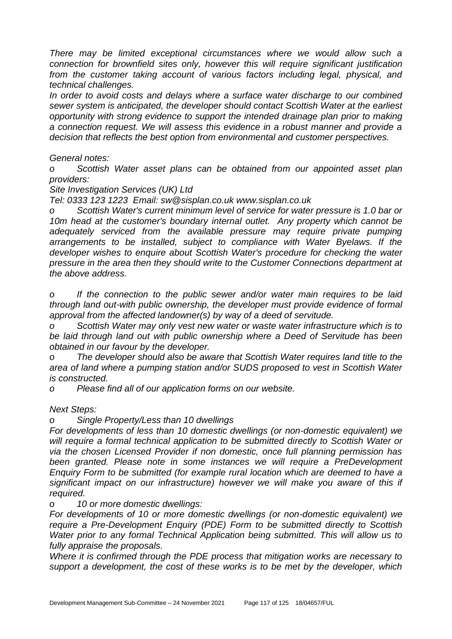*There may be limited exceptional circumstances where we would allow such a connection for brownfield sites only, however this will require significant justification from the customer taking account of various factors including legal, physical, and technical challenges.*

*In order to avoid costs and delays where a surface water discharge to our combined sewer system is anticipated, the developer should contact Scottish Water at the earliest opportunity with strong evidence to support the intended drainage plan prior to making a connection request. We will assess this evidence in a robust manner and provide a decision that reflects the best option from environmental and customer perspectives.* 

*General notes:*

*o Scottish Water asset plans can be obtained from our appointed asset plan providers:*

*Site Investigation Services (UK) Ltd*

*Tel: 0333 123 1223 Email: sw@sisplan.co.uk www.sisplan.co.uk*

*o Scottish Water's current minimum level of service for water pressure is 1.0 bar or 10m head at the customer's boundary internal outlet. Any property which cannot be adequately serviced from the available pressure may require private pumping arrangements to be installed, subject to compliance with Water Byelaws. If the developer wishes to enquire about Scottish Water's procedure for checking the water pressure in the area then they should write to the Customer Connections department at the above address.*

*o If the connection to the public sewer and/or water main requires to be laid through land out-with public ownership, the developer must provide evidence of formal approval from the affected landowner(s) by way of a deed of servitude.*

*o Scottish Water may only vest new water or waste water infrastructure which is to be laid through land out with public ownership where a Deed of Servitude has been obtained in our favour by the developer.*

*o The developer should also be aware that Scottish Water requires land title to the area of land where a pumping station and/or SUDS proposed to vest in Scottish Water is constructed.*

*o Please find all of our application forms on our website.*

*Next Steps:* 

*o Single Property/Less than 10 dwellings*

*For developments of less than 10 domestic dwellings (or non-domestic equivalent) we will require a formal technical application to be submitted directly to Scottish Water or via the chosen Licensed Provider if non domestic, once full planning permission has been granted. Please note in some instances we will require a PreDevelopment Enquiry Form to be submitted (for example rural location which are deemed to have a significant impact on our infrastructure) however we will make you aware of this if required.* 

*o 10 or more domestic dwellings:* 

*For developments of 10 or more domestic dwellings (or non-domestic equivalent) we require a Pre-Development Enquiry (PDE) Form to be submitted directly to Scottish Water prior to any formal Technical Application being submitted. This will allow us to fully appraise the proposals.*

*Where it is confirmed through the PDE process that mitigation works are necessary to support a development, the cost of these works is to be met by the developer, which*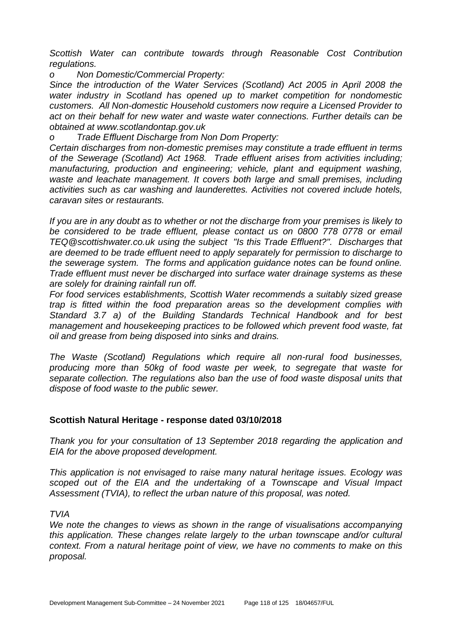*Scottish Water can contribute towards through Reasonable Cost Contribution regulations.*

*o Non Domestic/Commercial Property:* 

*Since the introduction of the Water Services (Scotland) Act 2005 in April 2008 the water industry in Scotland has opened up to market competition for nondomestic customers. All Non-domestic Household customers now require a Licensed Provider to act on their behalf for new water and waste water connections. Further details can be obtained at www.scotlandontap.gov.uk* 

*o Trade Effluent Discharge from Non Dom Property:*

*Certain discharges from non-domestic premises may constitute a trade effluent in terms of the Sewerage (Scotland) Act 1968. Trade effluent arises from activities including; manufacturing, production and engineering; vehicle, plant and equipment washing, waste and leachate management. It covers both large and small premises, including activities such as car washing and launderettes. Activities not covered include hotels, caravan sites or restaurants.* 

*If you are in any doubt as to whether or not the discharge from your premises is likely to be considered to be trade effluent, please contact us on 0800 778 0778 or email TEQ@scottishwater.co.uk using the subject "Is this Trade Effluent?". Discharges that are deemed to be trade effluent need to apply separately for permission to discharge to the sewerage system. The forms and application guidance notes can be found online. Trade effluent must never be discharged into surface water drainage systems as these are solely for draining rainfall run off.*

*For food services establishments, Scottish Water recommends a suitably sized grease trap is fitted within the food preparation areas so the development complies with Standard 3.7 a) of the Building Standards Technical Handbook and for best management and housekeeping practices to be followed which prevent food waste, fat oil and grease from being disposed into sinks and drains.*

*The Waste (Scotland) Regulations which require all non-rural food businesses, producing more than 50kg of food waste per week, to segregate that waste for separate collection. The regulations also ban the use of food waste disposal units that dispose of food waste to the public sewer.*

## **Scottish Natural Heritage - response dated 03/10/2018**

*Thank you for your consultation of 13 September 2018 regarding the application and EIA for the above proposed development.* 

*This application is not envisaged to raise many natural heritage issues. Ecology was scoped out of the EIA and the undertaking of a Townscape and Visual Impact Assessment (TVIA), to reflect the urban nature of this proposal, was noted.* 

*TVIA* 

*We note the changes to views as shown in the range of visualisations accompanying this application. These changes relate largely to the urban townscape and/or cultural context. From a natural heritage point of view, we have no comments to make on this proposal.*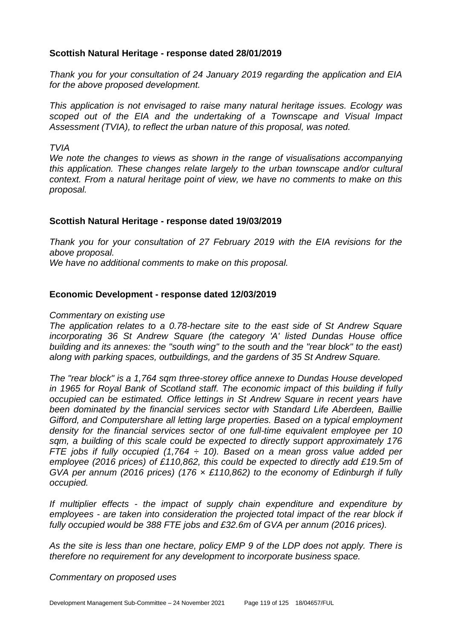## **Scottish Natural Heritage - response dated 28/01/2019**

*Thank you for your consultation of 24 January 2019 regarding the application and EIA for the above proposed development.* 

*This application is not envisaged to raise many natural heritage issues. Ecology was scoped out of the EIA and the undertaking of a Townscape and Visual Impact Assessment (TVIA), to reflect the urban nature of this proposal, was noted.* 

*TVIA* 

*We note the changes to views as shown in the range of visualisations accompanying this application. These changes relate largely to the urban townscape and/or cultural context. From a natural heritage point of view, we have no comments to make on this proposal.*

### **Scottish Natural Heritage - response dated 19/03/2019**

*Thank you for your consultation of 27 February 2019 with the EIA revisions for the above proposal. We have no additional comments to make on this proposal.*

### **Economic Development - response dated 12/03/2019**

#### *Commentary on existing use*

*The application relates to a 0.78-hectare site to the east side of St Andrew Square incorporating 36 St Andrew Square (the category 'A' listed Dundas House office building and its annexes: the "south wing" to the south and the "rear block" to the east) along with parking spaces, outbuildings, and the gardens of 35 St Andrew Square.*

*The "rear block" is a 1,764 sqm three-storey office annexe to Dundas House developed in 1965 for Royal Bank of Scotland staff. The economic impact of this building if fully occupied can be estimated. Office lettings in St Andrew Square in recent years have been dominated by the financial services sector with Standard Life Aberdeen, Baillie Gifford, and Computershare all letting large properties. Based on a typical employment density for the financial services sector of one full-time equivalent employee per 10 sqm, a building of this scale could be expected to directly support approximately 176 FTE jobs if fully occupied (1,764 ÷ 10). Based on a mean gross value added per employee (2016 prices) of £110,862, this could be expected to directly add £19.5m of GVA per annum (2016 prices) (176 × £110,862) to the economy of Edinburgh if fully occupied.*

*If multiplier effects - the impact of supply chain expenditure and expenditure by employees - are taken into consideration the projected total impact of the rear block if fully occupied would be 388 FTE jobs and £32.6m of GVA per annum (2016 prices).*

*As the site is less than one hectare, policy EMP 9 of the LDP does not apply. There is therefore no requirement for any development to incorporate business space.*

*Commentary on proposed uses*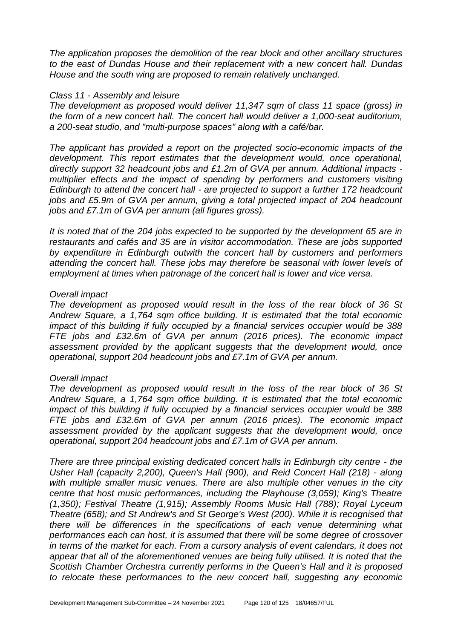*The application proposes the demolition of the rear block and other ancillary structures to the east of Dundas House and their replacement with a new concert hall. Dundas House and the south wing are proposed to remain relatively unchanged.*

#### *Class 11 - Assembly and leisure*

*The development as proposed would deliver 11,347 sqm of class 11 space (gross) in the form of a new concert hall. The concert hall would deliver a 1,000-seat auditorium, a 200-seat studio, and "multi-purpose spaces" along with a café/bar.*

*The applicant has provided a report on the projected socio-economic impacts of the development. This report estimates that the development would, once operational, directly support 32 headcount jobs and £1.2m of GVA per annum. Additional impacts multiplier effects and the impact of spending by performers and customers visiting Edinburgh to attend the concert hall - are projected to support a further 172 headcount jobs and £5.9m of GVA per annum, giving a total projected impact of 204 headcount jobs and £7.1m of GVA per annum (all figures gross).* 

*It is noted that of the 204 jobs expected to be supported by the development 65 are in restaurants and cafés and 35 are in visitor accommodation. These are jobs supported by expenditure in Edinburgh outwith the concert hall by customers and performers attending the concert hall. These jobs may therefore be seasonal with lower levels of employment at times when patronage of the concert hall is lower and vice versa.*

#### *Overall impact*

*The development as proposed would result in the loss of the rear block of 36 St Andrew Square, a 1,764 sqm office building. It is estimated that the total economic impact of this building if fully occupied by a financial services occupier would be 388 FTE jobs and £32.6m of GVA per annum (2016 prices). The economic impact assessment provided by the applicant suggests that the development would, once operational, support 204 headcount jobs and £7.1m of GVA per annum.* 

#### *Overall impact*

*The development as proposed would result in the loss of the rear block of 36 St Andrew Square, a 1,764 sqm office building. It is estimated that the total economic impact of this building if fully occupied by a financial services occupier would be 388 FTE jobs and £32.6m of GVA per annum (2016 prices). The economic impact assessment provided by the applicant suggests that the development would, once operational, support 204 headcount jobs and £7.1m of GVA per annum.* 

*There are three principal existing dedicated concert halls in Edinburgh city centre - the Usher Hall (capacity 2,200), Queen's Hall (900), and Reid Concert Hall (218) - along with multiple smaller music venues. There are also multiple other venues in the city centre that host music performances, including the Playhouse (3,059); King's Theatre (1,350); Festival Theatre (1,915); Assembly Rooms Music Hall (788); Royal Lyceum Theatre (658); and St Andrew's and St George's West (200). While it is recognised that there will be differences in the specifications of each venue determining what performances each can host, it is assumed that there will be some degree of crossover in terms of the market for each. From a cursory analysis of event calendars, it does not appear that all of the aforementioned venues are being fully utilised. It is noted that the Scottish Chamber Orchestra currently performs in the Queen's Hall and it is proposed to relocate these performances to the new concert hall, suggesting any economic*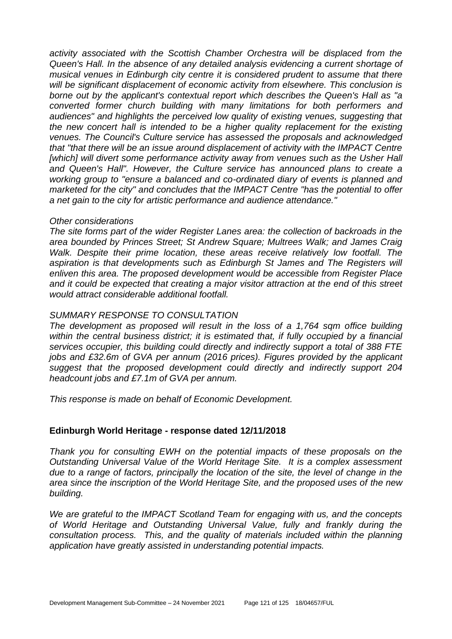*activity associated with the Scottish Chamber Orchestra will be displaced from the Queen's Hall. In the absence of any detailed analysis evidencing a current shortage of musical venues in Edinburgh city centre it is considered prudent to assume that there will be significant displacement of economic activity from elsewhere. This conclusion is borne out by the applicant's contextual report which describes the Queen's Hall as "a converted former church building with many limitations for both performers and audiences" and highlights the perceived low quality of existing venues, suggesting that the new concert hall is intended to be a higher quality replacement for the existing venues. The Council's Culture service has assessed the proposals and acknowledged that "that there will be an issue around displacement of activity with the IMPACT Centre*  [which] will divert some performance activity away from venues such as the Usher Hall *and Queen's Hall". However, the Culture service has announced plans to create a working group to "ensure a balanced and co-ordinated diary of events is planned and marketed for the city" and concludes that the IMPACT Centre "has the potential to offer a net gain to the city for artistic performance and audience attendance."*

#### *Other considerations*

*The site forms part of the wider Register Lanes area: the collection of backroads in the area bounded by Princes Street; St Andrew Square; Multrees Walk; and James Craig Walk. Despite their prime location, these areas receive relatively low footfall. The aspiration is that developments such as Edinburgh St James and The Registers will enliven this area. The proposed development would be accessible from Register Place and it could be expected that creating a major visitor attraction at the end of this street would attract considerable additional footfall.*

### *SUMMARY RESPONSE TO CONSULTATION*

*The development as proposed will result in the loss of a 1,764 sqm office building*  within the central business district; it is estimated that, if fully occupied by a financial *services occupier, this building could directly and indirectly support a total of 388 FTE jobs and £32.6m of GVA per annum (2016 prices). Figures provided by the applicant suggest that the proposed development could directly and indirectly support 204 headcount jobs and £7.1m of GVA per annum.*

*This response is made on behalf of Economic Development.*

## **Edinburgh World Heritage - response dated 12/11/2018**

*Thank you for consulting EWH on the potential impacts of these proposals on the Outstanding Universal Value of the World Heritage Site. It is a complex assessment due to a range of factors, principally the location of the site, the level of change in the area since the inscription of the World Heritage Site, and the proposed uses of the new building.*

*We are grateful to the IMPACT Scotland Team for engaging with us, and the concepts of World Heritage and Outstanding Universal Value, fully and frankly during the consultation process. This, and the quality of materials included within the planning application have greatly assisted in understanding potential impacts.*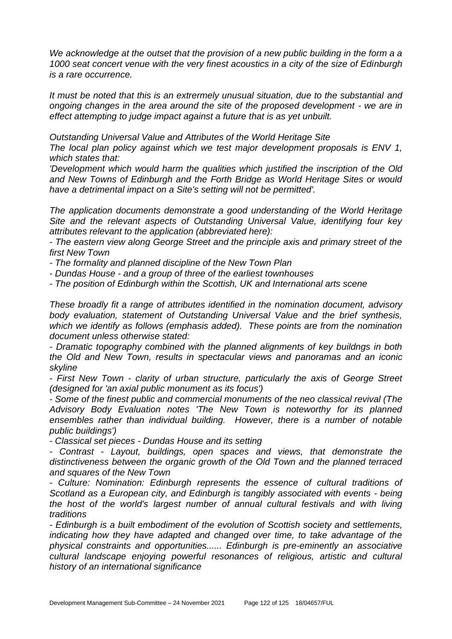We acknowledge at the outset that the provision of a new public building in the form a a *1000 seat concert venue with the very finest acoustics in a city of the size of Edinburgh is a rare occurrence.*

*It must be noted that this is an extrermely unusual situation, due to the substantial and ongoing changes in the area around the site of the proposed development - we are in effect attempting to judge impact against a future that is as yet unbuilt.*

*Outstanding Universal Value and Attributes of the World Heritage Site*

*The local plan policy against which we test major development proposals is ENV 1, which states that:*

*'Development which would harm the qualities which justified the inscription of the Old and New Towns of Edinburgh and the Forth Bridge as World Heritage Sites or would have a detrimental impact on a Site's setting will not be permitted'.*

*The application documents demonstrate a good understanding of the World Heritage Site and the relevant aspects of Outstanding Universal Value, identifying four key attributes relevant to the application (abbreviated here):*

*- The eastern view along George Street and the principle axis and primary street of the first New Town*

*- The formality and planned discipline of the New Town Plan*

*- Dundas House - and a group of three of the earliest townhouses*

*- The position of Edinburgh within the Scottish, UK and International arts scene*

*These broadly fit a range of attributes identified in the nomination document, advisory body evaluation, statement of Outstanding Universal Value and the brief synthesis, which we identify as follows (emphasis added). These points are from the nomination document unless otherwise stated:*

*- Dramatic topography combined with the planned alignments of key buildngs in both the Old and New Town, results in spectacular views and panoramas and an iconic skyline*

*- First New Town - clarity of urban structure, particularly the axis of George Street (designed for 'an axial public monument as its focus')*

*- Some of the finest public and commercial monuments of the neo classical revival (The Advisory Body Evaluation notes 'The New Town is noteworthy for its planned ensembles rather than individual building. However, there is a number of notable public buildings')*

*- Classical set pieces - Dundas House and its setting*

*- Contrast - Layout, buildings, open spaces and views, that demonstrate the distinctiveness between the organic growth of the Old Town and the planned terraced and squares of the New Town*

*- Culture: Nomination: Edinburgh represents the essence of cultural traditions of Scotland as a European city, and Edinburgh is tangibly associated with events - being the host of the world's largest number of annual cultural festivals and with living traditions*

*- Edinburgh is a built embodiment of the evolution of Scottish society and settlements, indicating how they have adapted and changed over time, to take advantage of the physical constraints and opportunities...... Edinburgh is pre-eminently an associative cultural landscape enjoying powerful resonances of religious, artistic and cultural history of an international significance*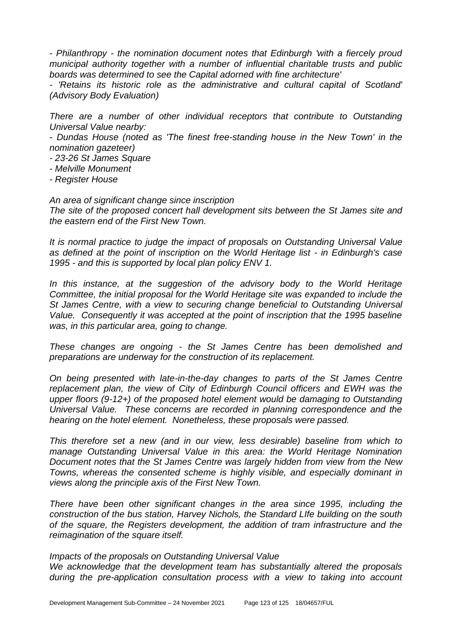*- Philanthropy - the nomination document notes that Edinburgh 'with a fiercely proud municipal authority together with a number of influential charitable trusts and public boards was determined to see the Capital adorned with fine architecture'*

*- 'Retains its historic role as the administrative and cultural capital of Scotland' (Advisory Body Evaluation)*

*There are a number of other individual receptors that contribute to Outstanding Universal Value nearby:*

*- Dundas House (noted as 'The finest free-standing house in the New Town' in the nomination gazeteer)*

- *- 23-26 St James Square*
- *- Melville Monument*
- *- Register House*

*An area of significant change since inscription*

*The site of the proposed concert hall development sits between the St James site and the eastern end of the First New Town.*

*It is normal practice to judge the impact of proposals on Outstanding Universal Value as defined at the point of inscription on the World Heritage list - in Edinburgh's case 1995 - and this is supported by local plan policy ENV 1.*

In this instance, at the suggestion of the advisory body to the World Heritage *Committee, the initial proposal for the World Heritage site was expanded to include the St James Centre, with a view to securing change beneficial to Outstanding Universal Value. Consequently it was accepted at the point of inscription that the 1995 baseline was, in this particular area, going to change.*

*These changes are ongoing - the St James Centre has been demolished and preparations are underway for the construction of its replacement.*

*On being presented with late-in-the-day changes to parts of the St James Centre replacement plan, the view of City of Edinburgh Council officers and EWH was the upper floors (9-12+) of the proposed hotel element would be damaging to Outstanding Universal Value. These concerns are recorded in planning correspondence and the hearing on the hotel element. Nonetheless, these proposals were passed.*

*This therefore set a new (and in our view, less desirable) baseline from which to manage Outstanding Universal Value in this area: the World Heritage Nomination Document notes that the St James Centre was largely hidden from view from the New Towns, whereas the consented scheme is highly visible, and especially dominant in views along the principle axis of the First New Town.*

*There have been other significant changes in the area since 1995, including the construction of the bus station, Harvey Nichols, the Standard LIfe building on the south of the square, the Registers development, the addition of tram infrastructure and the reimagination of the square itself.*

#### *Impacts of the proposals on Outstanding Universal Value*

*We acknowledge that the development team has substantially altered the proposals during the pre-application consultation process with a view to taking into account*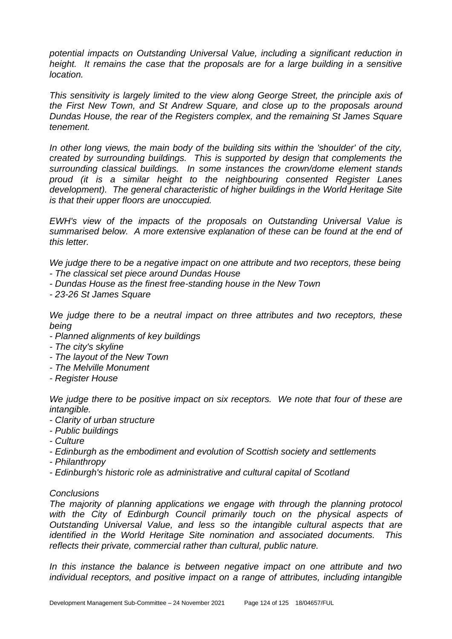*potential impacts on Outstanding Universal Value, including a significant reduction in height.* It remains the case that the proposals are for a large building in a sensitive *location.*

*This sensitivity is largely limited to the view along George Street, the principle axis of the First New Town, and St Andrew Square, and close up to the proposals around Dundas House, the rear of the Registers complex, and the remaining St James Square tenement.*

*In other long views, the main body of the building sits within the 'shoulder' of the city, created by surrounding buildings. This is supported by design that complements the surrounding classical buildings. In some instances the crown/dome element stands proud (it is a similar height to the neighbouring consented Register Lanes development). The general characteristic of higher buildings in the World Heritage Site is that their upper floors are unoccupied.*

*EWH's view of the impacts of the proposals on Outstanding Universal Value is summarised below. A more extensive explanation of these can be found at the end of this letter.*

*We judge there to be a negative impact on one attribute and two receptors, these being - The classical set piece around Dundas House*

*- Dundas House as the finest free-standing house in the New Town*

*- 23-26 St James Square*

*We judge there to be a neutral impact on three attributes and two receptors, these being*

- *- Planned alignments of key buildings*
- *- The city's skyline*
- *- The layout of the New Town*
- *- The Melville Monument*
- *- Register House*

*We judge there to be positive impact on six receptors. We note that four of these are intangible.*

- *- Clarity of urban structure*
- *- Public buildings*
- *- Culture*
- *- Edinburgh as the embodiment and evolution of Scottish society and settlements*
- *- Philanthropy*
- *- Edinburgh's historic role as administrative and cultural capital of Scotland*

#### *Conclusions*

*The majority of planning applications we engage with through the planning protocol*  with the City of Edinburgh Council primarily touch on the physical aspects of *Outstanding Universal Value, and less so the intangible cultural aspects that are identified in the World Heritage Site nomination and associated documents. This reflects their private, commercial rather than cultural, public nature.*

*In this instance the balance is between negative impact on one attribute and two individual receptors, and positive impact on a range of attributes, including intangible*